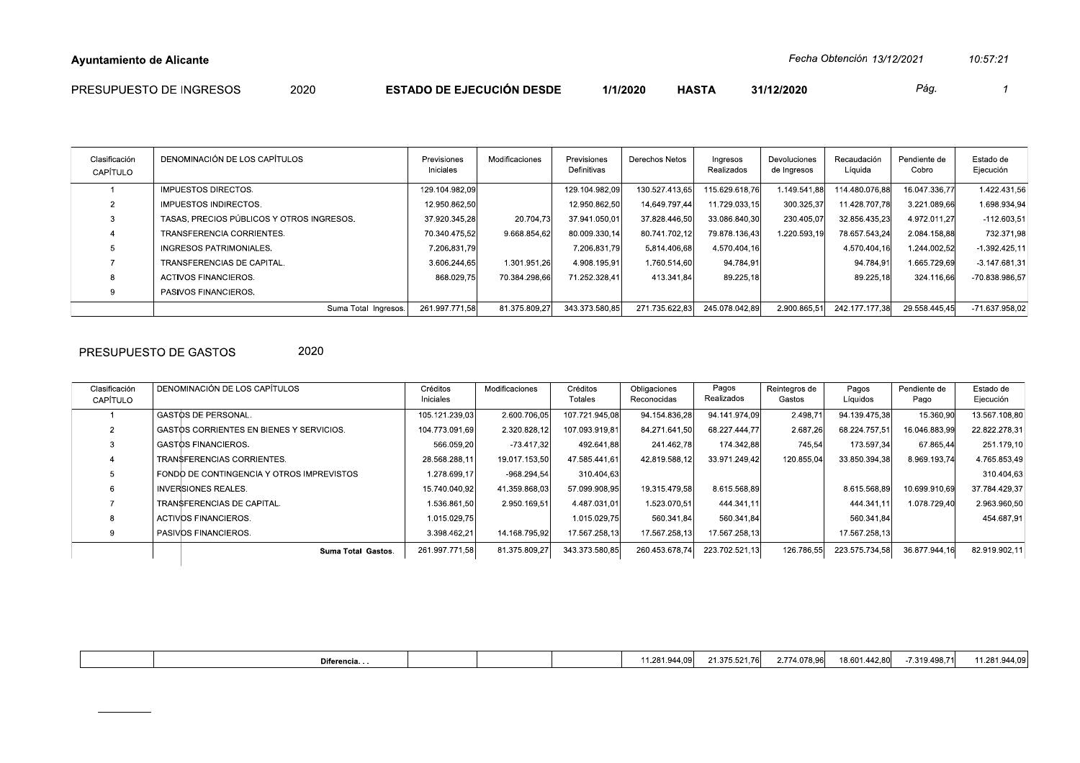| PRESUPUESTO DE INGRESOS<br><b>ESTADO DE EJECUCIÓN DESDE</b><br>∩∩∩<br><b>HASTA</b><br>1/1/2020<br>31/12/2020<br>Pág.<br>∠∪∠∪ |  |
|------------------------------------------------------------------------------------------------------------------------------|--|
|------------------------------------------------------------------------------------------------------------------------------|--|

| Clasificación<br>CAPÍTULO | DENOMINACIÓN DE LOS CAPÍTULOS             | Previsiones<br>Iniciales | Modificaciones | Previsiones<br>Definitivas | Derechos Netos | Ingresos<br>Realizados | Devoluciones<br>de Ingresos | Recaudación<br>Líquida | Pendiente de<br>Cobro | Estado de<br>Ejecución |
|---------------------------|-------------------------------------------|--------------------------|----------------|----------------------------|----------------|------------------------|-----------------------------|------------------------|-----------------------|------------------------|
|                           | <b>IMPUESTOS DIRECTOS.</b>                | 129.104.982.09           |                | 129.104.982.09             | 130.527.413.65 | 115.629.618.76         | 1.149.541.88                | 114.480.076.88         | 16.047.336.77         | 1.422.431.56           |
|                           | IMPUESTOS INDIRECTOS.                     | 12.950.862.50            |                | 12.950.862.50              | 14.649.797.44  | 11.729.033.15          | 300.325.37                  | 11.428.707.78          | 3.221.089.66          | 1.698.934.94           |
|                           | TASAS, PRECIOS PÚBLICOS Y OTROS INGRESOS. | 37.920.345.28            | 20.704,73      | 37.941.050.01              | 37.828.446.50  | 33.086.840,30          | 230.405.07                  | 32.856.435.23          | 4.972.011.27          | $-112.603,51$          |
|                           | TRANSFERENCIA CORRIENTES.                 | 70.340.475.52            | 9.668.854.62   | 80.009.330.14              | 80.741.702.12  | 79.878.136.43          | 1.220.593.19                | 78.657.543.24          | 2.084.158.88          | 732.371.98             |
|                           | INGRESOS PATRIMONIALES.                   | 7.206.831.79             |                | 7.206.831.79               | 5.814.406.68   | 4.570.404.16           |                             | 4.570.404.16           | 1.244.002.52          | $-1.392.425, 11$       |
|                           | TRANSFERENCIAS DE CAPITAL.                | 3.606.244,65             | 1.301.951.26   | 4.908.195.91               | 1.760.514,60   | 94.784,91              |                             | 94.784,91              | 1.665.729.69          | $-3.147.681.31$        |
|                           | ACTIVOS FINANCIEROS.                      | 868.029.75               | 70.384.298.66  | 71.252.328.41              | 413.341.84     | 89.225.18              |                             | 89.225.18              | 324.116.66            | -70.838.986.57         |
|                           | PASIVOS FINANCIEROS.                      |                          |                |                            |                |                        |                             |                        |                       |                        |
|                           | Suma Total Ingresos.                      | 261.997.771.58           | 81.375.809.27  | 343.373.580.85             | 271.735.622.83 | 245.078.042.89         | 2.900.865.51                | 242.177.177.38         | 29.558.445.45         | -71.637.958.02         |

## PRESUPUESTO DE GASTOS

2020

| Clasificación<br>CAPÍTULO | DENOMINACIÓN DE LOS CAPÍTULOS             | Créditos<br>Iniciales | Modificaciones | Créditos<br>Totales | Obligaciones<br>Reconocidas | Pagos<br>Realizados | Reintegros de<br>Gastos | Pagos<br>Líquidos | Pendiente de<br>Pago | Estado de<br>Ejecución |
|---------------------------|-------------------------------------------|-----------------------|----------------|---------------------|-----------------------------|---------------------|-------------------------|-------------------|----------------------|------------------------|
|                           | GASTOS DE PERSONAL.                       | 105.121.239,03        | 2.600.706,05   | 107.721.945.08      | 94.154.836.28               | 94.141.974.09       | 2.498,71                | 94.139.475.38     | 15.360,90            | 13.567.108,80          |
|                           | GASTOS CORRIENTES EN BIENES Y SERVICIOS.  | 104.773.091,69        | 2.320.828,12   | 107.093.919.81      | 84.271.641.50               | 68.227.444.77       | 2.687.26                | 68.224.757.51     | 16.046.883.99        | 22.822.278.31          |
|                           | <b>GASTOS FINANCIEROS.</b>                | 566.059.20            | $-73.417.32$   | 492.641.88          | 241.462.78                  | 174.342,88          | 745,54                  | 173.597.34        | 67.865,44            | 251.179.10             |
|                           | TRANSFERENCIAS CORRIENTES.                | 28.568.288,11         | 19.017.153,50  | 47.585.441.61       | 42.819.588.12               | 33.971.249.42       | 120.855.04              | 33.850.394.38     | 8.969.193.74         | 4.765.853,49           |
|                           | FONDO DE CONTINGENCIA Y OTROS IMPREVISTOS | 1.278.699.17          | $-968.294.54$  | 310.404.63          |                             |                     |                         |                   |                      | 310.404.63             |
|                           | <b>INVERSIONES REALES.</b>                | 15.740.040.92         | 41.359.868.03  | 57.099.908.95       | 19.315.479.58               | 8.615.568.89        |                         | 8.615.568.89      | 10.699.910.69        | 37.784.429.37          |
|                           | TRANSFERENCIAS DE CAPITAL.                | 1.536.861.50          | 2.950.169.51   | 4.487.031.01        | 1.523.070.51                | 444.341.11          |                         | 444.341.11        | 1.078.729.40         | 2.963.960,50           |
|                           | <b>ACTIVOS FINANCIEROS.</b>               | 1.015.029.75          |                | 1.015.029.75        | 560.341.84                  | 560.341.84          |                         | 560.341.84        |                      | 454.687,91             |
|                           | PASIVOS FINANCIEROS.                      | 3.398.462.21          | 14.168.795.92  | 17.567.258.13       | 17.567.258.13               | 17.567.258.13       |                         | 17.567.258.13     |                      |                        |
|                           | Suma Total Gastos.                        | 261.997.771,58        | 81.375.809.27  | 343.373.580,85      | 260.453.678.74              | 223.702.521.13      | 126.786.55              | 223.575.734.58    | 36.877.944.16        | 82.919.902.11          |
|                           |                                           |                       |                |                     |                             |                     |                         |                   |                      |                        |

| Diferencia |  | 4.09<br>۱.∠οι. | FO <sub>4</sub><br>ا 21.76٪. . | 2.774.078.96 | $\cdot$ $\cdot$ $\sim$ $\sim$<br>18.601<br>. 442 80 | 7.319.498,71 | ററം<br>$\sim$ 20 $\sim$<br>→.∪ |
|------------|--|----------------|--------------------------------|--------------|-----------------------------------------------------|--------------|--------------------------------|
|            |  |                |                                |              |                                                     |              |                                |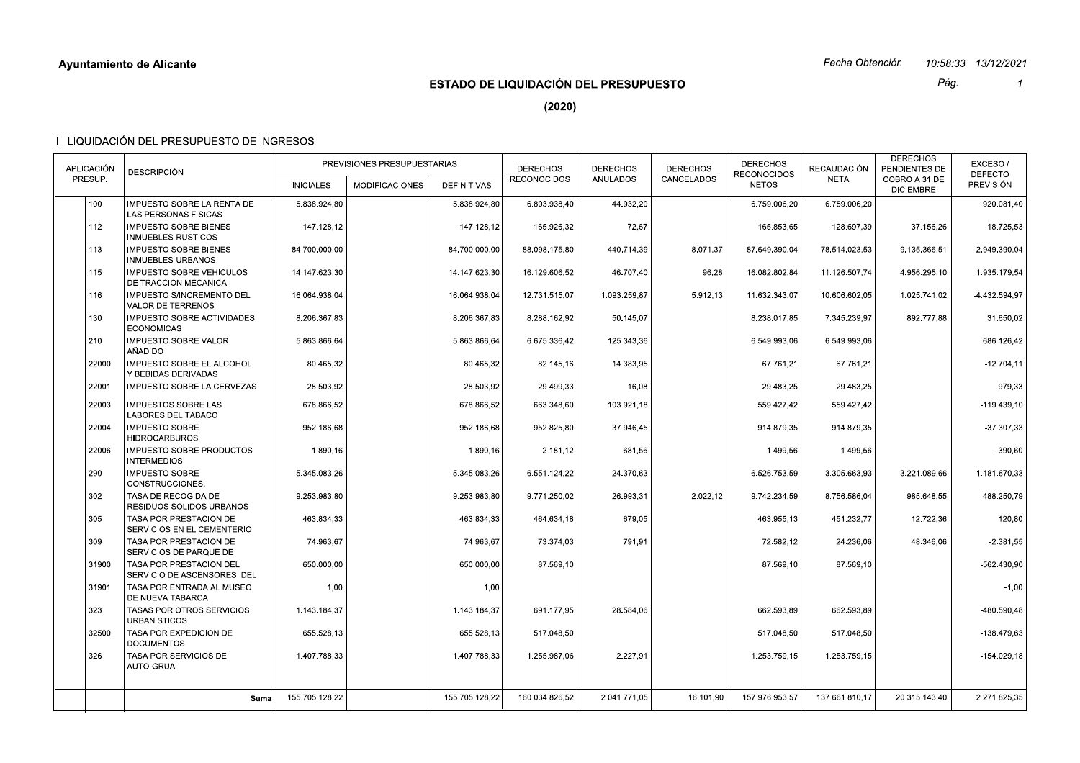# **ESTADO DE LIQUIDACIÓN DEL PRESUPUESTO**

Pág.  $\overline{1}$ 

 $(2020)$ 

| APLICACIÓN<br>PRESUP. | <b>DESCRIPCIÓN</b>                                                                | <b>INICIALES</b> | PREVISIONES PRESUPUESTARIAS<br><b>MODIFICACIONES</b> | <b>DEFINITIVAS</b> | <b>DERECHOS</b><br><b>RECONOCIDOS</b> | <b>DERECHOS</b><br>ANULADOS | <b>DERECHOS</b><br>CANCELADOS | <b>DERECHOS</b><br><b>RECONOCIDOS</b><br><b>NETOS</b> | RECAUDACIÓN<br><b>NETA</b> | <b>DERECHOS</b><br>PENDIENTES DE<br>COBRO A 31 DE<br><b>DICIEMBRE</b> | EXCESO/<br><b>DEFECTO</b><br>PREVISIÓN |
|-----------------------|-----------------------------------------------------------------------------------|------------------|------------------------------------------------------|--------------------|---------------------------------------|-----------------------------|-------------------------------|-------------------------------------------------------|----------------------------|-----------------------------------------------------------------------|----------------------------------------|
| 100                   | IMPUESTO SOBRE LA RENTA DE                                                        | 5.838.924.80     |                                                      | 5.838.924,80       | 6.803.938,40                          | 44.932,20                   |                               | 6.759.006,20                                          | 6.759.006,20               |                                                                       | 920.081,40                             |
| 112                   | <b>LAS PERSONAS FISICAS</b><br><b>IMPUESTO SOBRE BIENES</b><br>INMUEBLES-RUSTICOS | 147.128.12       |                                                      | 147.128,12         | 165.926,32                            | 72,67                       |                               | 165.853.65                                            | 128.697.39                 | 37.156.26                                                             | 18.725,53                              |
| 113                   | <b>IMPUESTO SOBRE BIENES</b><br>INMUEBLES-URBANOS                                 | 84.700.000.00    |                                                      | 84.700.000,00      | 88.098.175.80                         | 440.714.39                  | 8.071,37                      | 87.649.390,04                                         | 78.514.023,53              | 9.135.366,51                                                          | 2.949.390.04                           |
| 115                   | <b>IMPUESTO SOBRE VEHICULOS</b><br>DE TRACCION MECANICA                           | 14.147.623,30    |                                                      | 14.147.623,30      | 16.129.606.52                         | 46.707,40                   | 96,28                         | 16.082.802,84                                         | 11.126.507,74              | 4.956.295,10                                                          | 1.935.179,54                           |
| 116                   | <b>IMPUESTO S/INCREMENTO DEL</b><br><b>VALOR DE TERRENOS</b>                      | 16.064.938.04    |                                                      | 16.064.938.04      | 12.731.515,07                         | 1.093.259.87                | 5.912,13                      | 11.632.343,07                                         | 10.606.602.05              | 1.025.741.02                                                          | $-4.432.594.97$                        |
| 130                   | <b>IMPUESTO SOBRE ACTIVIDADES</b><br><b>ECONOMICAS</b>                            | 8.206.367,83     |                                                      | 8.206.367,83       | 8.288.162,92                          | 50.145,07                   |                               | 8.238.017,85                                          | 7.345.239.97               | 892.777,88                                                            | 31.650,02                              |
| 210                   | <b>IMPUESTO SOBRE VALOR</b><br>AÑADIDO                                            | 5.863.866.64     |                                                      | 5.863.866.64       | 6.675.336,42                          | 125.343,36                  |                               | 6.549.993,06                                          | 6.549.993,06               |                                                                       | 686.126,42                             |
| 22000                 | <b>IMPUESTO SOBRE EL ALCOHOL</b><br>Y BEBIDAS DERIVADAS                           | 80.465,32        |                                                      | 80.465,32          | 82.145,16                             | 14.383,95                   |                               | 67.761,21                                             | 67.761.21                  |                                                                       | $-12.704.11$                           |
| 22001                 | IMPUESTO SOBRE LA CERVEZAS                                                        | 28.503,92        |                                                      | 28.503,92          | 29.499,33                             | 16,08                       |                               | 29.483,25                                             | 29.483,25                  |                                                                       | 979,33                                 |
| 22003                 | <b>IMPUESTOS SOBRE LAS</b><br>LABORES DEL TABACO                                  | 678.866.52       |                                                      | 678.866,52         | 663.348,60                            | 103.921,18                  |                               | 559.427,42                                            | 559.427,42                 |                                                                       | $-119.439,10$                          |
| 22004                 | <b>IMPUESTO SOBRE</b><br><b>HIDROCARBUROS</b>                                     | 952.186,68       |                                                      | 952.186,68         | 952.825,80                            | 37.946,45                   |                               | 914.879,35                                            | 914.879,35                 |                                                                       | $-37.307.33$                           |
| 22006                 | IMPUESTO SOBRE PRODUCTOS<br><b>INTERMEDIOS</b>                                    | 1.890,16         |                                                      | 1.890,16           | 2.181,12                              | 681,56                      |                               | 1.499,56                                              | 1.499,56                   |                                                                       | $-390,60$                              |
| 290                   | <b>IMPUESTO SOBRE</b><br>CONSTRUCCIONES,                                          | 5.345.083.26     |                                                      | 5.345.083,26       | 6.551.124,22                          | 24.370,63                   |                               | 6.526.753,59                                          | 3.305.663,93               | 3.221.089,66                                                          | 1.181.670.33                           |
| 302                   | TASA DE RECOGIDA DE<br><b>RESIDUOS SOLIDOS URBANOS</b>                            | 9.253.983.80     |                                                      | 9.253.983,80       | 9.771.250,02                          | 26.993,31                   | 2.022,12                      | 9.742.234,59                                          | 8.756.586,04               | 985.648,55                                                            | 488.250,79                             |
| 305                   | TASA POR PRESTACION DE<br>SERVICIOS EN EL CEMENTERIO                              | 463.834.33       |                                                      | 463.834,33         | 464.634,18                            | 679,05                      |                               | 463.955,13                                            | 451.232,77                 | 12.722,36                                                             | 120,80                                 |
| 309                   | TASA POR PRESTACION DE<br>SERVICIOS DE PARQUE DE                                  | 74.963.67        |                                                      | 74.963.67          | 73.374.03                             | 791,91                      |                               | 72.582.12                                             | 24.236.06                  | 48.346.06                                                             | $-2.381,55$                            |
| 31900                 | TASA POR PRESTACION DEL<br>SERVICIO DE ASCENSORES DEL                             | 650.000,00       |                                                      | 650.000,00         | 87.569,10                             |                             |                               | 87.569,10                                             | 87.569,10                  |                                                                       | -562.430,90                            |
| 31901                 | TASA POR ENTRADA AL MUSEO<br>DE NUEVA TABARCA                                     | 1.00             |                                                      | 1,00               |                                       |                             |                               |                                                       |                            |                                                                       | $-1.00$                                |
| 323                   | TASAS POR OTROS SERVICIOS<br><b>URBANISTICOS</b>                                  | 1.143.184,37     |                                                      | 1.143.184,37       | 691.177,95                            | 28.584,06                   |                               | 662.593,89                                            | 662.593,89                 |                                                                       | -480.590,48                            |
| 32500                 | TASA POR EXPEDICION DE<br><b>DOCUMENTOS</b>                                       | 655.528.13       |                                                      | 655.528.13         | 517.048,50                            |                             |                               | 517.048.50                                            | 517.048.50                 |                                                                       | -138.479.63                            |
| 326                   | TASA POR SERVICIOS DE<br>AUTO-GRUA                                                | 1.407.788,33     |                                                      | 1.407.788,33       | 1.255.987,06                          | 2.227,91                    |                               | 1.253.759,15                                          | 1.253.759,15               |                                                                       | $-154.029, 18$                         |
|                       |                                                                                   | 155.705.128,22   |                                                      | 155.705.128.22     | 160.034.826.52                        | 2.041.771,05                |                               | 157.976.953,57                                        | 137.661.810.17             |                                                                       | 2.271.825.35                           |
|                       | Suma                                                                              |                  |                                                      |                    |                                       |                             | 16.101.90                     |                                                       |                            | 20.315.143.40                                                         |                                        |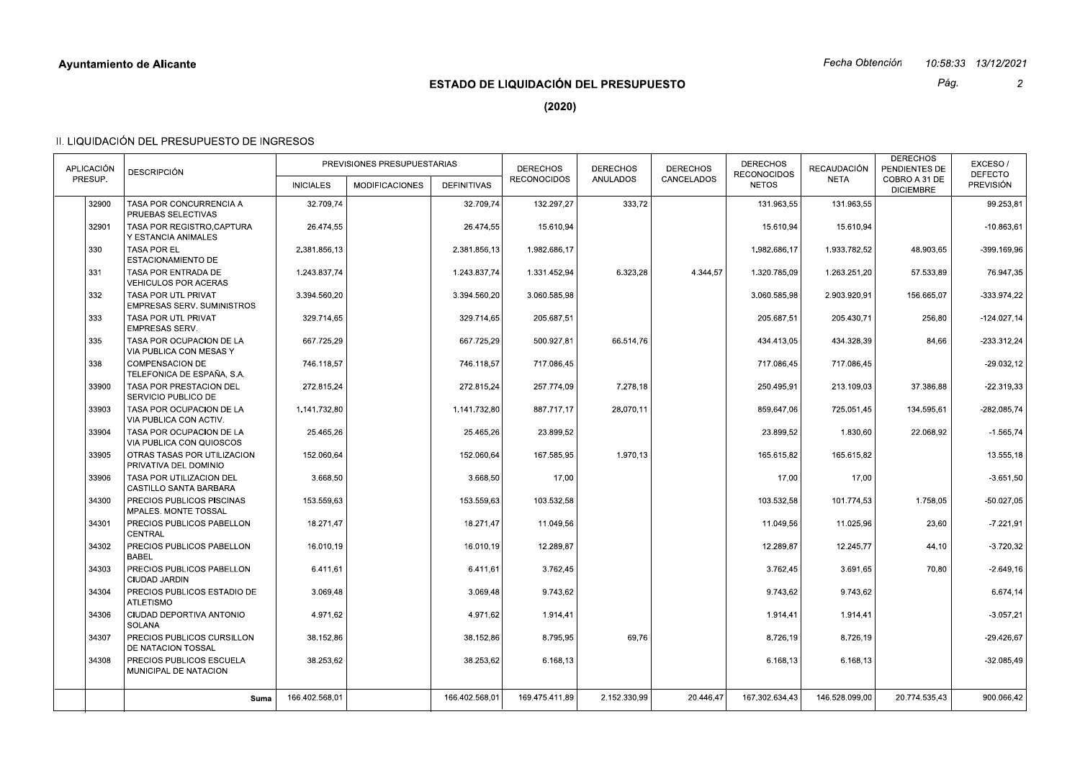# **ESTADO DE LIQUIDACIÓN DEL PRESUPUESTO**

Pág.

 $\overline{2}$ 

 $(2020)$ 

| <b>APLICACIÓN</b><br>PRESUP. | <b>DESCRIPCIÓN</b>                                              | <b>INICIALES</b> | PREVISIONES PRESUPUESTARIAS<br><b>MODIFICACIONES</b> | <b>DEFINITIVAS</b> | <b>DERECHOS</b><br><b>RECONOCIDOS</b> | <b>DERECHOS</b><br>ANULADOS | <b>DERECHOS</b><br>CANCELADOS | <b>DERECHOS</b><br><b>RECONOCIDOS</b><br><b>NETOS</b> | <b>RECAUDACIÓN</b><br><b>NETA</b> | <b>DERECHOS</b><br>PENDIENTES DE<br>COBRO A 31 DE | EXCESO/<br><b>DEFECTO</b><br><b>PREVISIÓN</b> |
|------------------------------|-----------------------------------------------------------------|------------------|------------------------------------------------------|--------------------|---------------------------------------|-----------------------------|-------------------------------|-------------------------------------------------------|-----------------------------------|---------------------------------------------------|-----------------------------------------------|
| 32900                        | TASA POR CONCURRENCIA A                                         | 32.709.74        |                                                      |                    |                                       |                             |                               |                                                       |                                   | <b>DICIEMBRE</b>                                  |                                               |
|                              | PRUEBAS SELECTIVAS                                              |                  |                                                      | 32.709,74          | 132.297,27                            | 333,72                      |                               | 131.963,55                                            | 131.963,55                        |                                                   | 99.253,81                                     |
| 32901                        | TASA POR REGISTRO.CAPTURA<br>Y ESTANCIA ANIMALES                | 26.474,55        |                                                      | 26.474,55          | 15.610.94                             |                             |                               | 15.610,94                                             | 15.610.94                         |                                                   | $-10.863,61$                                  |
| 330                          | <b>TASA POR EL</b><br>ESTACIONAMIENTO DE                        | 2.381.856.13     |                                                      | 2.381.856,13       | 1.982.686.17                          |                             |                               | 1.982.686,17                                          | 1.933.782,52                      | 48.903,65                                         | -399.169,96                                   |
| 331                          | TASA POR ENTRADA DE<br><b>VEHICULOS POR ACERAS</b>              | 1.243.837.74     |                                                      | 1.243.837,74       | 1.331.452,94                          | 6.323,28                    | 4.344,57                      | 1.320.785,09                                          | 1.263.251,20                      | 57.533,89                                         | 76.947,35                                     |
| 332                          | <b>TASA POR UTL PRIVAT</b><br><b>EMPRESAS SERV. SUMINISTROS</b> | 3.394.560.20     |                                                      | 3.394.560.20       | 3.060.585.98                          |                             |                               | 3.060.585.98                                          | 2.903.920.91                      | 156.665.07                                        | $-333.974.22$                                 |
| 333                          | TASA POR UTL PRIVAT<br><b>EMPRESAS SERV.</b>                    | 329.714,65       |                                                      | 329.714,65         | 205.687,51                            |                             |                               | 205.687,51                                            | 205.430,71                        | 256,80                                            | $-124.027.14$                                 |
| 335                          | TASA POR OCUPACION DE LA<br>VIA PUBLICA CON MESAS Y             | 667.725,29       |                                                      | 667.725.29         | 500.927,81                            | 66.514,76                   |                               | 434.413,05                                            | 434.328,39                        | 84,66                                             | $-233.312,24$                                 |
| 338                          | <b>COMPENSACION DE</b><br>TELEFONICA DE ESPAÑA, S.A.            | 746.118,57       |                                                      | 746.118.57         | 717.086,45                            |                             |                               | 717.086,45                                            | 717.086,45                        |                                                   | $-29.032,12$                                  |
| 33900                        | TASA POR PRESTACION DEL<br>SERVICIO PUBLICO DE                  | 272.815,24       |                                                      | 272.815,24         | 257.774,09                            | 7.278,18                    |                               | 250.495,91                                            | 213.109,03                        | 37.386,88                                         | $-22.319.33$                                  |
| 33903                        | TASA POR OCUPACION DE LA<br>VIA PUBLICA CON ACTIV.              | 1.141.732,80     |                                                      | 1.141.732,80       | 887.717,17                            | 28.070,11                   |                               | 859.647,06                                            | 725.051,45                        | 134.595,61                                        | $-282.085.74$                                 |
| 33904                        | TASA POR OCUPACION DE LA<br>VIA PUBLICA CON QUIOSCOS            | 25.465,26        |                                                      | 25.465,26          | 23.899,52                             |                             |                               | 23.899,52                                             | 1.830,60                          | 22.068,92                                         | $-1.565,74$                                   |
| 33905                        | OTRAS TASAS POR UTILIZACION<br>PRIVATIVA DEL DOMINIO            | 152.060.64       |                                                      | 152.060.64         | 167.585.95                            | 1.970.13                    |                               | 165.615,82                                            | 165.615.82                        |                                                   | 13.555,18                                     |
| 33906                        | TASA POR UTILIZACION DEL<br>CASTILLO SANTA BARBARA              | 3.668,50         |                                                      | 3.668,50           | 17,00                                 |                             |                               | 17,00                                                 | 17,00                             |                                                   | $-3.651,50$                                   |
| 34300                        | PRECIOS PUBLICOS PISCINAS<br><b>MPALES. MONTE TOSSAL</b>        | 153.559,63       |                                                      | 153.559,63         | 103.532,58                            |                             |                               | 103.532,58                                            | 101.774,53                        | 1.758,05                                          | $-50.027,05$                                  |
| 34301                        | PRECIOS PUBLICOS PABELLON<br><b>CENTRAL</b>                     | 18.271.47        |                                                      | 18.271.47          | 11.049.56                             |                             |                               | 11.049.56                                             | 11.025.96                         | 23,60                                             | $-7.221,91$                                   |
| 34302                        | PRECIOS PUBLICOS PABELLON<br><b>BABEL</b>                       | 16.010,19        |                                                      | 16.010,19          | 12.289,87                             |                             |                               | 12.289,87                                             | 12.245,77                         | 44,10                                             | $-3.720,32$                                   |
| 34303                        | PRECIOS PUBLICOS PABELLON<br><b>CIUDAD JARDIN</b>               | 6.411.61         |                                                      | 6.411.61           | 3.762.45                              |                             |                               | 3.762.45                                              | 3.691.65                          | 70,80                                             | $-2.649,16$                                   |
| 34304                        | PRECIOS PUBLICOS ESTADIO DE<br><b>ATLETISMO</b>                 | 3.069,48         |                                                      | 3.069,48           | 9.743,62                              |                             |                               | 9.743,62                                              | 9.743,62                          |                                                   | 6.674,14                                      |
| 34306                        | CIUDAD DEPORTIVA ANTONIO<br>SOLANA                              | 4.971.62         |                                                      | 4.971.62           | 1.914,41                              |                             |                               | 1.914,41                                              | 1.914,41                          |                                                   | $-3.057.21$                                   |
| 34307                        | PRECIOS PUBLICOS CURSILLON<br>DE NATACION TOSSAL                | 38.152,86        |                                                      | 38.152,86          | 8.795,95                              | 69.76                       |                               | 8.726,19                                              | 8.726,19                          |                                                   | $-29.426,67$                                  |
| 34308                        | PRECIOS PUBLICOS ESCUELA<br>MUNICIPAL DE NATACION               | 38.253,62        |                                                      | 38.253,62          | 6.168,13                              |                             |                               | 6.168,13                                              | 6.168,13                          |                                                   | -32.085,49                                    |
|                              | Suma                                                            | 166.402.568.01   |                                                      | 166.402.568.01     | 169.475.411.89                        | 2.152.330.99                | 20.446,47                     | 167.302.634,43                                        | 146.528.099,00                    | 20.774.535,43                                     | 900.066,42                                    |
|                              |                                                                 |                  |                                                      |                    |                                       |                             |                               |                                                       |                                   |                                                   |                                               |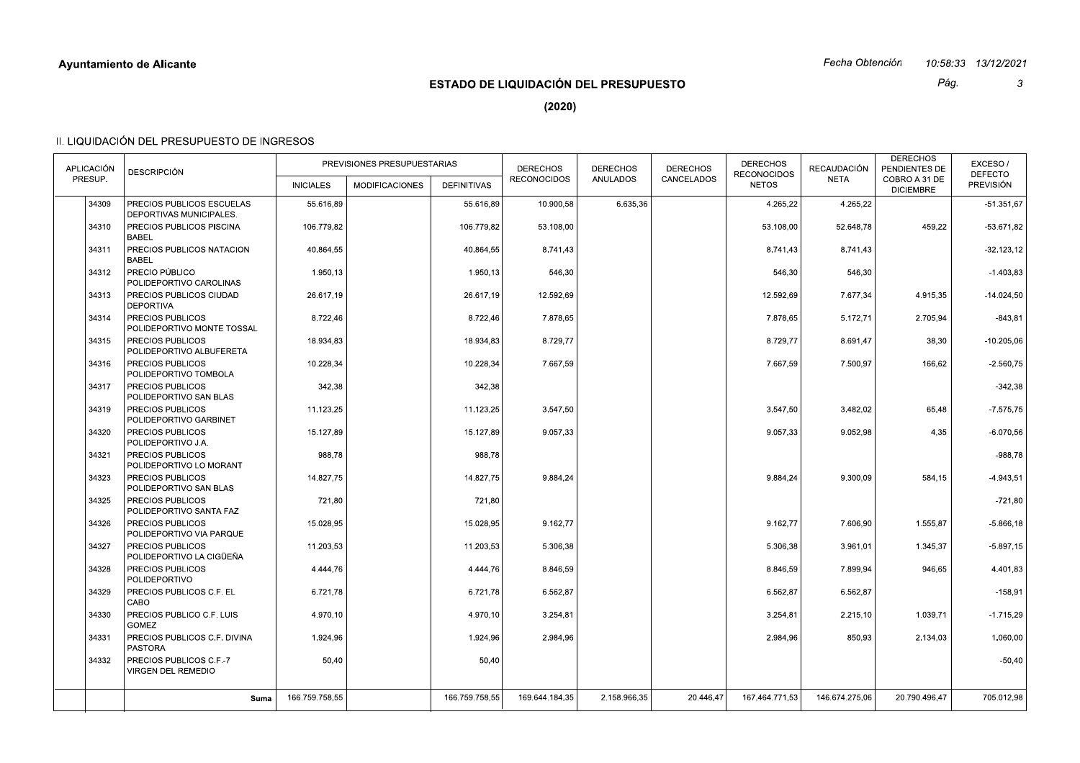## Fecha Obtención 10:58:33 13/12/2021

# **ESTADO DE LIQUIDACIÓN DEL PRESUPUESTO**

Pág.  $\mathbf{3}$ 

 $(2020)$ 

| 34309<br>PRECIOS PUBLICOS ESCUELAS<br>6.635,36<br>55.616,89<br>55.616,89<br>10.900,58<br>4.265,22<br>4.265,22<br>DEPORTIVAS MUNICIPALES.<br>34310<br>PRECIOS PUBLICOS PISCINA<br>106.779,82<br>106.779,82<br>53.108,00<br>459,22<br>53.108,00<br>52.648,78<br><b>BABEL</b><br>34311<br>PRECIOS PUBLICOS NATACION<br>40.864.55<br>40.864,55<br>8.741,43<br>8.741,43<br>8.741,43<br><b>BABEL</b><br>PRECIO PÚBLICO<br>34312<br>1.950,13<br>1.950,13<br>546,30<br>546,30<br>546,30<br>POLIDEPORTIVO CAROLINAS<br>34313<br>PRECIOS PUBLICOS CIUDAD<br>26.617.19<br>26.617,19<br>12.592.69<br>12.592,69<br>7.677,34<br>4.915,35<br><b>DEPORTIVA</b><br>34314<br>PRECIOS PUBLICOS<br>8.722,46<br>8.722,46<br>7.878,65<br>2.705,94<br>7.878,65<br>5.172,71<br>POLIDEPORTIVO MONTE TOSSAL<br>34315<br>PRECIOS PUBLICOS<br>18.934.83<br>18.934.83<br>8.729,77<br>8.729.77<br>8.691.47<br>38,30<br>POLIDEPORTIVO ALBUFERETA<br>PRECIOS PUBLICOS<br>10.228,34<br>10.228,34<br>7.667,59<br>7.667,59<br>7.500,97<br>166,62<br>34316<br>POLIDEPORTIVO TOMBOLA<br>34317<br>PRECIOS PUBLICOS<br>342,38<br>342,38<br>POLIDEPORTIVO SAN BLAS<br>34319<br>PRECIOS PUBLICOS<br>11.123,25<br>11.123,25<br>3.547,50<br>3.547,50<br>3.482,02<br>65,48<br>POLIDEPORTIVO GARBINET<br>9.057.33<br>9.052.98<br>34320<br>PRECIOS PUBLICOS<br>15.127.89<br>15.127.89<br>9.057.33<br>4.35<br>POLIDEPORTIVO J.A.<br>34321<br>PRECIOS PUBLICOS<br>988,78<br>988,78<br>POLIDEPORTIVO LO MORANT<br>34323<br>PRECIOS PUBLICOS<br>14.827.75<br>14.827.75<br>9.884.24<br>9.884.24<br>9.300.09<br>584,15<br>POLIDEPORTIVO SAN BLAS<br>34325<br>PRECIOS PUBLICOS<br>721,80<br>721,80<br>POLIDEPORTIVO SANTA FAZ<br>PRECIOS PUBLICOS<br>15.028.95<br>9.162.77<br>34326<br>15.028.95<br>9.162.77<br>7.606.90<br>1.555.87<br>POLIDEPORTIVO VIA PARQUE<br>34327<br>PRECIOS PUBLICOS<br>11.203,53<br>11.203,53<br>5.306,38<br>1.345,37<br>5.306,38<br>3.961,01<br>POLIDEPORTIVO LA CIGÜEÑA<br>PRECIOS PUBLICOS<br>4.444,76<br>4.444,76<br>34328<br>8.846,59<br>8.846,59<br>7.899,94<br>946,65<br>POLIDEPORTIVO<br>34329<br>PRECIOS PUBLICOS C.F. EL<br>6.721,78<br>6.721,78<br>6.562,87<br>6.562,87<br>6.562,87<br>CABO<br>34330<br>PRECIOS PUBLICO C.F. LUIS<br>4.970,10<br>4.970,10<br>1.039,71<br>3.254,81<br>3.254,81<br>2.215,10<br><b>GOMEZ</b><br>34331<br>PRECIOS PUBLICOS C.F. DIVINA<br>1.924,96<br>1.924,96<br>2.984.96<br>2.984.96<br>850.93<br>2.134,03<br><b>PASTORA</b><br>34332<br>PRECIOS PUBLICOS C.F.-7<br>50,40<br>50,40<br><b>VIRGEN DEL REMEDIO</b><br>166.759.758.55<br>166.759.758.55<br>169.644.184.35<br>146.674.275.06<br>20.790.496.47<br>2.158.966,35<br>20.446,47<br>167.464.771.53<br>Suma | APLICACIÓN<br>PRESUP. | <b>DESCRIPCIÓN</b> | <b>INICIALES</b> | PREVISIONES PRESUPUESTARIAS<br><b>MODIFICACIONES</b> | <b>DEFINITIVAS</b> | <b>DERECHOS</b><br><b>RECONOCIDOS</b> | <b>DERECHOS</b><br><b>ANULADOS</b> | <b>DERECHOS</b><br>CANCELADOS | <b>DERECHOS</b><br><b>RECONOCIDOS</b><br><b>NETOS</b> | RECAUDACIÓN<br><b>NETA</b> | <b>DERECHOS</b><br>PENDIENTES DE<br>COBRO A 31 DE<br><b>DICIEMBRE</b> | EXCESO/<br><b>DEFECTO</b><br>PREVISIÓN |
|-------------------------------------------------------------------------------------------------------------------------------------------------------------------------------------------------------------------------------------------------------------------------------------------------------------------------------------------------------------------------------------------------------------------------------------------------------------------------------------------------------------------------------------------------------------------------------------------------------------------------------------------------------------------------------------------------------------------------------------------------------------------------------------------------------------------------------------------------------------------------------------------------------------------------------------------------------------------------------------------------------------------------------------------------------------------------------------------------------------------------------------------------------------------------------------------------------------------------------------------------------------------------------------------------------------------------------------------------------------------------------------------------------------------------------------------------------------------------------------------------------------------------------------------------------------------------------------------------------------------------------------------------------------------------------------------------------------------------------------------------------------------------------------------------------------------------------------------------------------------------------------------------------------------------------------------------------------------------------------------------------------------------------------------------------------------------------------------------------------------------------------------------------------------------------------------------------------------------------------------------------------------------------------------------------------------------------------------------------------------------------------------------------------------------------------------------------------------------------------------------------------------------------------------------------------------------------------------------------------------------------------------------------------------------------|-----------------------|--------------------|------------------|------------------------------------------------------|--------------------|---------------------------------------|------------------------------------|-------------------------------|-------------------------------------------------------|----------------------------|-----------------------------------------------------------------------|----------------------------------------|
|                                                                                                                                                                                                                                                                                                                                                                                                                                                                                                                                                                                                                                                                                                                                                                                                                                                                                                                                                                                                                                                                                                                                                                                                                                                                                                                                                                                                                                                                                                                                                                                                                                                                                                                                                                                                                                                                                                                                                                                                                                                                                                                                                                                                                                                                                                                                                                                                                                                                                                                                                                                                                                                                               |                       |                    |                  |                                                      |                    |                                       |                                    |                               |                                                       |                            |                                                                       | $-51.351,67$                           |
|                                                                                                                                                                                                                                                                                                                                                                                                                                                                                                                                                                                                                                                                                                                                                                                                                                                                                                                                                                                                                                                                                                                                                                                                                                                                                                                                                                                                                                                                                                                                                                                                                                                                                                                                                                                                                                                                                                                                                                                                                                                                                                                                                                                                                                                                                                                                                                                                                                                                                                                                                                                                                                                                               |                       |                    |                  |                                                      |                    |                                       |                                    |                               |                                                       |                            |                                                                       | $-53.671,82$                           |
|                                                                                                                                                                                                                                                                                                                                                                                                                                                                                                                                                                                                                                                                                                                                                                                                                                                                                                                                                                                                                                                                                                                                                                                                                                                                                                                                                                                                                                                                                                                                                                                                                                                                                                                                                                                                                                                                                                                                                                                                                                                                                                                                                                                                                                                                                                                                                                                                                                                                                                                                                                                                                                                                               |                       |                    |                  |                                                      |                    |                                       |                                    |                               |                                                       |                            |                                                                       | $-32.123, 12$                          |
|                                                                                                                                                                                                                                                                                                                                                                                                                                                                                                                                                                                                                                                                                                                                                                                                                                                                                                                                                                                                                                                                                                                                                                                                                                                                                                                                                                                                                                                                                                                                                                                                                                                                                                                                                                                                                                                                                                                                                                                                                                                                                                                                                                                                                                                                                                                                                                                                                                                                                                                                                                                                                                                                               |                       |                    |                  |                                                      |                    |                                       |                                    |                               |                                                       |                            |                                                                       | $-1.403,83$                            |
|                                                                                                                                                                                                                                                                                                                                                                                                                                                                                                                                                                                                                                                                                                                                                                                                                                                                                                                                                                                                                                                                                                                                                                                                                                                                                                                                                                                                                                                                                                                                                                                                                                                                                                                                                                                                                                                                                                                                                                                                                                                                                                                                                                                                                                                                                                                                                                                                                                                                                                                                                                                                                                                                               |                       |                    |                  |                                                      |                    |                                       |                                    |                               |                                                       |                            |                                                                       | $-14.024,50$                           |
|                                                                                                                                                                                                                                                                                                                                                                                                                                                                                                                                                                                                                                                                                                                                                                                                                                                                                                                                                                                                                                                                                                                                                                                                                                                                                                                                                                                                                                                                                                                                                                                                                                                                                                                                                                                                                                                                                                                                                                                                                                                                                                                                                                                                                                                                                                                                                                                                                                                                                                                                                                                                                                                                               |                       |                    |                  |                                                      |                    |                                       |                                    |                               |                                                       |                            |                                                                       | $-843,81$                              |
|                                                                                                                                                                                                                                                                                                                                                                                                                                                                                                                                                                                                                                                                                                                                                                                                                                                                                                                                                                                                                                                                                                                                                                                                                                                                                                                                                                                                                                                                                                                                                                                                                                                                                                                                                                                                                                                                                                                                                                                                                                                                                                                                                                                                                                                                                                                                                                                                                                                                                                                                                                                                                                                                               |                       |                    |                  |                                                      |                    |                                       |                                    |                               |                                                       |                            |                                                                       | $-10.205,06$                           |
|                                                                                                                                                                                                                                                                                                                                                                                                                                                                                                                                                                                                                                                                                                                                                                                                                                                                                                                                                                                                                                                                                                                                                                                                                                                                                                                                                                                                                                                                                                                                                                                                                                                                                                                                                                                                                                                                                                                                                                                                                                                                                                                                                                                                                                                                                                                                                                                                                                                                                                                                                                                                                                                                               |                       |                    |                  |                                                      |                    |                                       |                                    |                               |                                                       |                            |                                                                       | $-2.560,75$                            |
|                                                                                                                                                                                                                                                                                                                                                                                                                                                                                                                                                                                                                                                                                                                                                                                                                                                                                                                                                                                                                                                                                                                                                                                                                                                                                                                                                                                                                                                                                                                                                                                                                                                                                                                                                                                                                                                                                                                                                                                                                                                                                                                                                                                                                                                                                                                                                                                                                                                                                                                                                                                                                                                                               |                       |                    |                  |                                                      |                    |                                       |                                    |                               |                                                       |                            |                                                                       | $-342,38$                              |
|                                                                                                                                                                                                                                                                                                                                                                                                                                                                                                                                                                                                                                                                                                                                                                                                                                                                                                                                                                                                                                                                                                                                                                                                                                                                                                                                                                                                                                                                                                                                                                                                                                                                                                                                                                                                                                                                                                                                                                                                                                                                                                                                                                                                                                                                                                                                                                                                                                                                                                                                                                                                                                                                               |                       |                    |                  |                                                      |                    |                                       |                                    |                               |                                                       |                            |                                                                       | $-7.575,75$                            |
|                                                                                                                                                                                                                                                                                                                                                                                                                                                                                                                                                                                                                                                                                                                                                                                                                                                                                                                                                                                                                                                                                                                                                                                                                                                                                                                                                                                                                                                                                                                                                                                                                                                                                                                                                                                                                                                                                                                                                                                                                                                                                                                                                                                                                                                                                                                                                                                                                                                                                                                                                                                                                                                                               |                       |                    |                  |                                                      |                    |                                       |                                    |                               |                                                       |                            |                                                                       | $-6.070.56$                            |
|                                                                                                                                                                                                                                                                                                                                                                                                                                                                                                                                                                                                                                                                                                                                                                                                                                                                                                                                                                                                                                                                                                                                                                                                                                                                                                                                                                                                                                                                                                                                                                                                                                                                                                                                                                                                                                                                                                                                                                                                                                                                                                                                                                                                                                                                                                                                                                                                                                                                                                                                                                                                                                                                               |                       |                    |                  |                                                      |                    |                                       |                                    |                               |                                                       |                            |                                                                       | $-988,78$                              |
|                                                                                                                                                                                                                                                                                                                                                                                                                                                                                                                                                                                                                                                                                                                                                                                                                                                                                                                                                                                                                                                                                                                                                                                                                                                                                                                                                                                                                                                                                                                                                                                                                                                                                                                                                                                                                                                                                                                                                                                                                                                                                                                                                                                                                                                                                                                                                                                                                                                                                                                                                                                                                                                                               |                       |                    |                  |                                                      |                    |                                       |                                    |                               |                                                       |                            |                                                                       | $-4.943.51$                            |
|                                                                                                                                                                                                                                                                                                                                                                                                                                                                                                                                                                                                                                                                                                                                                                                                                                                                                                                                                                                                                                                                                                                                                                                                                                                                                                                                                                                                                                                                                                                                                                                                                                                                                                                                                                                                                                                                                                                                                                                                                                                                                                                                                                                                                                                                                                                                                                                                                                                                                                                                                                                                                                                                               |                       |                    |                  |                                                      |                    |                                       |                                    |                               |                                                       |                            |                                                                       | $-721,80$                              |
|                                                                                                                                                                                                                                                                                                                                                                                                                                                                                                                                                                                                                                                                                                                                                                                                                                                                                                                                                                                                                                                                                                                                                                                                                                                                                                                                                                                                                                                                                                                                                                                                                                                                                                                                                                                                                                                                                                                                                                                                                                                                                                                                                                                                                                                                                                                                                                                                                                                                                                                                                                                                                                                                               |                       |                    |                  |                                                      |                    |                                       |                                    |                               |                                                       |                            |                                                                       | $-5.866.18$                            |
|                                                                                                                                                                                                                                                                                                                                                                                                                                                                                                                                                                                                                                                                                                                                                                                                                                                                                                                                                                                                                                                                                                                                                                                                                                                                                                                                                                                                                                                                                                                                                                                                                                                                                                                                                                                                                                                                                                                                                                                                                                                                                                                                                                                                                                                                                                                                                                                                                                                                                                                                                                                                                                                                               |                       |                    |                  |                                                      |                    |                                       |                                    |                               |                                                       |                            |                                                                       | $-5.897, 15$                           |
|                                                                                                                                                                                                                                                                                                                                                                                                                                                                                                                                                                                                                                                                                                                                                                                                                                                                                                                                                                                                                                                                                                                                                                                                                                                                                                                                                                                                                                                                                                                                                                                                                                                                                                                                                                                                                                                                                                                                                                                                                                                                                                                                                                                                                                                                                                                                                                                                                                                                                                                                                                                                                                                                               |                       |                    |                  |                                                      |                    |                                       |                                    |                               |                                                       |                            |                                                                       | 4.401,83                               |
|                                                                                                                                                                                                                                                                                                                                                                                                                                                                                                                                                                                                                                                                                                                                                                                                                                                                                                                                                                                                                                                                                                                                                                                                                                                                                                                                                                                                                                                                                                                                                                                                                                                                                                                                                                                                                                                                                                                                                                                                                                                                                                                                                                                                                                                                                                                                                                                                                                                                                                                                                                                                                                                                               |                       |                    |                  |                                                      |                    |                                       |                                    |                               |                                                       |                            |                                                                       | $-158,91$                              |
|                                                                                                                                                                                                                                                                                                                                                                                                                                                                                                                                                                                                                                                                                                                                                                                                                                                                                                                                                                                                                                                                                                                                                                                                                                                                                                                                                                                                                                                                                                                                                                                                                                                                                                                                                                                                                                                                                                                                                                                                                                                                                                                                                                                                                                                                                                                                                                                                                                                                                                                                                                                                                                                                               |                       |                    |                  |                                                      |                    |                                       |                                    |                               |                                                       |                            |                                                                       | $-1.715,29$                            |
|                                                                                                                                                                                                                                                                                                                                                                                                                                                                                                                                                                                                                                                                                                                                                                                                                                                                                                                                                                                                                                                                                                                                                                                                                                                                                                                                                                                                                                                                                                                                                                                                                                                                                                                                                                                                                                                                                                                                                                                                                                                                                                                                                                                                                                                                                                                                                                                                                                                                                                                                                                                                                                                                               |                       |                    |                  |                                                      |                    |                                       |                                    |                               |                                                       |                            |                                                                       | 1.060,00                               |
|                                                                                                                                                                                                                                                                                                                                                                                                                                                                                                                                                                                                                                                                                                                                                                                                                                                                                                                                                                                                                                                                                                                                                                                                                                                                                                                                                                                                                                                                                                                                                                                                                                                                                                                                                                                                                                                                                                                                                                                                                                                                                                                                                                                                                                                                                                                                                                                                                                                                                                                                                                                                                                                                               |                       |                    |                  |                                                      |                    |                                       |                                    |                               |                                                       |                            |                                                                       | $-50,40$                               |
|                                                                                                                                                                                                                                                                                                                                                                                                                                                                                                                                                                                                                                                                                                                                                                                                                                                                                                                                                                                                                                                                                                                                                                                                                                                                                                                                                                                                                                                                                                                                                                                                                                                                                                                                                                                                                                                                                                                                                                                                                                                                                                                                                                                                                                                                                                                                                                                                                                                                                                                                                                                                                                                                               |                       |                    |                  |                                                      |                    |                                       |                                    |                               |                                                       |                            |                                                                       | 705.012.98                             |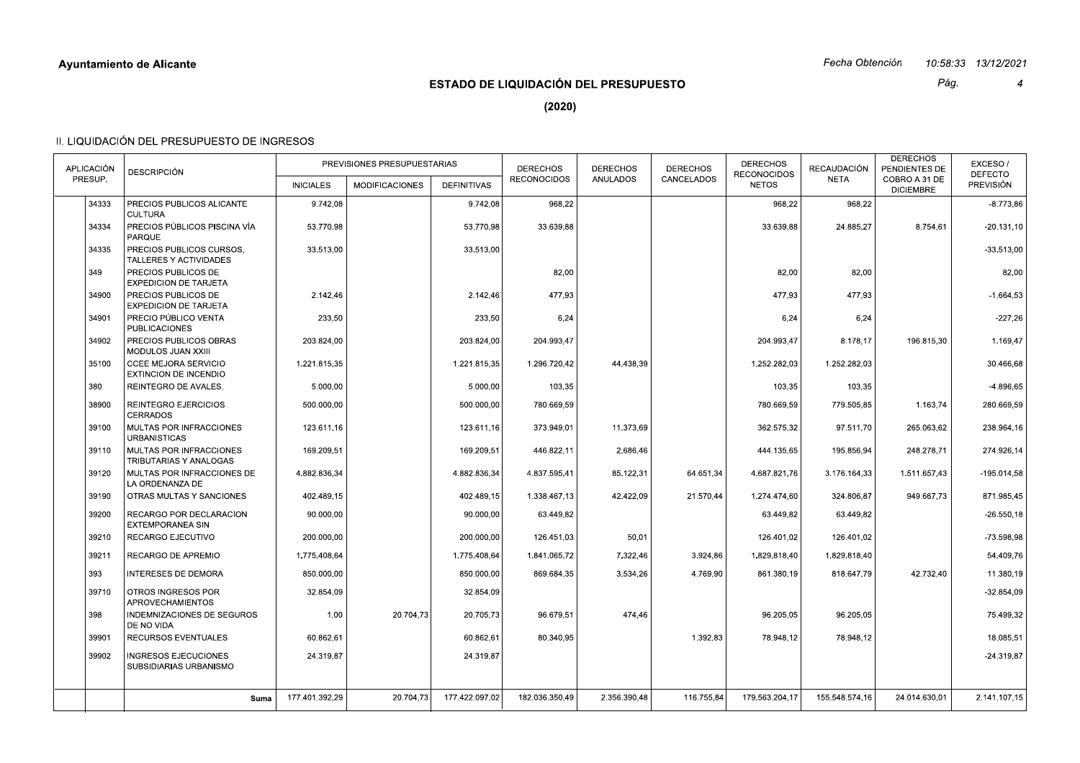## Fecha Obtención 10:58:33 13/12/2021

# **ESTADO DE LIQUIDACIÓN DEL PRESUPUESTO**

Pág.  $\overline{4}$ 

 $(2020)$ 

| APLICACIÓN<br>PRESUP. | <b>DESCRIPCIÓN</b>                                          |                  | PREVISIONES PRESUPUESTARIAS |                    | <b>DERECHOS</b><br><b>RECONOCIDOS</b> | <b>DERECHOS</b><br><b>ANULADOS</b> | <b>DERECHOS</b><br>CANCELADOS | <b>DERECHOS</b><br><b>RECONOCIDOS</b> | RECAUDACIÓN<br><b>NETA</b> | <b>DERECHOS</b><br>PENDIENTES DE<br>COBRO A 31 DE | EXCESO/<br><b>DEFECTO</b> |
|-----------------------|-------------------------------------------------------------|------------------|-----------------------------|--------------------|---------------------------------------|------------------------------------|-------------------------------|---------------------------------------|----------------------------|---------------------------------------------------|---------------------------|
|                       |                                                             | <b>INICIALES</b> | <b>MODIFICACIONES</b>       | <b>DEFINITIVAS</b> |                                       |                                    |                               | <b>NETOS</b>                          |                            | <b>DICIEMBRE</b>                                  | <b>PREVISIÓN</b>          |
| 34333                 | PRECIOS PUBLICOS ALICANTE<br><b>CULTURA</b>                 | 9.742,08         |                             | 9.742,08           | 968,22                                |                                    |                               | 968,22                                | 968,22                     |                                                   | $-8.773,86$               |
| 34334                 | PRECIOS PÚBLICOS PISCINA VÍA<br><b>PARQUE</b>               | 53.770,98        |                             | 53.770,98          | 33.639,88                             |                                    |                               | 33.639,88                             | 24.885,27                  | 8.754,61                                          | $-20.131,10$              |
| 34335                 | PRECIOS PUBLICOS CURSOS.<br>TALLERES Y ACTIVIDADES          | 33.513.00        |                             | 33.513,00          |                                       |                                    |                               |                                       |                            |                                                   | $-33.513,00$              |
| 349                   | PRECIOS PUBLICOS DE<br><b>EXPEDICION DE TARJETA</b>         |                  |                             |                    | 82,00                                 |                                    |                               | 82,00                                 | 82,00                      |                                                   | 82,00                     |
| 34900                 | PRECIOS PUBLICOS DE<br><b>EXPEDICION DE TARJETA</b>         | 2.142,46         |                             | 2.142,46           | 477,93                                |                                    |                               | 477,93                                | 477,93                     |                                                   | $-1.664,53$               |
| 34901                 | PRECIO PÚBLICO VENTA<br><b>PUBLICACIONES</b>                | 233,50           |                             | 233,50             | 6,24                                  |                                    |                               | 6,24                                  | 6,24                       |                                                   | $-227,26$                 |
| 34902                 | PRECIOS PUBLICOS OBRAS<br>MODULOS JUAN XXIII                | 203.824.00       |                             | 203.824.00         | 204.993.47                            |                                    |                               | 204.993.47                            | 8.178,17                   | 196.815,30                                        | 1.169,47                  |
| 35100                 | <b>CCEE MEJORA SERVICIO</b><br><b>EXTINCION DE INCENDIO</b> | 1.221.815,35     |                             | 1.221.815,35       | 1.296.720,42                          | 44.438,39                          |                               | 1.252.282,03                          | 1.252.282,03               |                                                   | 30.466,68                 |
| 380                   | REINTEGRO DE AVALES.                                        | 5.000.00         |                             | 5.000.00           | 103,35                                |                                    |                               | 103.35                                | 103,35                     |                                                   | $-4.896.65$               |
| 38900                 | <b>REINTEGRO EJERCICIOS</b><br><b>CERRADOS</b>              | 500.000.00       |                             | 500.000.00         | 780.669.59                            |                                    |                               | 780.669.59                            | 779.505,85                 | 1.163,74                                          | 280.669.59                |
| 39100                 | MULTAS POR INFRACCIONES<br><b>URBANISTICAS</b>              | 123.611,16       |                             | 123.611,16         | 373.949,01                            | 11.373,69                          |                               | 362.575,32                            | 97.511,70                  | 265.063,62                                        | 238.964,16                |
| 39110                 | MULTAS POR INFRACCIONES<br>TRIBUTARIAS Y ANALOGAS           | 169.209.51       |                             | 169.209.51         | 446.822,11                            | 2.686,46                           |                               | 444.135,65                            | 195.856.94                 | 248.278,71                                        | 274.926,14                |
| 39120                 | MULTAS POR INFRACCIONES DE<br>LA ORDENANZA DE               | 4.882.836,34     |                             | 4.882.836,34       | 4.837.595,41                          | 85.122,31                          | 64.651,34                     | 4.687.821,76                          | 3.176.164,33               | 1.511.657,43                                      | $-195.014.58$             |
| 39190                 | OTRAS MULTAS Y SANCIONES                                    | 402.489.15       |                             | 402.489.15         | 1.338.467.13                          | 42.422.09                          | 21.570.44                     | 1.274.474.60                          | 324.806.87                 | 949.667.73                                        | 871.985,45                |
| 39200                 | RECARGO POR DECLARACION<br><b>EXTEMPORANEA SIN</b>          | 90.000.00        |                             | 90.000.00          | 63.449.82                             |                                    |                               | 63.449,82                             | 63.449.82                  |                                                   | $-26.550, 18$             |
| 39210                 | RECARGO EJECUTIVO                                           | 200.000,00       |                             | 200.000,00         | 126.451,03                            | 50,01                              |                               | 126.401,02                            | 126.401,02                 |                                                   | -73.598,98                |
| 39211                 | <b>RECARGO DE APREMIO</b>                                   | 1.775.408.64     |                             | 1.775.408.64       | 1.841.065,72                          | 7.322,46                           | 3.924,86                      | 1.829.818,40                          | 1.829.818,40               |                                                   | 54.409,76                 |
| 393                   | <b>INTERESES DE DEMORA</b>                                  | 850.000,00       |                             | 850.000,00         | 869.684,35                            | 3.534,26                           | 4.769,90                      | 861.380,19                            | 818.647,79                 | 42.732,40                                         | 11.380,19                 |
| 39710                 | OTROS INGRESOS POR<br><b>APROVECHAMIENTOS</b>               | 32.854,09        |                             | 32.854,09          |                                       |                                    |                               |                                       |                            |                                                   | $-32.854.09$              |
| 398                   | INDEMNIZACIONES DE SEGUROS<br>DE NO VIDA                    | 1,00             | 20.704,73                   | 20.705,73          | 96.679,51                             | 474,46                             |                               | 96.205,05                             | 96.205,05                  |                                                   | 75.499,32                 |
| 39901                 | <b>RECURSOS EVENTUALES</b>                                  | 60.862.61        |                             | 60.862,61          | 80.340.95                             |                                    | 1.392,83                      | 78.948,12                             | 78.948.12                  |                                                   | 18.085.51                 |
| 39902                 | <b>INGRESOS EJECUCIONES</b><br>SUBSIDIARIAS URBANISMO       | 24.319,87        |                             | 24.319,87          |                                       |                                    |                               |                                       |                            |                                                   | $-24.319.87$              |
|                       |                                                             |                  |                             |                    |                                       |                                    |                               |                                       |                            |                                                   |                           |
|                       | Suma                                                        | 177.401.392.29   | 20.704,73                   | 177.422.097.02     | 182.036.350.49                        | 2.356.390.48                       | 116.755,84                    | 179.563.204.17                        | 155.548.574,16             | 24.014.630.01                                     | 2.141.107.15              |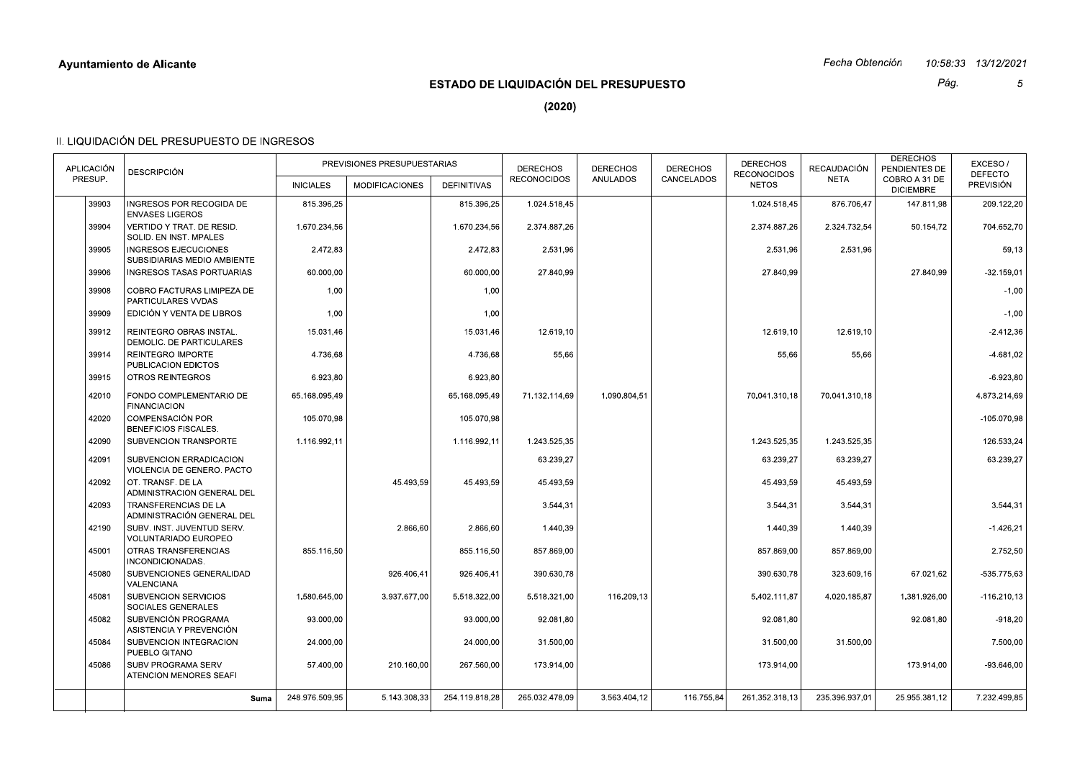## Fecha Obtención 10:58:33 13/12/2021

# **ESTADO DE LIQUIDACIÓN DEL PRESUPUESTO**

Pág.  $\sqrt{5}$ 

 $(2020)$ 

| <b>APLICACIÓN</b><br>PRESUP. | <b>DESCRIPCIÓN</b>                                         | <b>INICIALES</b> | PREVISIONES PRESUPUESTARIAS<br><b>MODIFICACIONES</b> | <b>DEFINITIVAS</b> | <b>DERECHOS</b><br><b>RECONOCIDOS</b> | <b>DERECHOS</b><br><b>ANULADOS</b> | <b>DERECHOS</b><br>CANCELADOS | <b>DERECHOS</b><br><b>RECONOCIDOS</b><br><b>NETOS</b> | <b>RECAUDACIÓN</b><br><b>NETA</b> | <b>DERECHOS</b><br>PENDIENTES DE<br>COBRO A 31 DE<br><b>DICIEMBRE</b> | EXCESO/<br><b>DEFECTO</b><br><b>PREVISIÓN</b> |
|------------------------------|------------------------------------------------------------|------------------|------------------------------------------------------|--------------------|---------------------------------------|------------------------------------|-------------------------------|-------------------------------------------------------|-----------------------------------|-----------------------------------------------------------------------|-----------------------------------------------|
| 39903                        | INGRESOS POR RECOGIDA DE                                   | 815.396,25       |                                                      | 815.396,25         | 1.024.518,45                          |                                    |                               | 1.024.518,45                                          | 876.706,47                        | 147.811,98                                                            | 209.122,20                                    |
|                              | <b>ENVASES LIGEROS</b>                                     |                  |                                                      |                    |                                       |                                    |                               |                                                       |                                   |                                                                       |                                               |
| 39904                        | VERTIDO Y TRAT. DE RESID.<br>SOLID. EN INST. MPALES        | 1.670.234,56     |                                                      | 1.670.234,56       | 2.374.887,26                          |                                    |                               | 2.374.887,26                                          | 2.324.732,54                      | 50.154,72                                                             | 704.652,70                                    |
| 39905                        | <b>INGRESOS EJECUCIONES</b><br>SUBSIDIARIAS MEDIO AMBIENTE | 2.472,83         |                                                      | 2.472,83           | 2.531,96                              |                                    |                               | 2.531.96                                              | 2.531,96                          |                                                                       | 59,13                                         |
| 39906                        | <b>INGRESOS TASAS PORTUARIAS</b>                           | 60.000,00        |                                                      | 60.000,00          | 27.840.99                             |                                    |                               | 27.840.99                                             |                                   | 27.840,99                                                             | $-32.159,01$                                  |
| 39908                        | COBRO FACTURAS LIMIPEZA DE<br>PARTICULARES VVDAS           | 1,00             |                                                      | 1,00               |                                       |                                    |                               |                                                       |                                   |                                                                       | $-1,00$                                       |
| 39909                        | EDICIÓN Y VENTA DE LIBROS                                  | 1,00             |                                                      | 1,00               |                                       |                                    |                               |                                                       |                                   |                                                                       | $-1.00$                                       |
| 39912                        | REINTEGRO OBRAS INSTAL.<br>DEMOLIC. DE PARTICULARES        | 15.031.46        |                                                      | 15.031,46          | 12.619.10                             |                                    |                               | 12.619.10                                             | 12.619,10                         |                                                                       | $-2.412,36$                                   |
| 39914                        | REINTEGRO IMPORTE<br>PUBLICACION EDICTOS                   | 4.736,68         |                                                      | 4.736,68           | 55,66                                 |                                    |                               | 55,66                                                 | 55,66                             |                                                                       | $-4.681.02$                                   |
| 39915                        | <b>OTROS REINTEGROS</b>                                    | 6.923,80         |                                                      | 6.923,80           |                                       |                                    |                               |                                                       |                                   |                                                                       | $-6.923.80$                                   |
| 42010                        | FONDO COMPLEMENTARIO DE<br><b>FINANCIACION</b>             | 65.168.095,49    |                                                      | 65.168.095,49      | 71.132.114,69                         | 1.090.804,51                       |                               | 70.041.310,18                                         | 70.041.310.18                     |                                                                       | 4.873.214,69                                  |
| 42020                        | <b>COMPENSACIÓN POR</b><br><b>BENEFICIOS FISCALES.</b>     | 105.070,98       |                                                      | 105.070,98         |                                       |                                    |                               |                                                       |                                   |                                                                       | $-105.070,98$                                 |
| 42090                        | SUBVENCION TRANSPORTE                                      | 1.116.992.11     |                                                      | 1.116.992.11       | 1.243.525.35                          |                                    |                               | 1.243.525.35                                          | 1.243.525.35                      |                                                                       | 126.533,24                                    |
| 42091                        | SUBVENCION ERRADICACION<br>VIOLENCIA DE GENERO. PACTO      |                  |                                                      |                    | 63.239,27                             |                                    |                               | 63.239,27                                             | 63.239,27                         |                                                                       | 63.239,27                                     |
| 42092                        | OT. TRANSF. DE LA<br>ADMINISTRACION GENERAL DEL            |                  | 45.493,59                                            | 45.493,59          | 45.493,59                             |                                    |                               | 45.493,59                                             | 45.493,59                         |                                                                       |                                               |
| 42093                        | <b>TRANSFERENCIAS DE LA</b><br>ADMINISTRACIÓN GENERAL DEL  |                  |                                                      |                    | 3.544.31                              |                                    |                               | 3.544.31                                              | 3.544.31                          |                                                                       | 3.544.31                                      |
| 42190                        | SUBV. INST. JUVENTUD SERV.<br>VOLUNTARIADO EUROPEO         |                  | 2.866,60                                             | 2.866,60           | 1.440,39                              |                                    |                               | 1.440,39                                              | 1.440,39                          |                                                                       | $-1.426,21$                                   |
| 45001                        | OTRAS TRANSFERENCIAS<br>INCONDICIONADAS.                   | 855.116.50       |                                                      | 855.116.50         | 857.869.00                            |                                    |                               | 857.869.00                                            | 857.869.00                        |                                                                       | 2.752.50                                      |
| 45080                        | SUBVENCIONES GENERALIDAD<br><b>VALENCIANA</b>              |                  | 926.406,41                                           | 926.406,41         | 390.630,78                            |                                    |                               | 390.630,78                                            | 323.609,16                        | 67.021,62                                                             | $-535.775.63$                                 |
| 45081                        | SUBVENCION SERVICIOS<br><b>SOCIALES GENERALES</b>          | 1.580.645,00     | 3.937.677,00                                         | 5.518.322,00       | 5.518.321,00                          | 116.209,13                         |                               | 5.402.111,87                                          | 4.020.185,87                      | 1.381.926,00                                                          | $-116.210,13$                                 |
| 45082                        | SUBVENCIÓN PROGRAMA<br>ASISTENCIA Y PREVENCIÓN             | 93.000.00        |                                                      | 93.000,00          | 92.081,80                             |                                    |                               | 92.081,80                                             |                                   | 92.081,80                                                             | $-918,20$                                     |
| 45084                        | SUBVENCION INTEGRACION<br>PUEBLO GITANO                    | 24.000,00        |                                                      | 24.000,00          | 31.500,00                             |                                    |                               | 31.500,00                                             | 31.500,00                         |                                                                       | 7.500,00                                      |
| 45086                        | SUBV PROGRAMA SERV<br>ATENCION MENORES SEAFI               | 57.400,00        | 210.160,00                                           | 267.560,00         | 173.914,00                            |                                    |                               | 173.914,00                                            |                                   | 173.914,00                                                            | $-93.646,00$                                  |
|                              | Suma                                                       | 248.976.509,95   | 5.143.308,33                                         | 254.119.818.28     | 265.032.478.09                        | 3.563.404.12                       | 116.755,84                    | 261.352.318.13                                        | 235.396.937.01                    | 25.955.381.12                                                         | 7.232.499.85                                  |
|                              |                                                            |                  |                                                      |                    |                                       |                                    |                               |                                                       |                                   |                                                                       |                                               |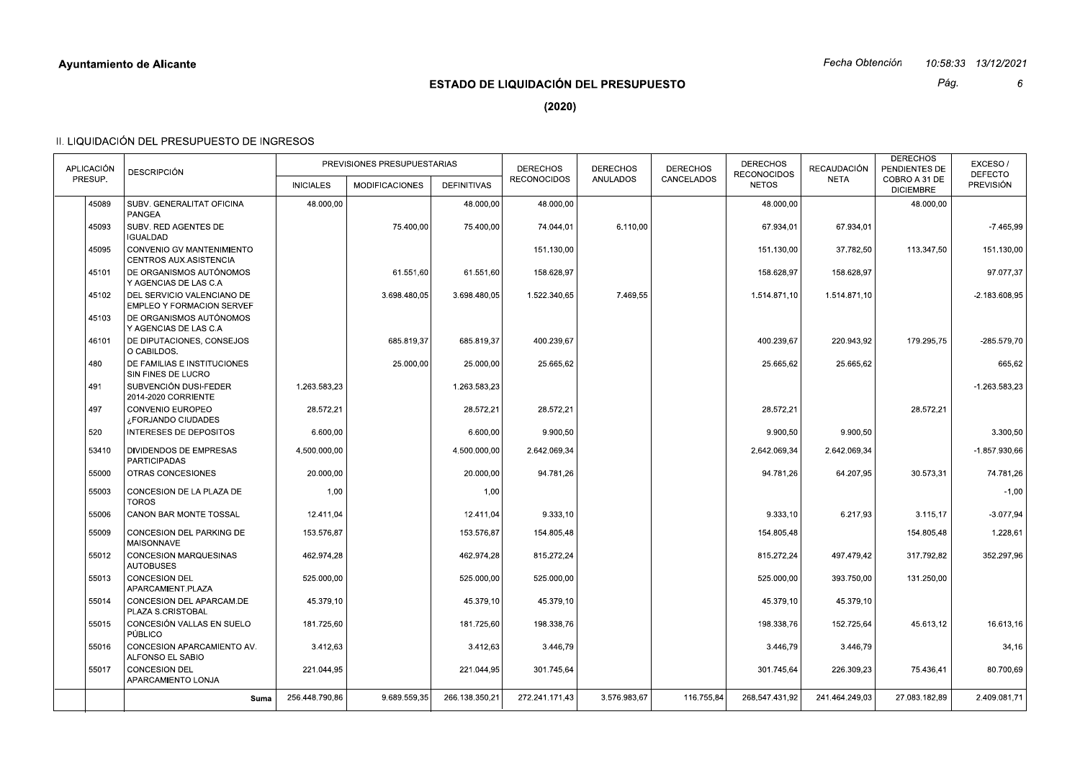|            | <b>Ayuntamiento de Alicante</b>                                |                  |                             |                    |                                       |                 |                 |                                    | Fecha Obtención |                                                    | 10.58.33  13/12/2021        |
|------------|----------------------------------------------------------------|------------------|-----------------------------|--------------------|---------------------------------------|-----------------|-----------------|------------------------------------|-----------------|----------------------------------------------------|-----------------------------|
|            |                                                                |                  |                             |                    | ESTADO DE LIQUIDACIÓN DEL PRESUPUESTO |                 |                 |                                    |                 | Pág.                                               | 6                           |
|            |                                                                |                  |                             |                    | (2020)                                |                 |                 |                                    |                 |                                                    |                             |
|            | II. LIQUIDACIÓN DEL PRESUPUESTO DE INGRESOS                    |                  |                             |                    |                                       |                 |                 |                                    |                 |                                                    |                             |
| APLICACIÓN |                                                                |                  | PREVISIONES PRESUPUESTARIAS |                    | <b>DERECHOS</b>                       | <b>DERECHOS</b> | <b>DERECHOS</b> | <b>DERECHOS</b>                    | RECAUDACIÓN     | <b>DERECHOS</b>                                    | EXCESO/                     |
| PRESUP.    | <b>DESCRIPCIÓN</b>                                             | <b>INICIALES</b> | <b>MODIFICACIONES</b>       | <b>DEFINITIVAS</b> | <b>RECONOCIDOS</b>                    | ANULADOS        | CANCELADOS      | <b>RECONOCIDOS</b><br><b>NETOS</b> | <b>NETA</b>     | PENDIENTES DE<br>COBRO A 31 DE<br><b>DICIEMBRE</b> | <b>DEFECTO</b><br>PREVISIÓN |
| 45089      | SUBV. GENERALITAT OFICINA<br>PANGEA                            | 48.000,00        |                             | 48.000,00          | 48.000,00                             |                 |                 | 48.000,00                          |                 | 48.000,00                                          |                             |
| 45093      | SUBV. RED AGENTES DE<br><b>IGUALDAD</b>                        |                  | 75.400,00                   | 75.400,00          | 74.044,01                             | 6.110,00        |                 | 67.934,01                          | 67.934,01       |                                                    | $-7.465,99$                 |
| 45095      | CONVENIO GV MANTENIMIENTO<br>CENTROS AUX.ASISTENCIA            |                  |                             |                    | 151.130,00                            |                 |                 | 151.130,00                         | 37.782,50       | 113.347,50                                         | 151.130,00                  |
| 45101      | DE ORGANISMOS AUTÓNOMOS<br>Y AGENCIAS DE LAS C.A               |                  | 61.551,60                   | 61.551,60          | 158.628,97                            |                 |                 | 158.628,97                         | 158.628,97      |                                                    | 97.077,37                   |
| 45102      | DEL SERVICIO VALENCIANO DE<br><b>EMPLEO Y FORMACION SERVEF</b> |                  | 3.698.480,05                | 3.698.480,05       | 1.522.340,65                          | 7.469,55        |                 | 1.514.871,10                       | 1.514.871.10    |                                                    | $-2.183.608.95$             |
| 45103      | DE ORGANISMOS AUTÓNOMOS<br>Y AGENCIAS DE LAS C.A               |                  |                             |                    |                                       |                 |                 |                                    |                 |                                                    |                             |
| 46101      | DE DIPUTACIONES, CONSEJOS<br>O CABILDOS.                       |                  | 685.819,37                  | 685.819,37         | 400.239,67                            |                 |                 | 400.239,67                         | 220.943,92      | 179.295,75                                         | -285.579,70                 |
| 480        | DE FAMILIAS E INSTITUCIONES<br>SIN FINES DE LUCRO              |                  | 25.000,00                   | 25.000,00          | 25.665,62                             |                 |                 | 25.665,62                          | 25.665,62       |                                                    | 665,62                      |
| 491        | SUBVENCIÓN DUSI-FEDER<br>2014-2020 CORRIENTE                   | 1.263.583,23     |                             | 1.263.583,23       |                                       |                 |                 |                                    |                 |                                                    | $-1.263.583.23$             |
| 497        | CONVENIO EUROPEO<br>¿FORJANDO CIUDADES                         | 28.572,21        |                             | 28.572,21          | 28.572,21                             |                 |                 | 28.572,21                          |                 | 28.572,21                                          |                             |
| 520        | INTERESES DE DEPOSITOS                                         | 6.600,00         |                             | 6.600,00           | 9.900,50                              |                 |                 | 9.900,50                           | 9.900,50        |                                                    | 3.300,50                    |
| 53410      | DIVIDENDOS DE EMPRESAS<br><b>PARTICIPADAS</b>                  | 4.500.000,00     |                             | 4.500.000,00       | 2.642.069,34                          |                 |                 | 2.642.069,34                       | 2.642.069,34    |                                                    | -1.857.930,66               |
| 55000      | OTRAS CONCESIONES                                              | 20.000,00        |                             | 20.000,00          | 94.781,26                             |                 |                 | 94.781,26                          | 64.207,95       | 30.573,31                                          | 74.781,26                   |
| 55003      | CONCESION DE LA PLAZA DE<br><b>TOROS</b>                       | 1,00             |                             | 1,00               |                                       |                 |                 |                                    |                 |                                                    | $-1,00$                     |
| 55006      | CANON BAR MONTE TOSSAL                                         | 12.411,04        |                             | 12.411,04          | 9.333,10                              |                 |                 | 9.333,10                           | 6.217,93        | 3.115,17                                           | $-3.077,94$                 |
| 55009      | CONCESION DEL PARKING DE<br>MAISONNAVE                         | 153.576,87       |                             | 153.576,87         | 154.805,48                            |                 |                 | 154.805,48                         |                 | 154.805,48                                         | 1.228,61                    |
| 55012      | CONCESION MARQUESINAS<br><b>AUTOBUSES</b>                      | 462.974,28       |                             | 462.974,28         | 815.272,24                            |                 |                 | 815.272,24                         | 497.479,42      | 317.792,82                                         | 352.297,96                  |
| 55013      | CONCESION DEL<br>APARCAMIENT.PLAZA                             | 525.000,00       |                             | 525.000,00         | 525.000,00                            |                 |                 | 525.000,00                         | 393.750,00      | 131.250,00                                         |                             |
| 55014      | CONCESION DEL APARCAM.DE<br>PLAZA S.CRISTOBAL                  | 45.379,10        |                             | 45.379,10          | 45.379,10                             |                 |                 | 45.379,10                          | 45.379,10       |                                                    |                             |
| 55015      | CONCESIÓN VALLAS EN SUELO<br>PÚBLICO                           | 181.725,60       |                             | 181.725,60         | 198.338,76                            |                 |                 | 198.338,76                         | 152.725,64      | 45.613,12                                          | 16.613,16                   |
| 55016      | CONCESION APARCAMIENTO AV.<br>ALFONSO EL SABIO                 | 3.412,63         |                             | 3.412,63           | 3.446,79                              |                 |                 | 3.446,79                           | 3.446,79        |                                                    | 34,16                       |
| 55017      | CONCESION DEL<br>APARCAMIENTO LONJA                            | 221.044,95       |                             | 221.044,95         | 301.745,64                            |                 |                 | 301.745,64                         | 226.309,23      | 75.436,41                                          | 80.700,69                   |
|            | Suma                                                           | 256.448.790,86   | 9.689.559.35                | 266.138.350,21     | 272.241.171,43                        | 3.576.983,67    | 116.755,84      | 268.547.431,92                     | 241.464.249,03  | 27.083.182,89                                      | 2.409.081,71                |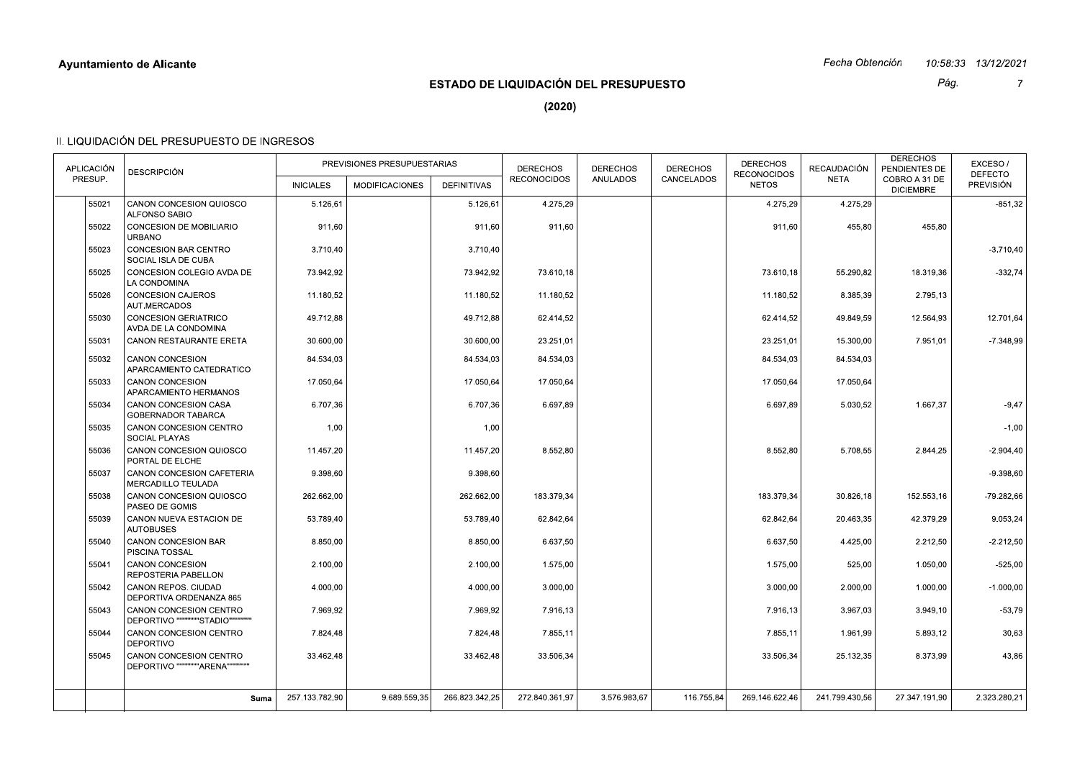|            | <b>Ayuntamiento de Alicante</b>                            |                  |                             |                    |                                              |                 |                 |                                    | Fecha Obtención |                                   | 10.58.33  13/12/2021        |
|------------|------------------------------------------------------------|------------------|-----------------------------|--------------------|----------------------------------------------|-----------------|-----------------|------------------------------------|-----------------|-----------------------------------|-----------------------------|
|            |                                                            |                  |                             |                    | <b>ESTADO DE LIQUIDACIÓN DEL PRESUPUESTO</b> |                 |                 |                                    |                 | Pág.                              | $\overline{7}$              |
|            |                                                            |                  |                             |                    | (2020)                                       |                 |                 |                                    |                 |                                   |                             |
|            | II. LIQUIDACIÓN DEL PRESUPUESTO DE INGRESOS                |                  |                             |                    |                                              |                 |                 |                                    |                 |                                   |                             |
| APLICACIÓN |                                                            |                  | PREVISIONES PRESUPUESTARIAS |                    | <b>DERECHOS</b>                              | <b>DERECHOS</b> | <b>DERECHOS</b> | <b>DERECHOS</b>                    | RECAUDACIÓN     | <b>DERECHOS</b><br>PENDIENTES DE  | EXCESO/                     |
| PRESUP.    | <b>DESCRIPCIÓN</b>                                         | <b>INICIALES</b> | <b>MODIFICACIONES</b>       | <b>DEFINITIVAS</b> | <b>RECONOCIDOS</b>                           | ANULADOS        | CANCELADOS      | <b>RECONOCIDOS</b><br><b>NETOS</b> | <b>NETA</b>     | COBRO A 31 DE<br><b>DICIEMBRE</b> | <b>DEFECTO</b><br>PREVISIÓN |
| 55021      | CANON CONCESION QUIOSCO<br>ALFONSO SABIO                   | 5.126,61         |                             | 5.126,61           | 4.275,29                                     |                 |                 | 4.275,29                           | 4.275,29        |                                   | $-851,32$                   |
| 55022      | CONCESION DE MOBILIARIO<br><b>URBANO</b>                   | 911,60           |                             | 911,60             | 911,60                                       |                 |                 | 911,60                             | 455,80          | 455,80                            |                             |
| 55023      | CONCESION BAR CENTRO<br>SOCIAL ISLA DE CUBA                | 3.710,40         |                             | 3.710,40           |                                              |                 |                 |                                    |                 |                                   | $-3.710,40$                 |
| 55025      | CONCESION COLEGIO AVDA DE<br>LA CONDOMINA                  | 73.942,92        |                             | 73.942,92          | 73.610,18                                    |                 |                 | 73.610,18                          | 55.290,82       | 18.319,36                         | $-332,74$                   |
| 55026      | <b>CONCESION CAJEROS</b><br>AUT.MERCADOS                   | 11.180,52        |                             | 11.180,52          | 11.180,52                                    |                 |                 | 11.180,52                          | 8.385,39        | 2.795,13                          |                             |
| 55030      | CONCESION GERIATRICO<br>AVDA.DE LA CONDOMINA               | 49.712,88        |                             | 49.712,88          | 62.414,52                                    |                 |                 | 62.414,52                          | 49.849,59       | 12.564,93                         | 12.701,64                   |
| 55031      | CANON RESTAURANTE ERETA                                    | 30.600,00        |                             | 30.600,00          | 23.251,01                                    |                 |                 | 23.251,01                          | 15.300,00       | 7.951,01                          | $-7.348,99$                 |
| 55032      | CANON CONCESION<br>APARCAMIENTO CATEDRATICO                | 84.534,03        |                             | 84.534,03          | 84.534,03                                    |                 |                 | 84.534,03                          | 84.534,03       |                                   |                             |
| 55033      | CANON CONCESION<br>APARCAMIENTO HERMANOS                   | 17.050,64        |                             | 17.050,64          | 17.050,64                                    |                 |                 | 17.050,64                          | 17.050,64       |                                   |                             |
| 55034      | CANON CONCESION CASA<br><b>GOBERNADOR TABARCA</b>          | 6.707,36         |                             | 6.707,36           | 6.697,89                                     |                 |                 | 6.697,89                           | 5.030,52        | 1.667,37                          | $-9,47$                     |
| 55035      | CANON CONCESION CENTRO<br>SOCIAL PLAYAS                    | 1,00             |                             | 1,00               |                                              |                 |                 |                                    |                 |                                   | $-1,00$                     |
| 55036      | CANON CONCESION QUIOSCO<br>PORTAL DE ELCHE                 | 11.457,20        |                             | 11.457,20          | 8.552,80                                     |                 |                 | 8.552,80                           | 5.708,55        | 2.844,25                          | $-2.904,40$                 |
| 55037      | CANON CONCESION CAFETERIA<br>MERCADILLO TEULADA            | 9.398,60         |                             | 9.398,60           |                                              |                 |                 |                                    |                 |                                   | $-9.398,60$                 |
| 55038      | CANON CONCESION QUIOSCO<br>PASEO DE GOMIS                  | 262.662,00       |                             | 262.662,00         | 183.379,34                                   |                 |                 | 183.379,34                         | 30.826,18       | 152.553,16                        | $-79.282,66$                |
| 55039      | CANON NUEVA ESTACION DE<br><b>AUTOBUSES</b>                | 53.789,40        |                             | 53.789,40          | 62.842,64                                    |                 |                 | 62.842,64                          | 20.463,35       | 42.379,29                         | 9.053,24                    |
| 55040      | CANON CONCESION BAR<br>PISCINA TOSSAL                      | 8.850,00         |                             | 8.850,00           | 6.637,50                                     |                 |                 | 6.637,50                           | 4.425,00        | 2.212,50                          | $-2.212,50$                 |
| 55041      | CANON CONCESION<br>REPOSTERIA PABELLON                     | 2.100,00         |                             | 2.100,00           | 1.575,00                                     |                 |                 | 1.575,00                           | 525,00          | 1.050,00                          | $-525,00$                   |
| 55042      | CANON REPOS. CIUDAD<br>DEPORTIVA ORDENANZA 865             | 4.000,00         |                             | 4.000,00           | 3.000,00                                     |                 |                 | 3.000,00                           | 2.000,00        | 1.000,00                          | $-1.000,00$                 |
| 55043      | CANON CONCESION CENTRO<br>DEPORTIVO """""""STADIO""""""""" | 7.969,92         |                             | 7.969,92           | 7.916,13                                     |                 |                 | 7.916,13                           | 3.967,03        | 3.949,10                          | $-53,79$                    |
| 55044      | CANON CONCESION CENTRO<br><b>DEPORTIVO</b>                 | 7.824,48         |                             | 7.824,48           | 7.855,11                                     |                 |                 | 7.855,11                           | 1.961,99        | 5.893,12                          | 30,63                       |
| 55045      | CANON CONCESION CENTRO<br>DEPORTIVO """""""ARENA""""""""   | 33.462,48        |                             | 33.462,48          | 33.506,34                                    |                 |                 | 33.506,34                          | 25.132,35       | 8.373,99                          | 43,86                       |
|            | Suma                                                       | 257.133.782,90   | 9.689.559.35                | 266.823.342,25     | 272.840.361.97                               | 3.576.983.67    | 116.755,84      | 269.146.622.46                     | 241.799.430,56  | 27.347.191,90                     | 2.323.280,21                |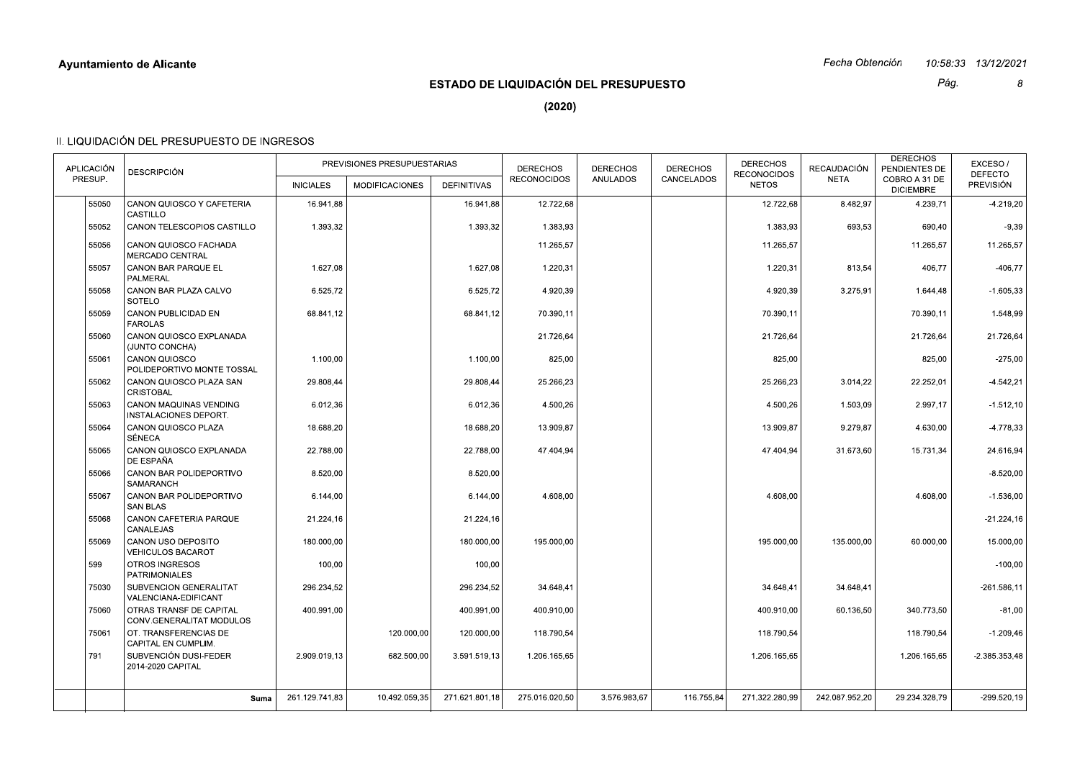|            |                                                       |                  |                             |                    |                                              |                 |                 |                                    | Fecha Obtención |                                   | 10.58.33  13/12/2021        |
|------------|-------------------------------------------------------|------------------|-----------------------------|--------------------|----------------------------------------------|-----------------|-----------------|------------------------------------|-----------------|-----------------------------------|-----------------------------|
|            |                                                       |                  |                             |                    | <b>ESTADO DE LIQUIDACIÓN DEL PRESUPUESTO</b> |                 |                 |                                    |                 | Pág.                              | 8                           |
|            |                                                       |                  |                             |                    | (2020)                                       |                 |                 |                                    |                 |                                   |                             |
|            | II. LIQUIDACIÓN DEL PRESUPUESTO DE INGRESOS           |                  |                             |                    |                                              |                 |                 |                                    |                 |                                   |                             |
| APLICACIÓN |                                                       |                  | PREVISIONES PRESUPUESTARIAS |                    | <b>DERECHOS</b>                              | <b>DERECHOS</b> | <b>DERECHOS</b> | <b>DERECHOS</b>                    | RECAUDACIÓN     | <b>DERECHOS</b><br>PENDIENTES DE  | EXCESO/                     |
| PRESUP.    | <b>DESCRIPCIÓN</b>                                    | <b>INICIALES</b> | <b>MODIFICACIONES</b>       | <b>DEFINITIVAS</b> | <b>RECONOCIDOS</b>                           | ANULADOS        | CANCELADOS      | <b>RECONOCIDOS</b><br><b>NETOS</b> | <b>NETA</b>     | COBRO A 31 DE<br><b>DICIEMBRE</b> | <b>DEFECTO</b><br>PREVISIÓN |
| 55050      | CANON QUIOSCO Y CAFETERIA<br>CASTILLO                 | 16.941,88        |                             | 16.941,88          | 12.722,68                                    |                 |                 | 12.722,68                          | 8.482,97        | 4.239,71                          | $-4.219,20$                 |
| 55052      | CANON TELESCOPIOS CASTILLO                            | 1.393,32         |                             | 1.393,32           | 1.383,93                                     |                 |                 | 1.383,93                           | 693,53          | 690,40                            | $-9,39$                     |
| 55056      | CANON QUIOSCO FACHADA<br>MERCADO CENTRAL              |                  |                             |                    | 11.265,57                                    |                 |                 | 11.265,57                          |                 | 11.265,57                         | 11.265,57                   |
| 55057      | CANON BAR PARQUE EL                                   | 1.627,08         |                             | 1.627,08           | 1.220,31                                     |                 |                 | 1.220,31                           | 813,54          | 406,77                            | $-406,77$                   |
| 55058      | PALMERAL<br>CANON BAR PLAZA CALVO                     | 6.525,72         |                             | 6.525,72           | 4.920,39                                     |                 |                 | 4.920,39                           | 3.275,91        | 1.644,48                          | $-1.605,33$                 |
| 55059      | SOTELO<br>CANON PUBLICIDAD EN                         | 68.841,12        |                             | 68.841,12          | 70.390,11                                    |                 |                 | 70.390,11                          |                 | 70.390,11                         | 1.548,99                    |
| 55060      | <b>FAROLAS</b><br>CANON QUIOSCO EXPLANADA             |                  |                             |                    | 21.726,64                                    |                 |                 | 21.726,64                          |                 | 21.726,64                         | 21.726,64                   |
| 55061      | (JUNTO CONCHA)<br>CANON QUIOSCO                       | 1.100,00         |                             | 1.100,00           | 825,00                                       |                 |                 | 825,00                             |                 | 825,00                            | $-275,00$                   |
| 55062      | POLIDEPORTIVO MONTE TOSSAL<br>CANON QUIOSCO PLAZA SAN | 29.808,44        |                             | 29.808,44          | 25.266,23                                    |                 |                 | 25.266,23                          | 3.014,22        | 22.252,01                         | $-4.542,21$                 |
| 55063      | <b>CRISTOBAL</b><br>CANON MAQUINAS VENDING            | 6.012,36         |                             | 6.012,36           | 4.500,26                                     |                 |                 | 4.500,26                           | 1.503,09        | 2.997,17                          | $-1.512, 10$                |
| 55064      | INSTALACIONES DEPORT.<br>CANON QUIOSCO PLAZA          | 18.688,20        |                             | 18.688,20          | 13.909,87                                    |                 |                 | 13.909,87                          | 9.279,87        | 4.630,00                          | -4.778,33                   |
| 55065      | SÉNECA<br>CANON QUIOSCO EXPLANADA                     | 22.788,00        |                             | 22.788,00          | 47.404,94                                    |                 |                 | 47.404,94                          | 31.673,60       | 15.731,34                         | 24.616,94                   |
| 55066      | DE ESPAÑA<br>CANON BAR POLIDEPORTIVO                  | 8.520,00         |                             | 8.520,00           |                                              |                 |                 |                                    |                 |                                   | $-8.520,00$                 |
| 55067      | SAMARANCH<br>CANON BAR POLIDEPORTIVO                  | 6.144,00         |                             | 6.144,00           | 4.608,00                                     |                 |                 | 4.608,00                           |                 | 4.608.00                          | $-1.536,00$                 |
| 55068      | <b>SAN BLAS</b><br>CANON CAFETERIA PARQUE             | 21.224,16        |                             | 21.224,16          |                                              |                 |                 |                                    |                 |                                   | $-21.224,16$                |
| 55069      | CANALEJAS<br>CANON USO DEPOSITO                       | 180.000,00       |                             | 180.000,00         | 195.000,00                                   |                 |                 | 195.000,00                         | 135.000,00      | 60.000,00                         | 15.000,00                   |
| 599        | VEHICULOS BACAROT<br>OTROS INGRESOS                   | 100,00           |                             | 100,00             |                                              |                 |                 |                                    |                 |                                   | $-100,00$                   |
| 75030      | <b>PATRIMONIALES</b><br>SUBVENCION GENERALITAT        | 296.234,52       |                             | 296.234,52         | 34.648,41                                    |                 |                 | 34.648,41                          | 34.648,41       |                                   | $-261.586, 11$              |
| 75060      | VALENCIANA-EDIFICANT<br>OTRAS TRANSF DE CAPITAL       | 400.991,00       |                             | 400.991,00         | 400.910,00                                   |                 |                 | 400.910,00                         | 60.136,50       | 340.773,50                        | $-81,00$                    |
|            | CONV.GENERALITAT MODULOS<br>OT. TRANSFERENCIAS DE     |                  |                             |                    |                                              |                 |                 | 118.790,54                         |                 |                                   |                             |
| 75061      | CAPITAL EN CUMPLIM.                                   |                  | 120.000,00                  | 120.000,00         | 118.790,54                                   |                 |                 |                                    |                 | 118.790,54                        | $-1.209,46$                 |
| 791        | SUBVENCIÓN DUSI-FEDER<br>2014-2020 CAPITAL            | 2.909.019.13     | 682.500,00                  | 3.591.519,13       | 1.206.165,65                                 |                 |                 | 1.206.165,65                       |                 | 1.206.165,65                      | $-2.385.353,48$             |
|            | Suma                                                  | 261.129.741,83   | 10.492.059,35               | 271.621.801,18     | 275.016.020,50                               | 3.576.983,67    | 116.755,84      | 271.322.280,99                     | 242.087.952,20  | 29.234.328,79                     | $-299.520,19$               |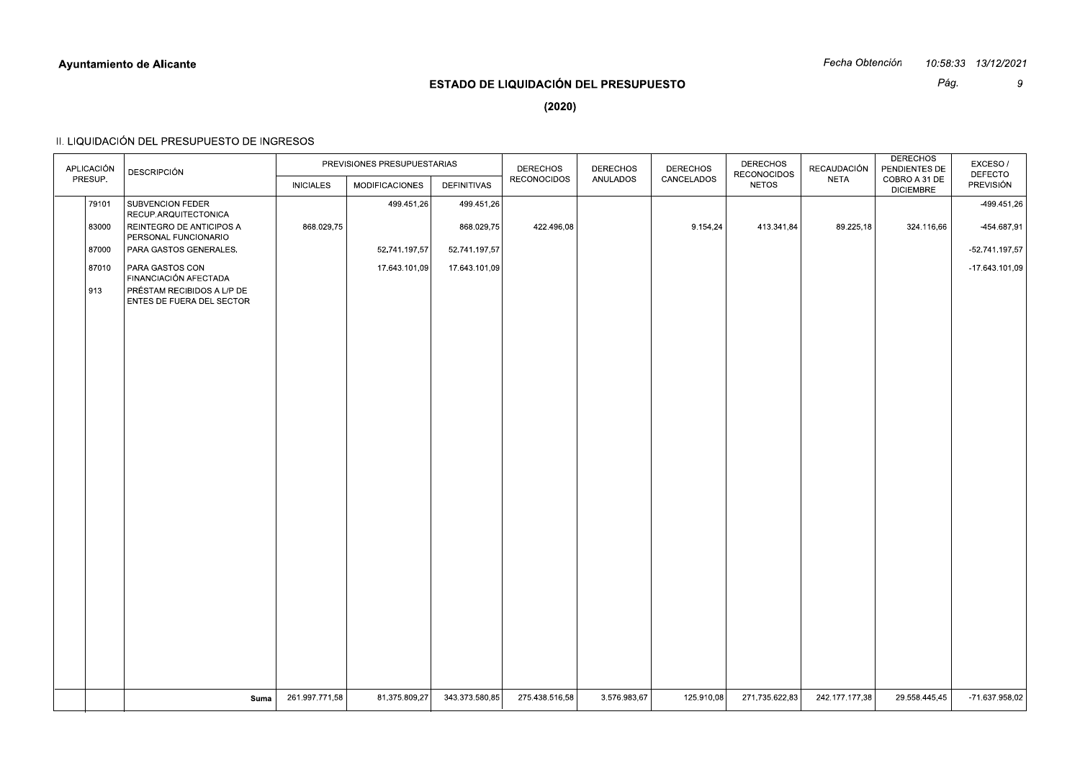|                       |                                                     |                  |                             |                |                                       |                             |                               |                             | Fecha Obtención     |                                                    | 10:58:33 13/12/2021  |
|-----------------------|-----------------------------------------------------|------------------|-----------------------------|----------------|---------------------------------------|-----------------------------|-------------------------------|-----------------------------|---------------------|----------------------------------------------------|----------------------|
|                       |                                                     |                  |                             |                | ESTADO DE LIQUIDACIÓN DEL PRESUPUESTO |                             |                               |                             |                     | Pág.                                               | 9                    |
|                       |                                                     |                  |                             |                | (2020)                                |                             |                               |                             |                     |                                                    |                      |
|                       | II. LIQUIDACIÓN DEL PRESUPUESTO DE INGRESOS         |                  |                             |                |                                       |                             |                               |                             |                     |                                                    |                      |
|                       |                                                     |                  | PREVISIONES PRESUPUESTARIAS |                |                                       |                             |                               | <b>DERECHOS</b>             |                     | <b>DERECHOS</b>                                    | EXCESO/              |
| APLICACIÓN<br>PRESUP. | <b>DESCRIPCIÓN</b>                                  | <b>INICIALES</b> | MODIFICACIONES              | DEFINITIVAS    | <b>DERECHOS</b><br>RECONOCIDOS        | <b>DERECHOS</b><br>ANULADOS | <b>DERECHOS</b><br>CANCELADOS | RECONOCIDOS<br><b>NETOS</b> | RECAUDACIÓN<br>NETA | PENDIENTES DE<br>COBRO A 31 DE<br><b>DICIEMBRE</b> | DEFECTO<br>PREVISIÓN |
| 79101                 | SUBVENCION FEDER                                    |                  | 499.451,26                  | 499.451,26     |                                       |                             |                               |                             |                     |                                                    | -499.451,26          |
| 83000                 | RECUP.ARQUITECTONICA<br>REINTEGRO DE ANTICIPOS A    | 868.029,75       |                             | 868.029,75     | 422.496,08                            |                             | 9.154,24                      | 413.341,84                  | 89.225,18           | 324.116,66                                         | -454.687,91          |
| 87000                 | PERSONAL FUNCIONARIO<br>PARA GASTOS GENERALES.      |                  | 52.741.197,57               | 52.741.197,57  |                                       |                             |                               |                             |                     |                                                    | -52.741.197,57       |
| 87010                 | PARA GASTOS CON                                     |                  | 17.643.101,09               | 17.643.101,09  |                                       |                             |                               |                             |                     |                                                    | -17.643.101,09       |
| 913                   | FINANCIACIÓN AFECTADA<br>PRÉSTAM RECIBIDOS A L/P DE |                  |                             |                |                                       |                             |                               |                             |                     |                                                    |                      |
|                       | ENTES DE FUERA DEL SECTOR                           |                  |                             |                |                                       |                             |                               |                             |                     |                                                    |                      |
|                       |                                                     |                  |                             |                |                                       |                             |                               |                             |                     |                                                    |                      |
|                       |                                                     |                  |                             |                |                                       |                             |                               |                             |                     |                                                    |                      |
|                       |                                                     |                  |                             |                |                                       |                             |                               |                             |                     |                                                    |                      |
|                       |                                                     |                  |                             |                |                                       |                             |                               |                             |                     |                                                    |                      |
|                       |                                                     |                  |                             |                |                                       |                             |                               |                             |                     |                                                    |                      |
|                       |                                                     |                  |                             |                |                                       |                             |                               |                             |                     |                                                    |                      |
|                       |                                                     |                  |                             |                |                                       |                             |                               |                             |                     |                                                    |                      |
|                       |                                                     |                  |                             |                |                                       |                             |                               |                             |                     |                                                    |                      |
|                       |                                                     |                  |                             |                |                                       |                             |                               |                             |                     |                                                    |                      |
|                       |                                                     |                  |                             |                |                                       |                             |                               |                             |                     |                                                    |                      |
|                       |                                                     |                  |                             |                |                                       |                             |                               |                             |                     |                                                    |                      |
|                       |                                                     |                  |                             |                |                                       |                             |                               |                             |                     |                                                    |                      |
|                       |                                                     |                  |                             |                |                                       |                             |                               |                             |                     |                                                    |                      |
|                       |                                                     |                  |                             |                |                                       |                             |                               |                             |                     |                                                    |                      |
|                       |                                                     |                  |                             |                |                                       |                             |                               |                             |                     |                                                    |                      |
|                       |                                                     |                  |                             |                |                                       |                             |                               |                             |                     |                                                    |                      |
|                       |                                                     |                  |                             |                |                                       |                             |                               |                             |                     |                                                    |                      |
|                       | Suma                                                | 261.997.771,58   | 81.375.809,27               | 343.373.580,85 | 275.438.516,58                        | 3.576.983,67                | 125.910,08                    | 271.735.622,83              | 242.177.177,38      | 29.558.445,45                                      | -71.637.958,02       |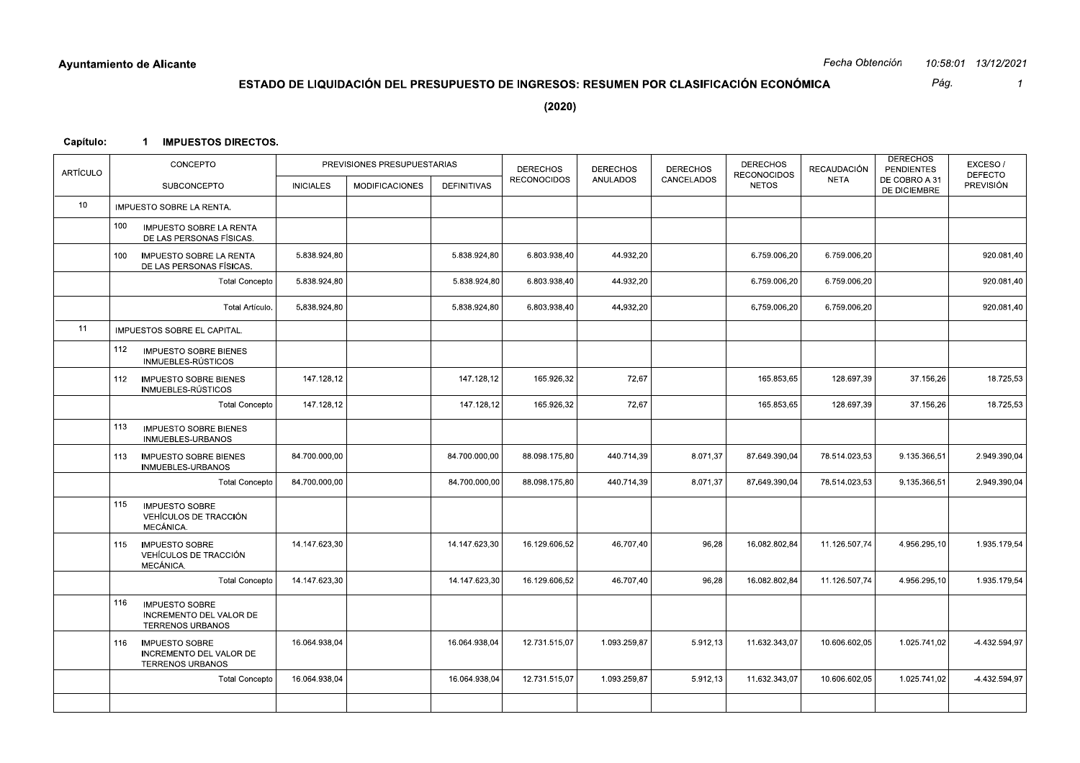|           | <b>Ayuntamiento de Alicante</b>                                                    |                  |                                                                                        |               |                                       |                             |                               |                                    | Fecha Obtención     |                                                    | 10.58.01 13/12/2021                |
|-----------|------------------------------------------------------------------------------------|------------------|----------------------------------------------------------------------------------------|---------------|---------------------------------------|-----------------------------|-------------------------------|------------------------------------|---------------------|----------------------------------------------------|------------------------------------|
|           |                                                                                    |                  | ESTADO DE LIQUIDACIÓN DEL PRESUPUESTO DE INGRESOS: RESUMEN POR CLASIFICACIÓN ECONÓMICA |               |                                       |                             |                               |                                    |                     | Pág.                                               | $\mathcal I$                       |
|           |                                                                                    |                  |                                                                                        |               | (2020)                                |                             |                               |                                    |                     |                                                    |                                    |
| Capítulo: | <b>IMPUESTOS DIRECTOS.</b><br>-1                                                   |                  |                                                                                        |               |                                       |                             |                               |                                    |                     |                                                    |                                    |
|           | CONCEPTO                                                                           |                  | PREVISIONES PRESUPUESTARIAS                                                            |               |                                       |                             |                               | <b>DERECHOS</b>                    |                     | <b>DERECHOS</b>                                    | EXCESO/                            |
| ARTÍCULO  | SUBCONCEPTO                                                                        | <b>INICIALES</b> | <b>MODIFICACIONES</b>                                                                  | DEFINITIVAS   | <b>DERECHOS</b><br><b>RECONOCIDOS</b> | <b>DERECHOS</b><br>ANULADOS | <b>DERECHOS</b><br>CANCELADOS | <b>RECONOCIDOS</b><br><b>NETOS</b> | RECAUDACIÓN<br>NETA | <b>PENDIENTES</b><br>DE COBRO A 31<br>DE DICIEMBRE | <b>DEFECTO</b><br><b>PREVISIÓN</b> |
| 10        | IMPUESTO SOBRE LA RENTA.                                                           |                  |                                                                                        |               |                                       |                             |                               |                                    |                     |                                                    |                                    |
|           | 100<br>IMPUESTO SOBRE LA RENTA<br>DE LAS PERSONAS FÍSICAS.                         |                  |                                                                                        |               |                                       |                             |                               |                                    |                     |                                                    |                                    |
|           | IMPUESTO SOBRE LA RENTA<br>100<br>DE LAS PERSONAS FÍSICAS.                         | 5.838.924,80     |                                                                                        | 5.838.924,80  | 6.803.938,40                          | 44.932,20                   |                               | 6.759.006,20                       | 6.759.006,20        |                                                    | 920.081,40                         |
|           | Total Concepto                                                                     | 5.838.924,80     |                                                                                        | 5.838.924,80  | 6.803.938,40                          | 44.932,20                   |                               | 6.759.006,20                       | 6.759.006,20        |                                                    | 920.081,40                         |
|           | Total Artículo.                                                                    | 5.838.924,80     |                                                                                        | 5.838.924,80  | 6.803.938,40                          | 44.932,20                   |                               | 6.759.006,20                       | 6.759.006,20        |                                                    | 920.081,40                         |
| 11        | IMPUESTOS SOBRE EL CAPITAL.                                                        |                  |                                                                                        |               |                                       |                             |                               |                                    |                     |                                                    |                                    |
|           | 112<br><b>IMPUESTO SOBRE BIENES</b><br>INMUEBLES-RÚSTICOS                          |                  |                                                                                        |               |                                       |                             |                               |                                    |                     |                                                    | 18.725,53                          |
|           | <b>IMPUESTO SOBRE BIENES</b><br>112<br>INMUEBLES-RÚSTICOS                          | 147.128,12       |                                                                                        | 147.128,12    | 165.926,32                            | 72,67                       |                               | 165.853,65                         | 128.697,39          | 37.156,26                                          |                                    |
|           | <b>Total Concepto</b>                                                              | 147.128,12       |                                                                                        | 147.128,12    | 165.926,32                            | 72,67                       |                               | 165.853,65                         | 128.697,39          | 37.156,26                                          | 18.725,53                          |
|           | 113<br><b>IMPUESTO SOBRE BIENES</b><br>INMUEBLES-URBANOS                           |                  |                                                                                        |               |                                       |                             |                               |                                    |                     |                                                    |                                    |
|           | 113<br><b>IMPUESTO SOBRE BIENES</b><br>INMUEBLES-URBANOS                           | 84.700.000,00    |                                                                                        | 84.700.000,00 | 88.098.175,80                         | 440.714,39                  | 8.071,37                      | 87.649.390,04                      | 78.514.023,53       | 9.135.366,51                                       | 2.949.390,04                       |
|           | <b>Total Concepto</b>                                                              | 84.700.000,00    |                                                                                        | 84.700.000,00 | 88.098.175,80                         | 440.714,39                  | 8.071,37                      | 87.649.390,04                      | 78.514.023,53       | 9.135.366,51                                       | 2.949.390,04                       |
|           | 115<br><b>IMPUESTO SOBRE</b><br>VEHÍCULOS DE TRACCIÓN<br>MECÁNICA.                 |                  |                                                                                        |               |                                       |                             |                               |                                    |                     |                                                    |                                    |
|           | <b>IMPUESTO SOBRE</b><br>115<br>VEHÍCULOS DE TRACCIÓN<br>MECÁNICA.                 | 14.147.623,30    |                                                                                        | 14.147.623,30 | 16.129.606,52                         | 46.707,40                   | 96,28                         | 16.082.802,84                      | 11.126.507,74       | 4.956.295,10                                       | 1.935.179,54                       |
|           | Total Concepto                                                                     | 14.147.623,30    |                                                                                        | 14.147.623,30 | 16.129.606,52                         | 46.707,40                   | 96,28                         | 16.082.802,84                      | 11.126.507,74       | 4.956.295,10                                       | 1.935.179,54                       |
|           | 116<br><b>IMPUESTO SOBRE</b><br>INCREMENTO DEL VALOR DE<br><b>TERRENOS URBANOS</b> |                  |                                                                                        |               |                                       |                             |                               |                                    |                     |                                                    |                                    |
|           | 116 IMPUESTO SOBRE<br>INCREMENTO DEL VALOR DE<br><b>TERRENOS URBANOS</b>           | 16.064.938,04    |                                                                                        | 16.064.938,04 | 12.731.515,07                         | 1.093.259,87                | 5.912,13                      | 11.632.343,07                      | 10.606.602,05       | 1.025.741,02                                       | $-4.432.594,97$                    |
|           | Total Concepto                                                                     | 16.064.938,04    |                                                                                        | 16.064.938,04 | 12.731.515,07                         | 1.093.259,87                | 5.912,13                      | 11.632.343,07                      | 10.606.602,05       | 1.025.741,02                                       | -4.432.594,97                      |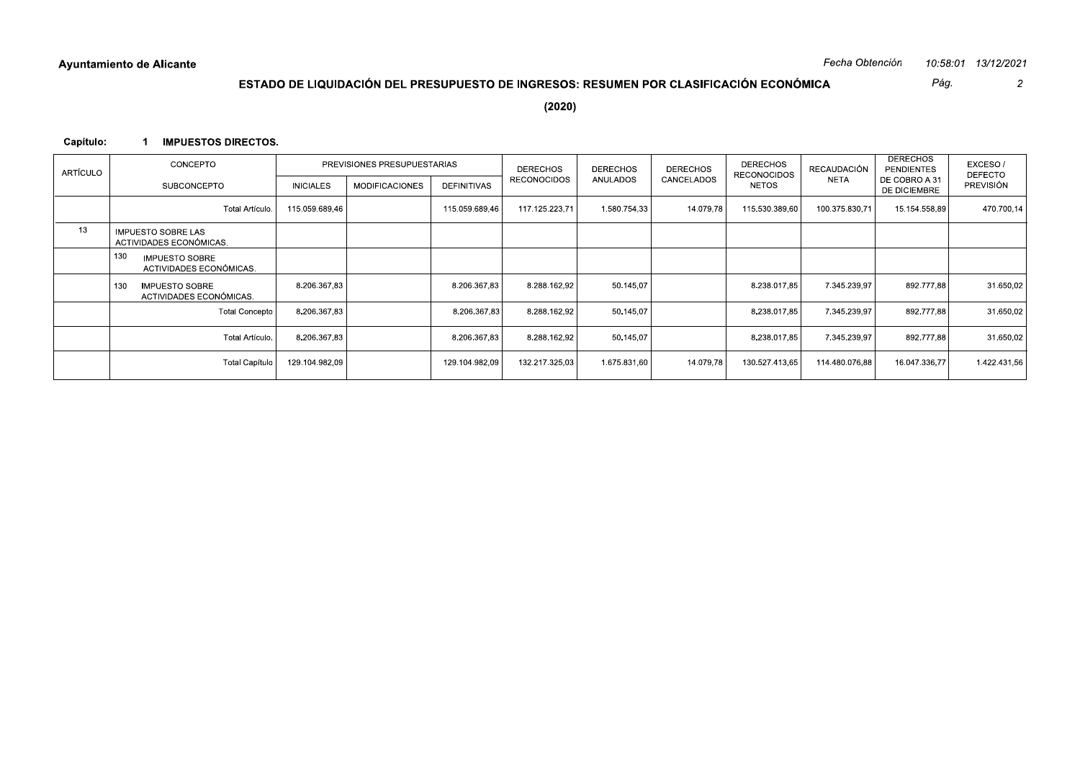Pág.  $\overline{2}$ 

 $(2020)$ 

## Capítulo: 1 IMPUESTOS DIRECTOS.

| <b>ARTÍCULO</b> | CONCEPTO                                                | PREVISIONES PRESUPUESTARIAS |                       |                    | <b>DERECHOS</b>    | <b>DERECHOS</b> | <b>DERECHOS</b> | <b>DERECHOS</b><br><b>RECONOCIDOS</b> | <b>RECAUDACIÓN</b> | <b>DERECHOS</b><br><b>PENDIENTES</b> | EXCESO/<br><b>DEFECTO</b> |
|-----------------|---------------------------------------------------------|-----------------------------|-----------------------|--------------------|--------------------|-----------------|-----------------|---------------------------------------|--------------------|--------------------------------------|---------------------------|
|                 | <b>SUBCONCEPTO</b>                                      | <b>INICIALES</b>            | <b>MODIFICACIONES</b> | <b>DEFINITIVAS</b> | <b>RECONOCIDOS</b> | <b>ANULADOS</b> | CANCELADOS      | <b>NETOS</b>                          | <b>NETA</b>        | DE COBRO A 31<br>DE DICIEMBRE        | <b>PREVISIÓN</b>          |
|                 | Total Artículo.                                         | 115.059.689,46              |                       | 115.059.689,46     | 117.125.223,71     | 1.580.754,33    | 14.079.78       | 115.530.389,60                        | 100.375.830,71     | 15.154.558,89                        | 470.700,14                |
| 13              | <b>IMPUESTO SOBRE LAS</b><br>ACTIVIDADES ECONÓMICAS.    |                             |                       |                    |                    |                 |                 |                                       |                    |                                      |                           |
|                 | 130<br><b>IMPUESTO SOBRE</b><br>ACTIVIDADES ECONÓMICAS. |                             |                       |                    |                    |                 |                 |                                       |                    |                                      |                           |
|                 | <b>IMPUESTO SOBRE</b><br>130<br>ACTIVIDADES ECONÓMICAS. | 8.206.367.83                |                       | 8.206.367.83       | 8.288.162.92       | 50.145.07       |                 | 8.238.017.85                          | 7.345.239.97       | 892.777.88                           | 31.650,02                 |
|                 | <b>Total Concepto</b>                                   | 8.206.367.83                |                       | 8.206.367.83       | 8.288.162.92       | 50.145.07       |                 | 8.238.017.85                          | 7.345.239.97       | 892.777.88                           | 31.650,02                 |
|                 | Total Artículo.                                         | 8.206.367.83                |                       | 8.206.367.83       | 8.288.162.92       | 50.145.07       |                 | 8.238.017.85                          | 7.345.239.97       | 892.777.88                           | 31.650,02                 |
|                 | Total Capítulo                                          | 129.104.982.09              |                       | 129.104.982,09     | 132.217.325.03     | 1.675.831.60    | 14.079,78       | 130.527.413.65                        | 114.480.076.88     | 16.047.336.77                        | 1.422.431,56              |
|                 |                                                         |                             |                       |                    |                    |                 |                 |                                       |                    |                                      |                           |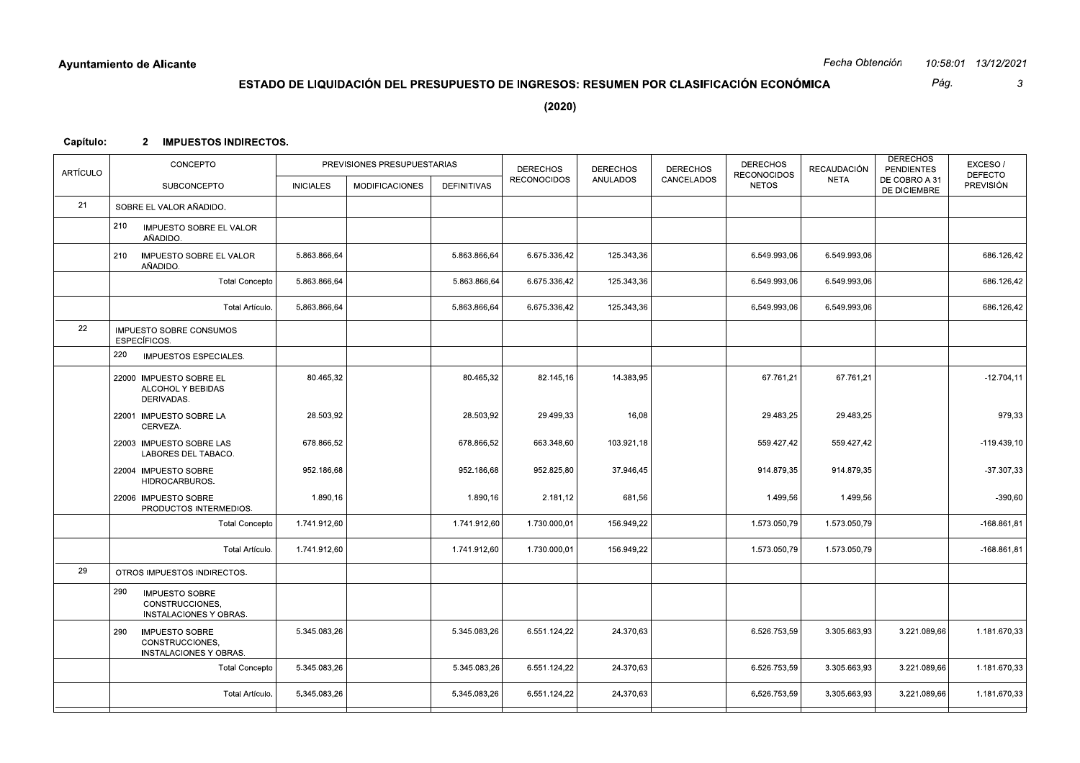|           | <b>Ayuntamiento de Alicante</b>                                           |                  |                                                                                        |              |                    |                 |                 |                                    | Fecha Obtención |                                      | 10:58:01 13/12/2021                |
|-----------|---------------------------------------------------------------------------|------------------|----------------------------------------------------------------------------------------|--------------|--------------------|-----------------|-----------------|------------------------------------|-----------------|--------------------------------------|------------------------------------|
|           |                                                                           |                  | ESTADO DE LIQUIDACIÓN DEL PRESUPUESTO DE INGRESOS: RESUMEN POR CLASIFICACIÓN ECONÓMICA |              |                    |                 |                 |                                    |                 | Pág.                                 | 3                                  |
|           |                                                                           |                  |                                                                                        |              | (2020)             |                 |                 |                                    |                 |                                      |                                    |
| Capítulo: | 2 IMPUESTOS INDIRECTOS.                                                   |                  |                                                                                        |              |                    |                 |                 |                                    |                 |                                      |                                    |
|           | CONCEPTO                                                                  |                  | PREVISIONES PRESUPUESTARIAS                                                            |              | <b>DERECHOS</b>    | <b>DERECHOS</b> | <b>DERECHOS</b> | <b>DERECHOS</b>                    | RECAUDACIÓN     | <b>DERECHOS</b><br><b>PENDIENTES</b> | EXCESO/                            |
| ARTÍCULO  | SUBCONCEPTO                                                               | <b>INICIALES</b> | <b>MODIFICACIONES</b>                                                                  | DEFINITIVAS  | <b>RECONOCIDOS</b> | ANULADOS        | CANCELADOS      | <b>RECONOCIDOS</b><br><b>NETOS</b> | NETA            | DE COBRO A 31<br>DE DICIEMBRE        | <b>DEFECTO</b><br><b>PREVISIÓN</b> |
| 21        | SOBRE EL VALOR AÑADIDO.                                                   |                  |                                                                                        |              |                    |                 |                 |                                    |                 |                                      |                                    |
|           | 210<br>IMPUESTO SOBRE EL VALOR<br>AÑADIDO.                                |                  |                                                                                        |              |                    |                 |                 |                                    |                 |                                      |                                    |
|           | 210<br>IMPUESTO SOBRE EL VALOR<br>AÑADIDO.                                | 5.863.866,64     |                                                                                        | 5.863.866,64 | 6.675.336,42       | 125.343,36      |                 | 6.549.993,06                       | 6.549.993,06    |                                      | 686.126,42                         |
|           | <b>Total Concepto</b>                                                     | 5.863.866,64     |                                                                                        | 5.863.866,64 | 6.675.336,42       | 125.343,36      |                 | 6.549.993,06                       | 6.549.993,06    |                                      | 686.126,42                         |
|           | Total Artículo.                                                           | 5.863.866,64     |                                                                                        | 5.863.866,64 | 6.675.336,42       | 125.343,36      |                 | 6.549.993,06                       | 6.549.993,06    |                                      | 686.126,42                         |
| 22        | <b>IMPUESTO SOBRE CONSUMOS</b><br>ESPECÍFICOS.                            |                  |                                                                                        |              |                    |                 |                 |                                    |                 |                                      |                                    |
|           | 220<br>IMPUESTOS ESPECIALES.                                              |                  |                                                                                        |              |                    |                 |                 |                                    |                 |                                      | $-12.704, 11$                      |
|           | 22000 IMPUESTO SOBRE EL<br>ALCOHOL Y BEBIDAS<br>DERIVADAS.                | 80.465,32        |                                                                                        | 80.465,32    | 82.145,16          | 14.383,95       |                 | 67.761,21                          | 67.761,21       |                                      |                                    |
|           | 22001 IMPUESTO SOBRE LA<br>CERVEZA.                                       | 28.503,92        |                                                                                        | 28.503,92    | 29.499,33          | 16,08           |                 | 29.483,25                          | 29.483,25       |                                      | 979,33                             |
|           | 22003 IMPUESTO SOBRE LAS<br>LABORES DEL TABACO.                           | 678.866,52       |                                                                                        | 678.866,52   | 663.348,60         | 103.921,18      |                 | 559.427,42                         | 559.427,42      |                                      | $-119.439,10$                      |
|           | 22004 IMPUESTO SOBRE<br>HIDROCARBUROS.                                    | 952.186,68       |                                                                                        | 952.186,68   | 952.825,80         | 37.946,45       |                 | 914.879,35                         | 914.879,35      |                                      | $-37.307,33$                       |
|           | 22006 IMPUESTO SOBRE<br>PRODUCTOS INTERMEDIOS.                            | 1.890,16         |                                                                                        | 1.890,16     | 2.181,12           | 681,56          |                 | 1.499,56                           | 1.499,56        |                                      | $-390,60$                          |
|           | <b>Total Concepto</b>                                                     | 1.741.912,60     |                                                                                        | 1.741.912,60 | 1.730.000,01       | 156.949,22      |                 | 1.573.050,79                       | 1.573.050,79    |                                      | $-168.861,81$                      |
|           | Total Artículo.                                                           | 1.741.912,60     |                                                                                        | 1.741.912,60 | 1.730.000.01       | 156.949,22      |                 | 1.573.050,79                       | 1.573.050,79    |                                      | $-168.861,81$                      |
| 29        | OTROS IMPUESTOS INDIRECTOS.                                               |                  |                                                                                        |              |                    |                 |                 |                                    |                 |                                      |                                    |
|           | 290<br><b>IMPUESTO SOBRE</b><br>CONSTRUCCIONES,<br>INSTALACIONES Y OBRAS. |                  |                                                                                        |              |                    |                 |                 |                                    |                 |                                      |                                    |
|           | 290<br><b>IMPUESTO SOBRE</b><br>CONSTRUCCIONES,<br>INSTALACIONES Y OBRAS. | 5.345.083,26     |                                                                                        | 5.345.083,26 | 6.551.124,22       | 24.370,63       |                 | 6.526.753,59                       | 3.305.663,93    | 3.221.089,66                         | 1.181.670,33                       |
|           | <b>Total Concepto</b>                                                     | 5.345.083,26     |                                                                                        | 5.345.083,26 | 6.551.124,22       | 24.370,63       |                 | 6.526.753,59                       | 3.305.663,93    | 3.221.089,66                         | 1.181.670,33                       |
|           | Total Artículo.                                                           | 5.345.083,26     |                                                                                        | 5.345.083,26 | 6.551.124,22       | 24.370,63       |                 | 6.526.753,59                       | 3.305.663,93    | 3.221.089,66                         | 1.181.670,33                       |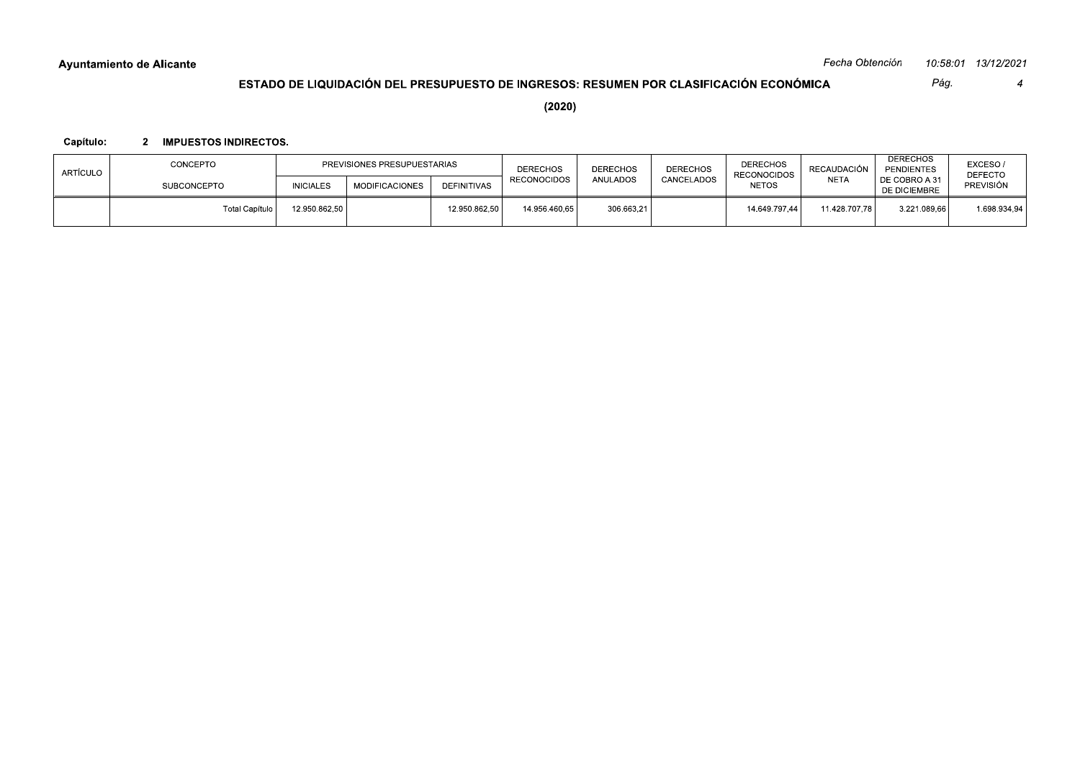Pág.

 $\overline{4}$ 

## ESTADO DE LIQUIDACIÓN DEL PRESUPUESTO DE INGRESOS: RESUMEN POR CLASIFICACIÓN ECONÓMICA

 $(2020)$ 

## Capítulo: 2 IMPUESTOS INDIRECTOS.

| ARTÍCULO | CONCEPTO              | PREVISIONES PRESUPUESTARIAS |                |                    | <b>DERECHOS</b>    | <b>DERECHOS</b> | DERECHOS   | <b>DERECHOS</b><br><b>RECONOCIDOS</b> | RECAUDACIÓN   | <b>DERECHOS</b><br>PENDIENTES        | EXCESO/<br><b>DEFECTO</b> |
|----------|-----------------------|-----------------------------|----------------|--------------------|--------------------|-----------------|------------|---------------------------------------|---------------|--------------------------------------|---------------------------|
|          | <b>SUBCONCEPTO</b>    | <b>INICIALES</b>            | MODIFICACIONES | <b>DEFINITIVAS</b> | <b>RECONOCIDOS</b> | <b>ANULADOS</b> | CANCELADOS | <b>NETOS</b>                          | <b>NETA</b>   | DE COBRO A 31<br><b>DE DICIEMBRE</b> | <b>PREVISIÓN</b>          |
|          | <b>Total Capítulo</b> | 12.950.862.50               |                | 12.950.862,50      | 14.956.460,65      | 306.663,21      |            | 14.649.797.44                         | 11.428.707.78 | 3.221.089.66                         | 1.698.934,94              |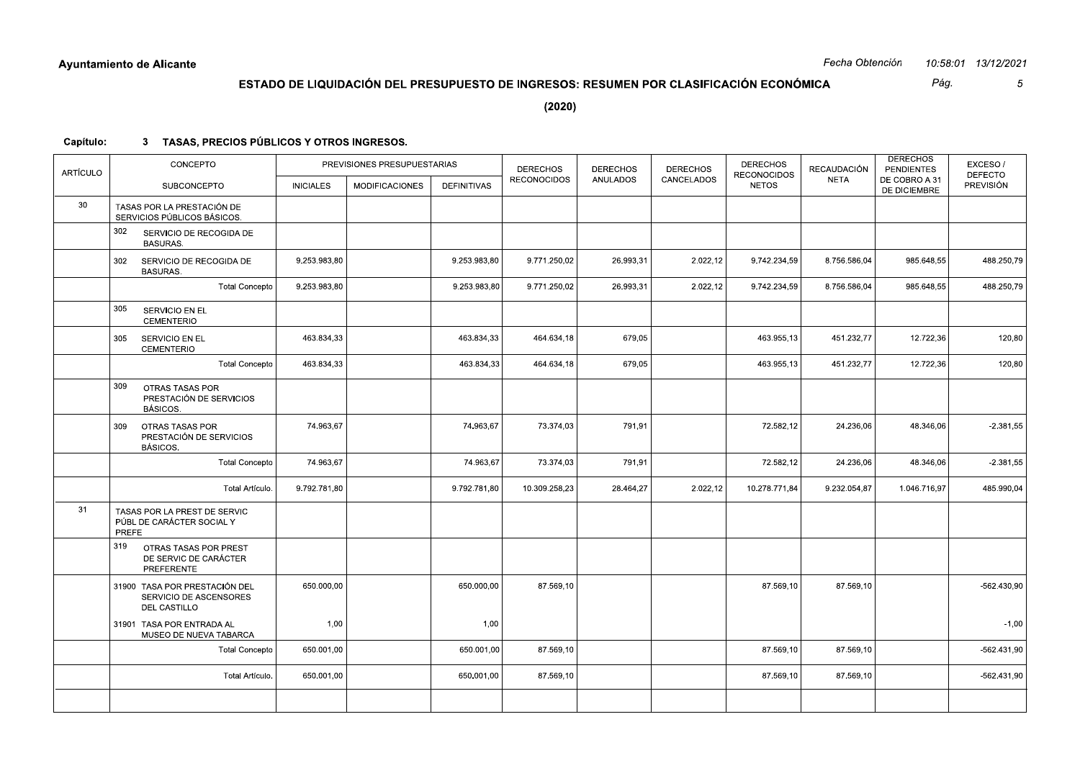Pág.  $\overline{5}$ 

 $(2020)$ 

| <b>ARTÍCULO</b> | CONCEPTO                                                                       |                  | PREVISIONES PRESUPUESTARIAS |                    | <b>DERECHOS</b><br><b>RECONOCIDOS</b> | <b>DERECHOS</b><br><b>ANULADOS</b> | <b>DERECHOS</b><br>CANCELADOS | <b>DERECHOS</b><br><b>RECONOCIDOS</b> | <b>RECAUDACIÓN</b><br>NETA | <b>DERECHOS</b><br><b>PENDIENTES</b><br>DE COBRO A 31 | EXCESO/<br><b>DEFECTO</b> |
|-----------------|--------------------------------------------------------------------------------|------------------|-----------------------------|--------------------|---------------------------------------|------------------------------------|-------------------------------|---------------------------------------|----------------------------|-------------------------------------------------------|---------------------------|
|                 | <b>SUBCONCEPTO</b>                                                             | <b>INICIALES</b> | <b>MODIFICACIONES</b>       | <b>DEFINITIVAS</b> |                                       |                                    |                               | <b>NETOS</b>                          |                            | DE DICIEMBRE                                          | <b>PREVISIÓN</b>          |
| 30              | TASAS POR LA PRESTACIÓN DE<br>SERVICIOS PÚBLICOS BÁSICOS.                      |                  |                             |                    |                                       |                                    |                               |                                       |                            |                                                       |                           |
|                 | 302<br>SERVICIO DE RECOGIDA DE<br><b>BASURAS.</b>                              |                  |                             |                    |                                       |                                    |                               |                                       |                            |                                                       |                           |
|                 | 302<br>SERVICIO DE RECOGIDA DE<br><b>BASURAS.</b>                              | 9.253.983.80     |                             | 9.253.983,80       | 9.771.250.02                          | 26.993,31                          | 2.022,12                      | 9.742.234,59                          | 8.756.586,04               | 985.648,55                                            | 488.250,79                |
|                 | <b>Total Concepto</b>                                                          | 9.253.983,80     |                             | 9.253.983,80       | 9.771.250,02                          | 26.993,31                          | 2.022,12                      | 9.742.234,59                          | 8.756.586,04               | 985.648,55                                            | 488.250,79                |
|                 | 305<br>SERVICIO EN EL<br><b>CEMENTERIO</b>                                     |                  |                             |                    |                                       |                                    |                               |                                       |                            |                                                       |                           |
|                 | 305<br>SERVICIO EN EL<br><b>CEMENTERIO</b>                                     | 463.834,33       |                             | 463.834,33         | 464.634,18                            | 679,05                             |                               | 463.955,13                            | 451.232,77                 | 12.722,36                                             | 120,80                    |
|                 | <b>Total Concepto</b>                                                          | 463.834,33       |                             | 463.834,33         | 464.634,18                            | 679,05                             |                               | 463.955,13                            | 451.232,77                 | 12.722,36                                             | 120,80                    |
|                 | 309<br>OTRAS TASAS POR<br>PRESTACIÓN DE SERVICIOS<br><b>BÁSICOS.</b>           |                  |                             |                    |                                       |                                    |                               |                                       |                            |                                                       |                           |
|                 | 309<br>OTRAS TASAS POR<br>PRESTACIÓN DE SERVICIOS<br><b>BÁSICOS.</b>           | 74.963,67        |                             | 74.963,67          | 73.374,03                             | 791,91                             |                               | 72.582,12                             | 24.236,06                  | 48.346,06                                             | $-2.381,55$               |
|                 | <b>Total Concepto</b>                                                          | 74.963,67        |                             | 74.963,67          | 73.374,03                             | 791,91                             |                               | 72.582,12                             | 24.236,06                  | 48.346,06                                             | $-2.381,55$               |
|                 | Total Artículo.                                                                | 9.792.781,80     |                             | 9.792.781,80       | 10.309.258,23                         | 28.464,27                          | 2.022,12                      | 10.278.771,84                         | 9.232.054,87               | 1.046.716,97                                          | 485.990,04                |
| 31              | TASAS POR LA PREST DE SERVIC<br>PÚBL DE CARÁCTER SOCIAL Y<br>PREFE             |                  |                             |                    |                                       |                                    |                               |                                       |                            |                                                       |                           |
|                 | 319<br>OTRAS TASAS POR PREST<br>DE SERVIC DE CARÁCTER<br>PREFERENTE            |                  |                             |                    |                                       |                                    |                               |                                       |                            |                                                       |                           |
|                 | 31900 TASA POR PRESTACIÓN DEL<br>SERVICIO DE ASCENSORES<br><b>DEL CASTILLO</b> | 650.000,00       |                             | 650.000,00         | 87.569,10                             |                                    |                               | 87.569,10                             | 87.569.10                  |                                                       | $-562.430,90$             |
|                 | 31901 TASA POR ENTRADA AL<br>MUSEO DE NUEVA TABARCA                            | 1,00             |                             | 1,00               |                                       |                                    |                               |                                       |                            |                                                       | $-1,00$                   |
|                 | <b>Total Concepto</b>                                                          | 650.001,00       |                             | 650.001,00         | 87.569,10                             |                                    |                               | 87.569,10                             | 87.569,10                  |                                                       | $-562.431,90$             |
|                 | Total Artículo.                                                                | 650.001,00       |                             | 650.001,00         | 87.569,10                             |                                    |                               | 87.569,10                             | 87.569,10                  |                                                       | $-562.431.90$             |
|                 |                                                                                |                  |                             |                    |                                       |                                    |                               |                                       |                            |                                                       |                           |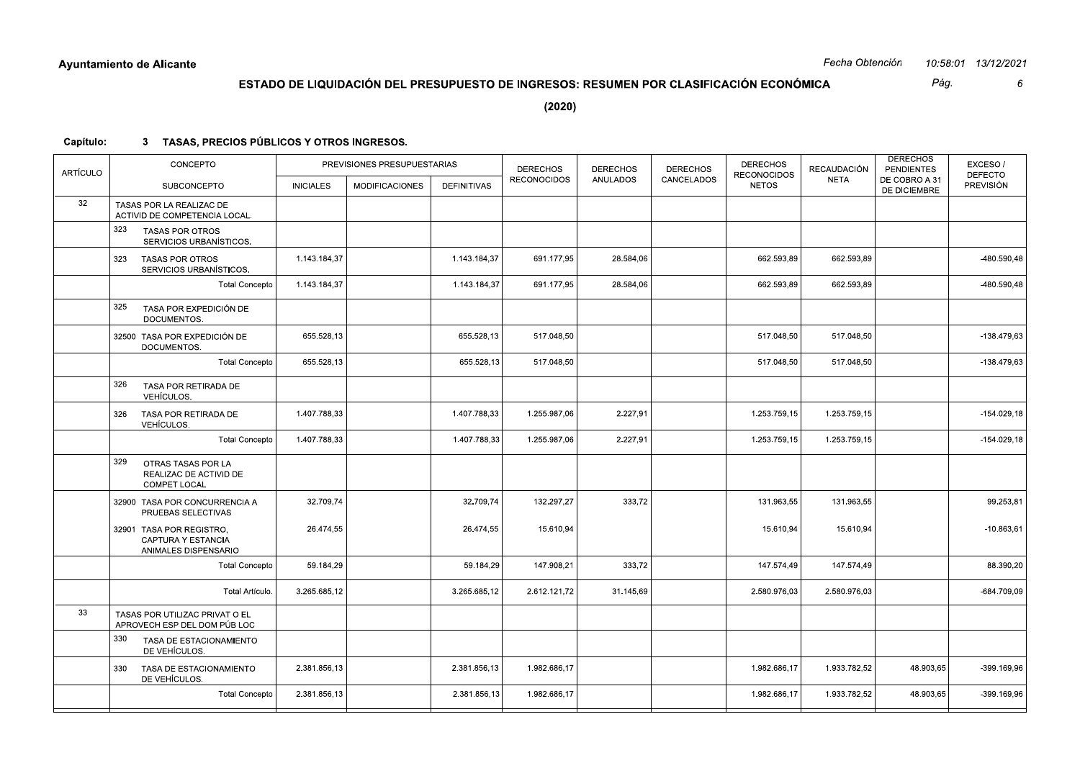|           | <b>Ayuntamiento de Alicante</b>                                            |                  |                                                                                        |              |                    |                 |                 |                                    | Fecha Obtención |                                      | 10:58:01 13/12/2021         |
|-----------|----------------------------------------------------------------------------|------------------|----------------------------------------------------------------------------------------|--------------|--------------------|-----------------|-----------------|------------------------------------|-----------------|--------------------------------------|-----------------------------|
|           |                                                                            |                  | ESTADO DE LIQUIDACIÓN DEL PRESUPUESTO DE INGRESOS: RESUMEN POR CLASIFICACIÓN ECONÓMICA |              |                    |                 |                 |                                    |                 | Pág.                                 | 6                           |
|           |                                                                            |                  |                                                                                        |              | (2020)             |                 |                 |                                    |                 |                                      |                             |
| Capítulo: | 3 TASAS, PRECIOS PÚBLICOS Y OTROS INGRESOS.                                |                  |                                                                                        |              |                    |                 |                 |                                    |                 |                                      |                             |
|           | CONCEPTO                                                                   |                  | PREVISIONES PRESUPUESTARIAS                                                            |              | <b>DERECHOS</b>    | <b>DERECHOS</b> | <b>DERECHOS</b> | <b>DERECHOS</b>                    | RECAUDACIÓN     | <b>DERECHOS</b><br><b>PENDIENTES</b> | EXCESO/                     |
| ARTÍCULO  | SUBCONCEPTO                                                                | <b>INICIALES</b> | <b>MODIFICACIONES</b>                                                                  | DEFINITIVAS  | <b>RECONOCIDOS</b> | ANULADOS        | CANCELADOS      | <b>RECONOCIDOS</b><br><b>NETOS</b> | <b>NETA</b>     | DE COBRO A 31<br>DE DICIEMBRE        | <b>DEFECTO</b><br>PREVISIÓN |
| 32        | TASAS POR LA REALIZAC DE<br>ACTIVID DE COMPETENCIA LOCAL.                  |                  |                                                                                        |              |                    |                 |                 |                                    |                 |                                      |                             |
|           | 323<br><b>TASAS POR OTROS</b><br>SERVICIOS URBANÍSTICOS.                   |                  |                                                                                        |              |                    |                 |                 |                                    |                 |                                      |                             |
|           | 323<br><b>TASAS POR OTROS</b><br>SERVICIOS URBANÍSTICOS.                   | 1.143.184,37     |                                                                                        | 1.143.184,37 | 691.177,95         | 28.584,06       |                 | 662.593,89                         | 662.593,89      |                                      | -480.590,48                 |
|           | Total Concepto                                                             | 1.143.184,37     |                                                                                        | 1.143.184,37 | 691.177,95         | 28.584,06       |                 | 662.593,89                         | 662.593,89      |                                      | -480.590,48                 |
|           | 325<br>TASA POR EXPEDICIÓN DE<br>DOCUMENTOS.                               |                  |                                                                                        |              |                    |                 |                 |                                    |                 |                                      |                             |
|           | 32500 TASA POR EXPEDICIÓN DE<br>DOCUMENTOS.                                | 655.528,13       |                                                                                        | 655.528,13   | 517.048,50         |                 |                 | 517.048,50                         | 517.048,50      |                                      | -138.479,63                 |
|           | Total Concepto                                                             | 655.528,13       |                                                                                        | 655.528,13   | 517.048,50         |                 |                 | 517.048,50                         | 517.048,50      |                                      | -138.479,63                 |
|           | 326<br>TASA POR RETIRADA DE<br>VEHÍCULOS.                                  |                  |                                                                                        |              |                    |                 |                 |                                    |                 |                                      |                             |
|           | 326<br>TASA POR RETIRADA DE<br>VEHÍCULOS.                                  | 1.407.788,33     |                                                                                        | 1.407.788,33 | 1.255.987,06       | 2.227,91        |                 | 1.253.759,15                       | 1.253.759,15    |                                      | $-154.029, 18$              |
|           | Total Concepto                                                             | 1.407.788,33     |                                                                                        | 1.407.788,33 | 1.255.987,06       | 2.227,91        |                 | 1.253.759,15                       | 1.253.759,15    |                                      | $-154.029,18$               |
|           | 329<br>OTRAS TASAS POR LA<br>REALIZAC DE ACTIVID DE<br><b>COMPET LOCAL</b> |                  |                                                                                        |              |                    |                 |                 |                                    |                 |                                      |                             |
|           | 32900 TASA POR CONCURRENCIA A<br>PRUEBAS SELECTIVAS                        | 32.709,74        |                                                                                        | 32.709,74    | 132.297,27         | 333,72          |                 | 131.963,55                         | 131.963,55      |                                      | 99.253,81                   |
|           | 32901 TASA POR REGISTRO,<br>CAPTURA Y ESTANCIA<br>ANIMALES DISPENSARIO     | 26.474,55        |                                                                                        | 26.474,55    | 15.610,94          |                 |                 | 15.610,94                          | 15.610,94       |                                      | $-10.863,61$                |
|           | <b>Total Concepto</b>                                                      | 59.184,29        |                                                                                        | 59.184,29    | 147.908,21         | 333,72          |                 | 147.574,49                         | 147.574,49      |                                      | 88.390,20                   |
|           | Total Artículo.                                                            | 3.265.685,12     |                                                                                        | 3.265.685,12 | 2.612.121,72       | 31.145,69       |                 | 2.580.976,03                       | 2.580.976,03    |                                      | -684.709,09                 |
| 33        | TASAS POR UTILIZAC PRIVAT O EL<br>APROVECH ESP DEL DOM PÚB LOC             |                  |                                                                                        |              |                    |                 |                 |                                    |                 |                                      |                             |
|           | 330<br>TASA DE ESTACIONAMIENTO<br>DE VEHÍCULOS.                            |                  |                                                                                        |              |                    |                 |                 |                                    |                 |                                      |                             |
|           | 330 TASA DE ESTACIONAMIENTO<br>DE VEHÍCULOS.                               | 2.381.856,13     |                                                                                        | 2.381.856,13 | 1.982.686,17       |                 |                 | 1.982.686,17                       | 1.933.782,52    | 48.903,65                            | -399.169,96                 |
|           | Total Concepto                                                             | 2.381.856,13     |                                                                                        | 2.381.856,13 | 1.982.686,17       |                 |                 | 1.982.686,17                       | 1.933.782,52    | 48.903,65                            | -399.169,96                 |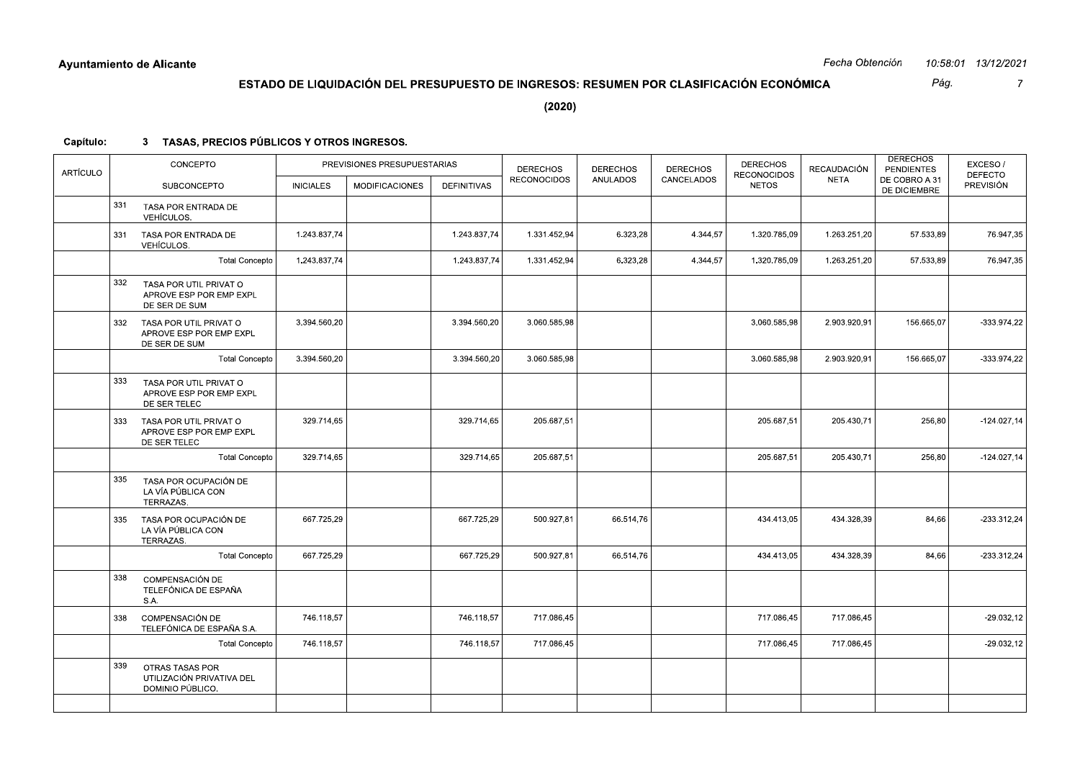|           |     | Ayuntamiento de Alicante                                           |                  |                                                                                        |              |                    |                 |                 |                                    | Fecha Obtención |                                      | 10:58:01 13/12/2021                |
|-----------|-----|--------------------------------------------------------------------|------------------|----------------------------------------------------------------------------------------|--------------|--------------------|-----------------|-----------------|------------------------------------|-----------------|--------------------------------------|------------------------------------|
|           |     |                                                                    |                  | ESTADO DE LIQUIDACIÓN DEL PRESUPUESTO DE INGRESOS: RESUMEN POR CLASIFICACIÓN ECONÓMICA |              |                    |                 |                 |                                    |                 | Pág.                                 | $\overline{7}$                     |
|           |     |                                                                    |                  |                                                                                        |              | (2020)             |                 |                 |                                    |                 |                                      |                                    |
| Capítulo: |     | 3 TASAS, PRECIOS PÚBLICOS Y OTROS INGRESOS.                        |                  |                                                                                        |              |                    |                 |                 |                                    |                 |                                      |                                    |
|           |     | CONCEPTO                                                           |                  | PREVISIONES PRESUPUESTARIAS                                                            |              | <b>DERECHOS</b>    | <b>DERECHOS</b> | <b>DERECHOS</b> | <b>DERECHOS</b>                    | RECAUDACIÓN     | <b>DERECHOS</b><br><b>PENDIENTES</b> | EXCESO/                            |
| ARTÍCULO  |     | SUBCONCEPTO                                                        | <b>INICIALES</b> | <b>MODIFICACIONES</b>                                                                  | DEFINITIVAS  | <b>RECONOCIDOS</b> | ANULADOS        | CANCELADOS      | <b>RECONOCIDOS</b><br><b>NETOS</b> | NETA            | DE COBRO A 31<br>DE DICIEMBRE        | <b>DEFECTO</b><br><b>PREVISIÓN</b> |
|           | 331 | TASA POR ENTRADA DE<br>VEHÍCULOS.                                  |                  |                                                                                        |              |                    |                 |                 |                                    |                 |                                      |                                    |
|           | 331 | TASA POR ENTRADA DE<br>VEHÍCULOS.                                  | 1.243.837,74     |                                                                                        | 1.243.837,74 | 1.331.452,94       | 6.323,28        | 4.344,57        | 1.320.785,09                       | 1.263.251,20    | 57.533,89                            | 76.947,35                          |
|           |     | Total Concepto                                                     | 1.243.837,74     |                                                                                        | 1.243.837,74 | 1.331.452,94       | 6.323,28        | 4.344,57        | 1.320.785,09                       | 1.263.251,20    | 57.533,89                            | 76.947,35                          |
|           | 332 | TASA POR UTIL PRIVAT O<br>APROVE ESP POR EMP EXPL<br>DE SER DE SUM |                  |                                                                                        |              |                    |                 |                 |                                    |                 |                                      |                                    |
|           | 332 | TASA POR UTIL PRIVAT O<br>APROVE ESP POR EMP EXPL<br>DE SER DE SUM | 3.394.560,20     |                                                                                        | 3.394.560,20 | 3.060.585,98       |                 |                 | 3.060.585,98                       | 2.903.920,91    | 156.665,07                           | $-333.974,22$                      |
|           |     | <b>Total Concepto</b>                                              | 3.394.560,20     |                                                                                        | 3.394.560,20 | 3.060.585,98       |                 |                 | 3.060.585,98                       | 2.903.920,91    | 156.665,07                           | -333.974,22                        |
|           | 333 | TASA POR UTIL PRIVAT O<br>APROVE ESP POR EMP EXPL<br>DE SER TELEC  |                  |                                                                                        |              |                    |                 |                 |                                    |                 |                                      |                                    |
|           | 333 | TASA POR UTIL PRIVAT O<br>APROVE ESP POR EMP EXPL<br>DE SER TELEC  | 329.714,65       |                                                                                        | 329.714,65   | 205.687,51         |                 |                 | 205.687,51                         | 205.430,71      | 256,80                               | $-124.027,14$                      |
|           |     | <b>Total Concepto</b>                                              | 329.714,65       |                                                                                        | 329.714,65   | 205.687,51         |                 |                 | 205.687,51                         | 205.430,71      | 256,80                               | $-124.027,14$                      |
|           | 335 | TASA POR OCUPACIÓN DE<br>LA VÍA PÚBLICA CON<br>TERRAZAS.           |                  |                                                                                        |              |                    |                 |                 |                                    |                 |                                      |                                    |
|           | 335 | TASA POR OCUPACIÓN DE<br>LA VÍA PÚBLICA CON<br>TERRAZAS.           | 667.725,29       |                                                                                        | 667.725,29   | 500.927,81         | 66.514,76       |                 | 434.413,05                         | 434.328,39      | 84,66                                | $-233.312,24$                      |
|           |     | <b>Total Concepto</b>                                              | 667.725,29       |                                                                                        | 667.725,29   | 500.927,81         | 66.514,76       |                 | 434.413,05                         | 434.328,39      | 84,66                                | $-233.312,24$                      |
|           | 338 | COMPENSACIÓN DE<br>TELEFÓNICA DE ESPAÑA<br>S.A.                    |                  |                                                                                        |              |                    |                 |                 |                                    |                 |                                      |                                    |
|           | 338 | COMPENSACIÓN DE<br>TELEFÓNICA DE ESPAÑA S.A.                       | 746.118,57       |                                                                                        | 746.118,57   | 717.086,45         |                 |                 | 717.086,45                         | 717.086,45      |                                      | $-29.032, 12$                      |
|           |     | Total Concepto                                                     | 746.118,57       |                                                                                        | 746.118,57   | 717.086,45         |                 |                 | 717.086,45                         | 717.086,45      |                                      | $-29.032,12$                       |
|           | 339 | OTRAS TASAS POR<br>UTILIZACIÓN PRIVATIVA DEL<br>DOMINIO PÚBLICO.   |                  |                                                                                        |              |                    |                 |                 |                                    |                 |                                      |                                    |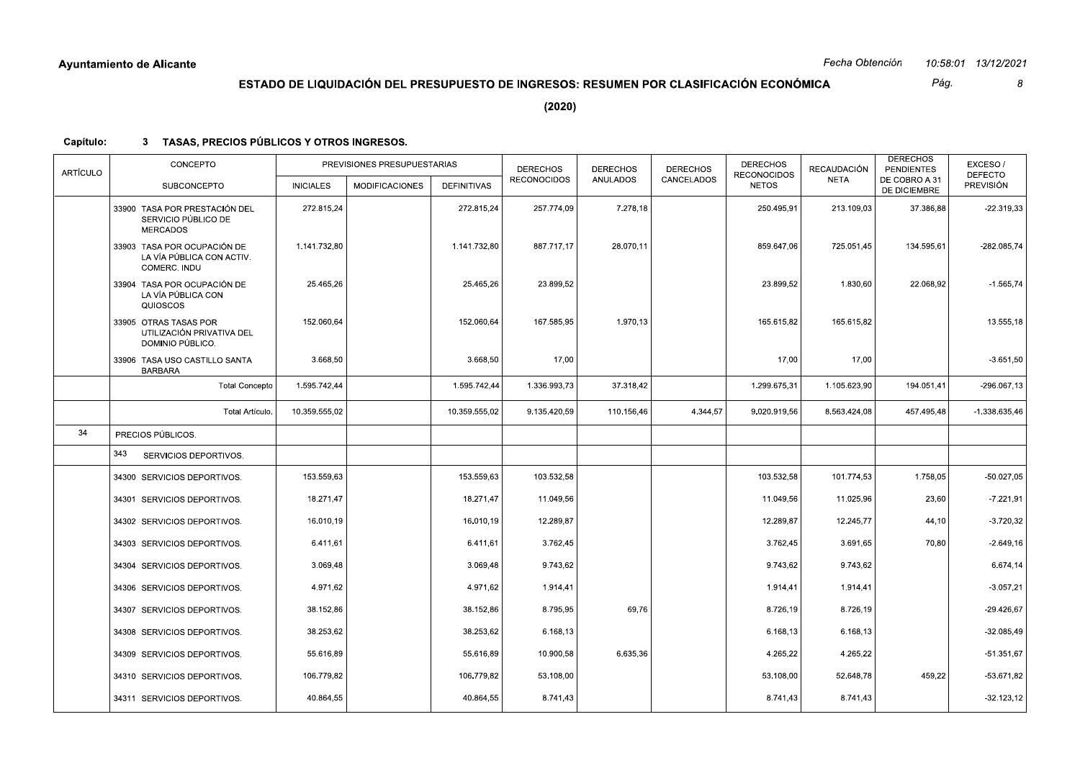Pág.  $\boldsymbol{\delta}$ 

 $(2020)$ 

| <b>ARTÍCULO</b> | CONCEPTO                                                                 |                  | PREVISIONES PRESUPUESTARIAS |                    | <b>DERECHOS</b>    | <b>DERECHOS</b> | <b>DERECHOS</b> | <b>DERECHOS</b><br><b>RECONOCIDOS</b> | <b>RECAUDACIÓN</b> | <b>DERECHOS</b><br><b>PENDIENTES</b> | EXCESO/<br><b>DEFECTO</b> |
|-----------------|--------------------------------------------------------------------------|------------------|-----------------------------|--------------------|--------------------|-----------------|-----------------|---------------------------------------|--------------------|--------------------------------------|---------------------------|
|                 | <b>SUBCONCEPTO</b>                                                       | <b>INICIALES</b> | <b>MODIFICACIONES</b>       | <b>DEFINITIVAS</b> | <b>RECONOCIDOS</b> | <b>ANULADOS</b> | CANCELADOS      | <b>NETOS</b>                          | <b>NETA</b>        | DE COBRO A 31<br>DE DICIEMBRE        | PREVISIÓN                 |
|                 | 33900 TASA POR PRESTACIÓN DEL<br>SERVICIO PÚBLICO DE<br><b>MERCADOS</b>  | 272.815,24       |                             | 272.815,24         | 257.774,09         | 7.278,18        |                 | 250.495,91                            | 213.109,03         | 37.386,88                            | $-22.319,33$              |
|                 | 33903 TASA POR OCUPACIÓN DE<br>LA VÍA PÚBLICA CON ACTIV.<br>COMERC. INDU | 1.141.732,80     |                             | 1.141.732,80       | 887.717,17         | 28.070,11       |                 | 859.647,06                            | 725.051,45         | 134.595,61                           | -282.085,74               |
|                 | 33904 TASA POR OCUPACIÓN DE<br>LA VÍA PÚBLICA CON<br>QUIOSCOS            | 25.465,26        |                             | 25.465,26          | 23.899,52          |                 |                 | 23.899,52                             | 1.830,60           | 22.068,92                            | $-1.565,74$               |
|                 | 33905 OTRAS TASAS POR<br>UTILIZACIÓN PRIVATIVA DEL<br>DOMINIO PÚBLICO.   | 152.060,64       |                             | 152.060,64         | 167.585,95         | 1.970,13        |                 | 165.615,82                            | 165.615,82         |                                      | 13.555,18                 |
|                 | 33906 TASA USO CASTILLO SANTA<br><b>BARBARA</b>                          | 3.668,50         |                             | 3.668,50           | 17,00              |                 |                 | 17,00                                 | 17,00              |                                      | $-3.651,50$               |
|                 | <b>Total Concepto</b>                                                    | 1.595.742,44     |                             | 1.595.742,44       | 1.336.993,73       | 37.318,42       |                 | 1.299.675,31                          | 1.105.623,90       | 194.051,41                           | $-296.067,13$             |
|                 | Total Artículo.                                                          | 10.359.555,02    |                             | 10.359.555,02      | 9.135.420,59       | 110.156,46      | 4.344,57        | 9.020.919,56                          | 8.563.424,08       | 457.495,48                           | $-1.338.635,46$           |
| 34              | PRECIOS PÚBLICOS.                                                        |                  |                             |                    |                    |                 |                 |                                       |                    |                                      |                           |
|                 | 343<br>SERVICIOS DEPORTIVOS.                                             |                  |                             |                    |                    |                 |                 |                                       |                    |                                      |                           |
|                 | 34300 SERVICIOS DEPORTIVOS.                                              | 153.559,63       |                             | 153.559,63         | 103.532,58         |                 |                 | 103.532,58                            | 101.774,53         | 1.758,05                             | $-50.027,05$              |
|                 | 34301 SERVICIOS DEPORTIVOS.                                              | 18.271,47        |                             | 18.271,47          | 11.049,56          |                 |                 | 11.049,56                             | 11.025,96          | 23,60                                | $-7.221,91$               |
|                 | 34302 SERVICIOS DEPORTIVOS.                                              | 16.010,19        |                             | 16.010,19          | 12.289,87          |                 |                 | 12.289,87                             | 12.245,77          | 44,10                                | $-3.720,32$               |
|                 | 34303 SERVICIOS DEPORTIVOS.                                              | 6.411,61         |                             | 6.411,61           | 3.762,45           |                 |                 | 3.762,45                              | 3.691,65           | 70,80                                | $-2.649,16$               |
|                 | 34304 SERVICIOS DEPORTIVOS.                                              | 3.069,48         |                             | 3.069,48           | 9.743,62           |                 |                 | 9.743,62                              | 9.743,62           |                                      | 6.674,14                  |
|                 | 34306 SERVICIOS DEPORTIVOS.                                              | 4.971,62         |                             | 4.971,62           | 1.914,41           |                 |                 | 1.914,41                              | 1.914,41           |                                      | $-3.057,21$               |
|                 | 34307 SERVICIOS DEPORTIVOS.                                              | 38.152,86        |                             | 38.152,86          | 8.795,95           | 69,76           |                 | 8.726,19                              | 8.726,19           |                                      | $-29.426,67$              |
|                 | 34308 SERVICIOS DEPORTIVOS.                                              | 38.253,62        |                             | 38.253,62          | 6.168,13           |                 |                 | 6.168,13                              | 6.168,13           |                                      | -32.085,49                |
|                 | 34309 SERVICIOS DEPORTIVOS.                                              | 55.616,89        |                             | 55.616,89          | 10.900,58          | 6.635,36        |                 | 4.265,22                              | 4.265,22           |                                      | $-51.351,67$              |
|                 | 34310 SERVICIOS DEPORTIVOS.                                              | 106.779,82       |                             | 106.779,82         | 53.108,00          |                 |                 | 53.108,00                             | 52.648,78          | 459,22                               | $-53.671,82$              |
|                 | 34311 SERVICIOS DEPORTIVOS.                                              | 40.864,55        |                             | 40.864,55          | 8.741,43           |                 |                 | 8.741,43                              | 8.741,43           |                                      | $-32.123, 12$             |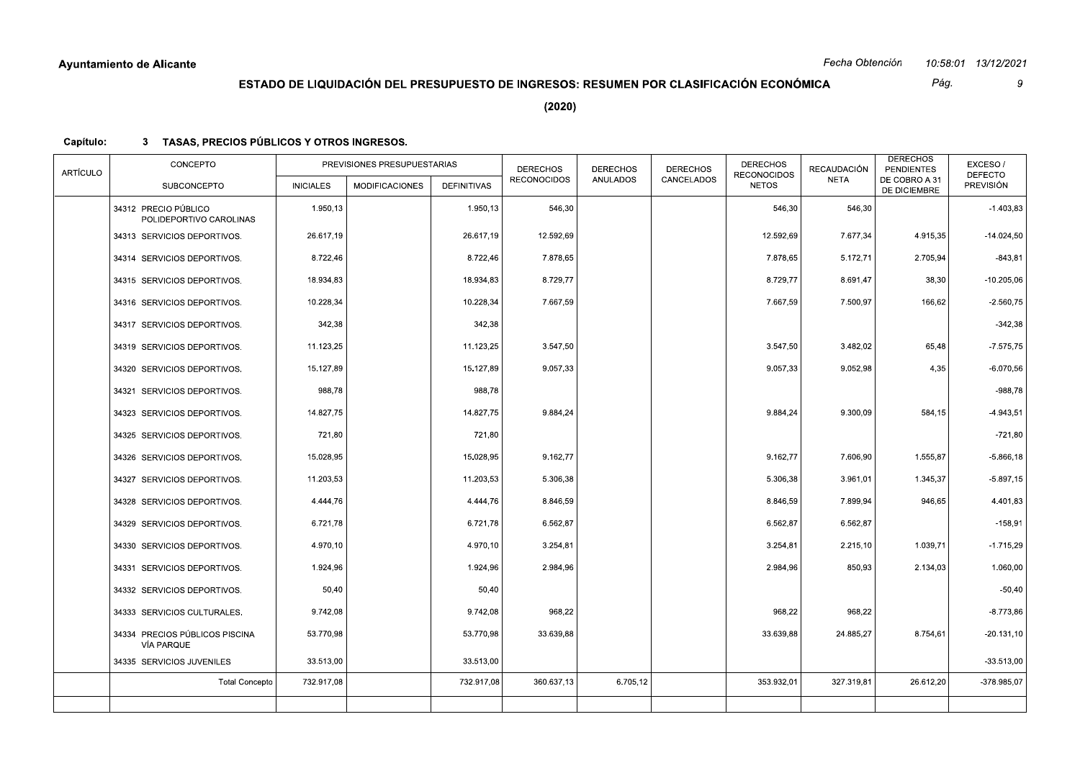Pág.  $\overline{9}$ 

 $(2020)$ 

| <b>ARTÍCULO</b> | CONCEPTO                                        |                  | PREVISIONES PRESUPUESTARIAS |                    | <b>DERECHOS</b><br><b>RECONOCIDOS</b> | <b>DERECHOS</b><br><b>ANULADOS</b> | <b>DERECHOS</b><br>CANCELADOS | <b>DERECHOS</b><br><b>RECONOCIDOS</b> | <b>RECAUDACIÓN</b><br><b>NETA</b> | <b>DERECHOS</b><br><b>PENDIENTES</b><br>DE COBRO A 31 | EXCESO/<br><b>DEFECTO</b> |
|-----------------|-------------------------------------------------|------------------|-----------------------------|--------------------|---------------------------------------|------------------------------------|-------------------------------|---------------------------------------|-----------------------------------|-------------------------------------------------------|---------------------------|
|                 | <b>SUBCONCEPTO</b>                              | <b>INICIALES</b> | <b>MODIFICACIONES</b>       | <b>DEFINITIVAS</b> |                                       |                                    |                               | <b>NETOS</b>                          |                                   | DE DICIEMBRE                                          | PREVISIÓN                 |
|                 | 34312 PRECIO PÚBLICO<br>POLIDEPORTIVO CAROLINAS | 1.950,13         |                             | 1.950,13           | 546,30                                |                                    |                               | 546,30                                | 546,30                            |                                                       | $-1.403,83$               |
|                 | 34313 SERVICIOS DEPORTIVOS.                     | 26.617,19        |                             | 26.617,19          | 12.592,69                             |                                    |                               | 12.592,69                             | 7.677,34                          | 4.915,35                                              | $-14.024,50$              |
|                 | 34314 SERVICIOS DEPORTIVOS.                     | 8.722,46         |                             | 8.722,46           | 7.878,65                              |                                    |                               | 7.878,65                              | 5.172,71                          | 2.705,94                                              | $-843,81$                 |
|                 | 34315 SERVICIOS DEPORTIVOS.                     | 18.934,83        |                             | 18.934,83          | 8.729,77                              |                                    |                               | 8.729,77                              | 8.691,47                          | 38,30                                                 | $-10.205,06$              |
|                 | 34316 SERVICIOS DEPORTIVOS.                     | 10.228,34        |                             | 10.228,34          | 7.667,59                              |                                    |                               | 7.667,59                              | 7.500,97                          | 166,62                                                | $-2.560,75$               |
|                 | 34317 SERVICIOS DEPORTIVOS.                     | 342,38           |                             | 342,38             |                                       |                                    |                               |                                       |                                   |                                                       | $-342,38$                 |
|                 | 34319 SERVICIOS DEPORTIVOS.                     | 11.123,25        |                             | 11.123,25          | 3.547,50                              |                                    |                               | 3.547,50                              | 3.482,02                          | 65,48                                                 | $-7.575,75$               |
|                 | 34320 SERVICIOS DEPORTIVOS.                     | 15.127,89        |                             | 15.127,89          | 9.057,33                              |                                    |                               | 9.057,33                              | 9.052,98                          | 4,35                                                  | $-6.070,56$               |
|                 | 34321 SERVICIOS DEPORTIVOS.                     | 988,78           |                             | 988,78             |                                       |                                    |                               |                                       |                                   |                                                       | $-988,78$                 |
|                 | 34323 SERVICIOS DEPORTIVOS.                     | 14.827,75        |                             | 14.827,75          | 9.884,24                              |                                    |                               | 9.884,24                              | 9.300,09                          | 584,15                                                | $-4.943,51$               |
|                 | 34325 SERVICIOS DEPORTIVOS.                     | 721,80           |                             | 721,80             |                                       |                                    |                               |                                       |                                   |                                                       | $-721,80$                 |
|                 | 34326 SERVICIOS DEPORTIVOS.                     | 15.028,95        |                             | 15.028,95          | 9.162,77                              |                                    |                               | 9.162,77                              | 7.606,90                          | 1.555,87                                              | $-5.866, 18$              |
|                 | 34327 SERVICIOS DEPORTIVOS.                     | 11.203,53        |                             | 11.203,53          | 5.306,38                              |                                    |                               | 5.306,38                              | 3.961,01                          | 1.345,37                                              | $-5.897,15$               |
|                 | 34328 SERVICIOS DEPORTIVOS.                     | 4.444,76         |                             | 4.444,76           | 8.846,59                              |                                    |                               | 8.846,59                              | 7.899,94                          | 946,65                                                | 4.401,83                  |
|                 | 34329 SERVICIOS DEPORTIVOS.                     | 6.721,78         |                             | 6.721,78           | 6.562,87                              |                                    |                               | 6.562,87                              | 6.562,87                          |                                                       | $-158,91$                 |
|                 | 34330 SERVICIOS DEPORTIVOS.                     | 4.970,10         |                             | 4.970,10           | 3.254,81                              |                                    |                               | 3.254,81                              | 2.215,10                          | 1.039,71                                              | $-1.715,29$               |
|                 | 34331 SERVICIOS DEPORTIVOS.                     | 1.924,96         |                             | 1.924,96           | 2.984,96                              |                                    |                               | 2.984,96                              | 850,93                            | 2.134,03                                              | 1.060,00                  |
|                 | 34332 SERVICIOS DEPORTIVOS.                     | 50,40            |                             | 50,40              |                                       |                                    |                               |                                       |                                   |                                                       | $-50,40$                  |
|                 | 34333 SERVICIOS CULTURALES.                     | 9.742,08         |                             | 9.742,08           | 968,22                                |                                    |                               | 968,22                                | 968,22                            |                                                       | $-8.773,86$               |
|                 | 34334 PRECIOS PÚBLICOS PISCINA<br>VÍA PARQUE    | 53.770,98        |                             | 53.770,98          | 33.639,88                             |                                    |                               | 33.639,88                             | 24.885,27                         | 8.754,61                                              | $-20.131,10$              |
|                 | 34335 SERVICIOS JUVENILES                       | 33.513,00        |                             | 33.513,00          |                                       |                                    |                               |                                       |                                   |                                                       | $-33.513,00$              |
|                 | <b>Total Concepto</b>                           | 732.917,08       |                             | 732.917,08         | 360.637,13                            | 6.705,12                           |                               | 353.932,01                            | 327.319,81                        | 26.612,20                                             | $-378.985.07$             |
|                 |                                                 |                  |                             |                    |                                       |                                    |                               |                                       |                                   |                                                       |                           |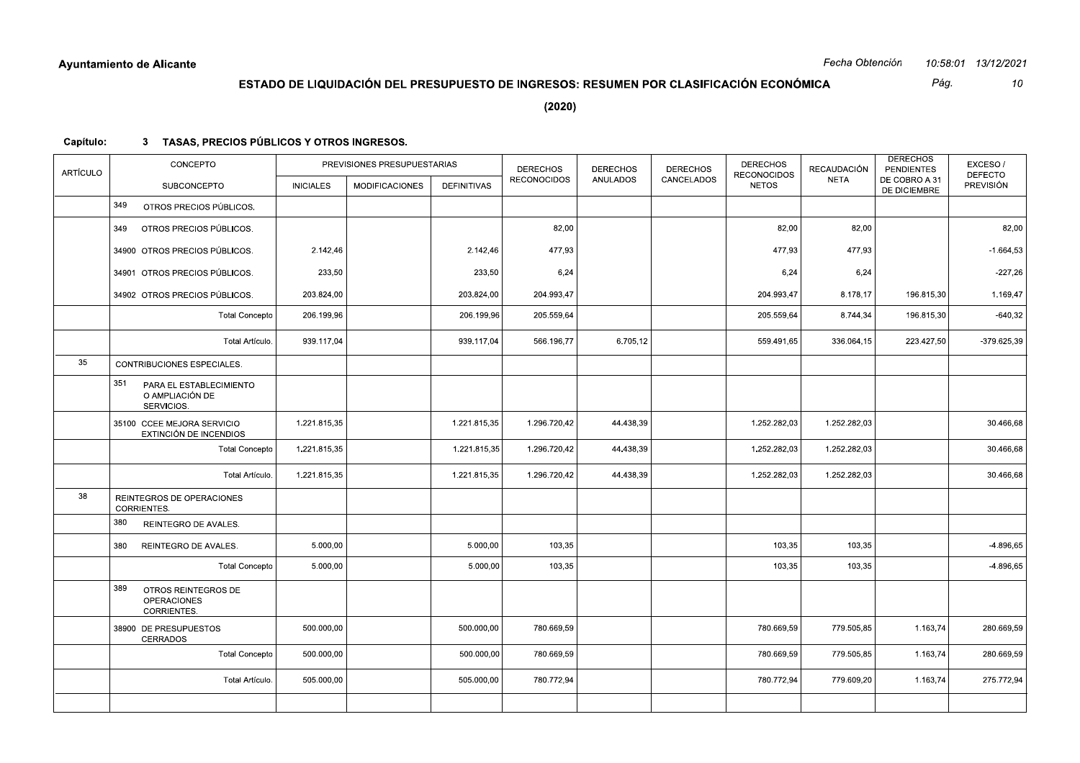Pág.  $10\,$ 

 $(2020)$ 

| <b>ARTÍCULO</b> | CONCEPTO                                                        |                  | PREVISIONES PRESUPUESTARIAS |                    | <b>DERECHOS</b><br><b>RECONOCIDOS</b> | <b>DERECHOS</b><br><b>ANULADOS</b> | <b>DERECHOS</b><br>CANCELADOS | <b>DERECHOS</b><br><b>RECONOCIDOS</b> | <b>RECAUDACIÓN</b><br><b>NETA</b> | <b>DERECHOS</b><br><b>PENDIENTES</b><br>DE COBRO A 31 | EXCESO/<br><b>DEFECTO</b> |
|-----------------|-----------------------------------------------------------------|------------------|-----------------------------|--------------------|---------------------------------------|------------------------------------|-------------------------------|---------------------------------------|-----------------------------------|-------------------------------------------------------|---------------------------|
|                 | <b>SUBCONCEPTO</b>                                              | <b>INICIALES</b> | <b>MODIFICACIONES</b>       | <b>DEFINITIVAS</b> |                                       |                                    |                               | <b>NETOS</b>                          |                                   | DE DICIEMBRE                                          | <b>PREVISIÓN</b>          |
|                 | 349<br>OTROS PRECIOS PÚBLICOS.                                  |                  |                             |                    |                                       |                                    |                               |                                       |                                   |                                                       |                           |
|                 | OTROS PRECIOS PÚBLICOS.<br>349                                  |                  |                             |                    | 82,00                                 |                                    |                               | 82,00                                 | 82,00                             |                                                       | 82,00                     |
|                 | 34900 OTROS PRECIOS PÚBLICOS.                                   | 2.142,46         |                             | 2.142,46           | 477,93                                |                                    |                               | 477,93                                | 477,93                            |                                                       | $-1.664,53$               |
|                 | 34901 OTROS PRECIOS PÚBLICOS.                                   | 233,50           |                             | 233,50             | 6,24                                  |                                    |                               | 6,24                                  | 6,24                              |                                                       | $-227,26$                 |
|                 | 34902 OTROS PRECIOS PÚBLICOS.                                   | 203.824,00       |                             | 203.824,00         | 204.993,47                            |                                    |                               | 204.993,47                            | 8.178,17                          | 196.815,30                                            | 1.169,47                  |
|                 | <b>Total Concepto</b>                                           | 206.199,96       |                             | 206.199,96         | 205.559,64                            |                                    |                               | 205.559,64                            | 8.744,34                          | 196.815,30                                            | $-640.32$                 |
|                 | Total Artículo.                                                 | 939.117,04       |                             | 939.117,04         | 566.196,77                            | 6.705,12                           |                               | 559.491,65                            | 336.064,15                        | 223.427,50                                            | $-379.625,39$             |
| 35              | CONTRIBUCIONES ESPECIALES.                                      |                  |                             |                    |                                       |                                    |                               |                                       |                                   |                                                       |                           |
|                 | 351<br>PARA EL ESTABLECIMIENTO<br>O AMPLIACIÓN DE<br>SERVICIOS. |                  |                             |                    |                                       |                                    |                               |                                       |                                   |                                                       |                           |
|                 | 35100 CCEE MEJORA SERVICIO<br>EXTINCIÓN DE INCENDIOS            | 1.221.815,35     |                             | 1.221.815,35       | 1.296.720,42                          | 44.438,39                          |                               | 1.252.282,03                          | 1.252.282,03                      |                                                       | 30.466,68                 |
|                 | <b>Total Concepto</b>                                           | 1.221.815,35     |                             | 1.221.815,35       | 1.296.720,42                          | 44.438,39                          |                               | 1.252.282,03                          | 1.252.282,03                      |                                                       | 30.466,68                 |
|                 | Total Artículo.                                                 | 1.221.815,35     |                             | 1.221.815,35       | 1.296.720,42                          | 44.438,39                          |                               | 1.252.282,03                          | 1.252.282,03                      |                                                       | 30.466,68                 |
| 38              | REINTEGROS DE OPERACIONES<br>CORRIENTES.                        |                  |                             |                    |                                       |                                    |                               |                                       |                                   |                                                       |                           |
|                 | 380<br>REINTEGRO DE AVALES.                                     |                  |                             |                    |                                       |                                    |                               |                                       |                                   |                                                       |                           |
|                 | 380<br>REINTEGRO DE AVALES.                                     | 5.000,00         |                             | 5.000,00           | 103,35                                |                                    |                               | 103,35                                | 103,35                            |                                                       | $-4.896,65$               |
|                 | <b>Total Concepto</b>                                           | 5.000,00         |                             | 5.000,00           | 103,35                                |                                    |                               | 103,35                                | 103,35                            |                                                       | $-4.896,65$               |
|                 | 389<br>OTROS REINTEGROS DE<br><b>OPERACIONES</b><br>CORRIENTES. |                  |                             |                    |                                       |                                    |                               |                                       |                                   |                                                       |                           |
|                 | 38900 DE PRESUPUESTOS<br><b>CERRADOS</b>                        | 500.000,00       |                             | 500.000,00         | 780.669,59                            |                                    |                               | 780.669,59                            | 779.505,85                        | 1.163,74                                              | 280.669,59                |
|                 | <b>Total Concepto</b>                                           | 500.000,00       |                             | 500.000,00         | 780.669,59                            |                                    |                               | 780.669,59                            | 779.505,85                        | 1.163,74                                              | 280.669,59                |
|                 | Total Artículo.                                                 | 505.000,00       |                             | 505.000,00         | 780.772,94                            |                                    |                               | 780.772,94                            | 779.609,20                        | 1.163,74                                              | 275.772,94                |
|                 |                                                                 |                  |                             |                    |                                       |                                    |                               |                                       |                                   |                                                       |                           |
|                 |                                                                 |                  |                             |                    |                                       |                                    |                               |                                       |                                   |                                                       |                           |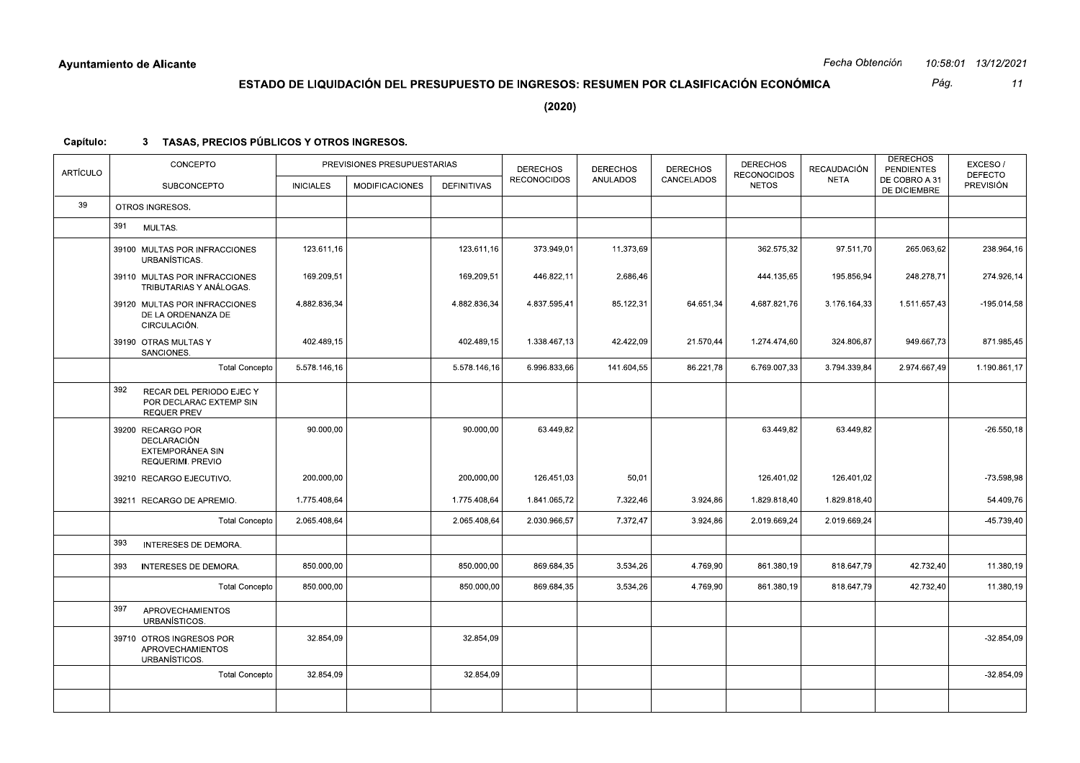Pág.  $11$ 

 $(2020)$ 

| <b>ARTÍCULO</b> | CONCEPTO                                                                         |                  | PREVISIONES PRESUPUESTARIAS |                    | <b>DERECHOS</b>    | <b>DERECHOS</b> | <b>DERECHOS</b> | <b>DERECHOS</b><br><b>RECONOCIDOS</b> | <b>RECAUDACIÓN</b> | <b>DERECHOS</b><br><b>PENDIENTES</b> | EXCESO/<br><b>DEFECTO</b> |
|-----------------|----------------------------------------------------------------------------------|------------------|-----------------------------|--------------------|--------------------|-----------------|-----------------|---------------------------------------|--------------------|--------------------------------------|---------------------------|
|                 | <b>SUBCONCEPTO</b>                                                               | <b>INICIALES</b> | <b>MODIFICACIONES</b>       | <b>DEFINITIVAS</b> | <b>RECONOCIDOS</b> | <b>ANULADOS</b> | CANCELADOS      | <b>NETOS</b>                          | <b>NETA</b>        | DE COBRO A 31<br>DE DICIEMBRE        | <b>PREVISIÓN</b>          |
| 39              | OTROS INGRESOS.                                                                  |                  |                             |                    |                    |                 |                 |                                       |                    |                                      |                           |
|                 | 391<br>MULTAS.                                                                   |                  |                             |                    |                    |                 |                 |                                       |                    |                                      |                           |
|                 | 39100 MULTAS POR INFRACCIONES<br>URBANÍSTICAS.                                   | 123.611.16       |                             | 123.611.16         | 373.949.01         | 11.373.69       |                 | 362.575.32                            | 97.511.70          | 265.063,62                           | 238.964,16                |
|                 | 39110 MULTAS POR INFRACCIONES<br>TRIBUTARIAS Y ANÁLOGAS.                         | 169.209,51       |                             | 169.209,51         | 446.822,11         | 2.686,46        |                 | 444.135,65                            | 195.856,94         | 248.278,71                           | 274.926,14                |
|                 | 39120 MULTAS POR INFRACCIONES<br>DE LA ORDENANZA DE<br>CIRCULACIÓN.              | 4.882.836.34     |                             | 4.882.836.34       | 4.837.595.41       | 85.122,31       | 64.651,34       | 4.687.821.76                          | 3.176.164.33       | 1.511.657,43                         | $-195.014,58$             |
|                 | 39190 OTRAS MULTAS Y<br>SANCIONES.                                               | 402.489,15       |                             | 402.489,15         | 1.338.467,13       | 42.422,09       | 21.570,44       | 1.274.474,60                          | 324.806,87         | 949.667,73                           | 871.985,45                |
|                 | <b>Total Concepto</b>                                                            | 5.578.146,16     |                             | 5.578.146,16       | 6.996.833,66       | 141.604,55      | 86.221,78       | 6.769.007,33                          | 3.794.339,84       | 2.974.667,49                         | 1.190.861,17              |
|                 | 392<br>RECAR DEL PERIODO EJEC Y<br>POR DECLARAC EXTEMP SIN<br><b>REQUER PREV</b> |                  |                             |                    |                    |                 |                 |                                       |                    |                                      |                           |
|                 | 39200 RECARGO POR<br>DECLARACIÓN<br>EXTEMPORÁNEA SIN<br>REQUERIMI. PREVIO        | 90.000,00        |                             | 90.000,00          | 63.449,82          |                 |                 | 63.449,82                             | 63.449,82          |                                      | $-26.550, 18$             |
|                 | 39210 RECARGO EJECUTIVO.                                                         | 200.000,00       |                             | 200.000,00         | 126.451,03         | 50,01           |                 | 126.401,02                            | 126.401,02         |                                      | $-73.598,98$              |
|                 | 39211 RECARGO DE APREMIO.                                                        | 1.775.408.64     |                             | 1.775.408.64       | 1.841.065.72       | 7.322,46        | 3.924,86        | 1.829.818.40                          | 1.829.818.40       |                                      | 54.409,76                 |
|                 | <b>Total Concepto</b>                                                            | 2.065.408,64     |                             | 2.065.408.64       | 2.030.966,57       | 7.372,47        | 3.924,86        | 2.019.669,24                          | 2.019.669,24       |                                      | $-45.739,40$              |
|                 | 393<br>INTERESES DE DEMORA.                                                      |                  |                             |                    |                    |                 |                 |                                       |                    |                                      |                           |
|                 | 393<br>INTERESES DE DEMORA.                                                      | 850.000,00       |                             | 850.000,00         | 869.684,35         | 3.534,26        | 4.769,90        | 861.380,19                            | 818.647,79         | 42.732,40                            | 11.380,19                 |
|                 | <b>Total Concepto</b>                                                            | 850.000,00       |                             | 850.000,00         | 869.684,35         | 3.534,26        | 4.769,90        | 861.380,19                            | 818.647,79         | 42.732,40                            | 11.380,19                 |
|                 | 397<br><b>APROVECHAMIENTOS</b><br>URBANÍSTICOS.                                  |                  |                             |                    |                    |                 |                 |                                       |                    |                                      |                           |
|                 | 39710 OTROS INGRESOS POR<br><b>APROVECHAMIENTOS</b><br>URBANÍSTICOS.             | 32.854,09        |                             | 32.854,09          |                    |                 |                 |                                       |                    |                                      | $-32.854,09$              |
|                 | <b>Total Concepto</b>                                                            | 32.854,09        |                             | 32.854,09          |                    |                 |                 |                                       |                    |                                      | $-32.854,09$              |
|                 |                                                                                  |                  |                             |                    |                    |                 |                 |                                       |                    |                                      |                           |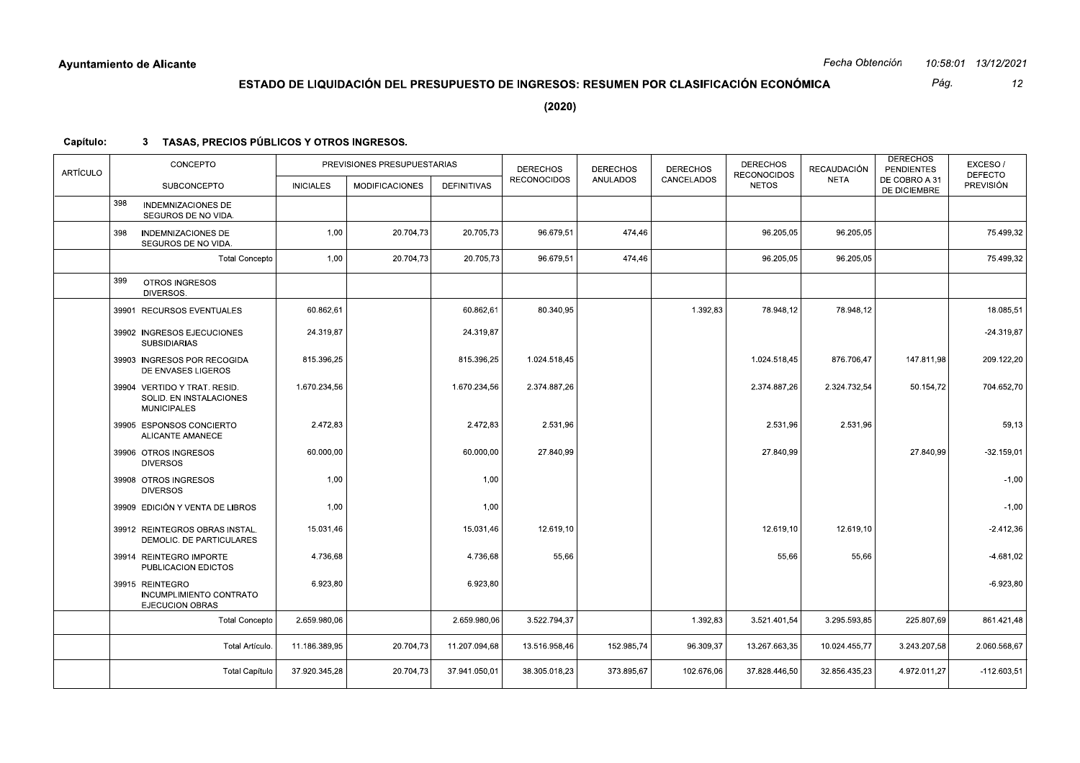Pág.  $12\,$ 

 $(2020)$ 

| ARTÍCULO |     | CONCEPTO                                                                      |                  | PREVISIONES PRESUPUESTARIAS |                    | <b>DERECHOS</b>    | <b>DERECHOS</b> | <b>DERECHOS</b> | <b>DERECHOS</b><br><b>RECONOCIDOS</b> | <b>RECAUDACIÓN</b> | <b>DERECHOS</b><br><b>PENDIENTES</b> | EXCESO/<br><b>DEFECTO</b> |
|----------|-----|-------------------------------------------------------------------------------|------------------|-----------------------------|--------------------|--------------------|-----------------|-----------------|---------------------------------------|--------------------|--------------------------------------|---------------------------|
|          |     | <b>SUBCONCEPTO</b>                                                            | <b>INICIALES</b> | <b>MODIFICACIONES</b>       | <b>DEFINITIVAS</b> | <b>RECONOCIDOS</b> | <b>ANULADOS</b> | CANCELADOS      | <b>NETOS</b>                          | <b>NETA</b>        | DE COBRO A 31<br>DE DICIEMBRE        | PREVISIÓN                 |
|          | 398 | <b>INDEMNIZACIONES DE</b><br>SEGUROS DE NO VIDA.                              |                  |                             |                    |                    |                 |                 |                                       |                    |                                      |                           |
|          | 398 | <b>INDEMNIZACIONES DE</b><br>SEGUROS DE NO VIDA.                              | 1,00             | 20.704,73                   | 20.705,73          | 96.679,51          | 474,46          |                 | 96.205,05                             | 96.205,05          |                                      | 75.499,32                 |
|          |     | <b>Total Concepto</b>                                                         | 1,00             | 20.704,73                   | 20.705,73          | 96.679,51          | 474,46          |                 | 96.205,05                             | 96.205,05          |                                      | 75.499,32                 |
|          | 399 | OTROS INGRESOS<br>DIVERSOS.                                                   |                  |                             |                    |                    |                 |                 |                                       |                    |                                      |                           |
|          |     | 39901 RECURSOS EVENTUALES                                                     | 60.862,61        |                             | 60.862,61          | 80.340.95          |                 | 1.392,83        | 78.948.12                             | 78.948.12          |                                      | 18.085,51                 |
|          |     | 39902 INGRESOS EJECUCIONES<br><b>SUBSIDIARIAS</b>                             | 24.319,87        |                             | 24.319,87          |                    |                 |                 |                                       |                    |                                      | $-24.319,87$              |
|          |     | 39903 INGRESOS POR RECOGIDA<br>DE ENVASES LIGEROS                             | 815.396,25       |                             | 815.396,25         | 1.024.518.45       |                 |                 | 1.024.518,45                          | 876.706,47         | 147.811,98                           | 209.122,20                |
|          |     | 39904 VERTIDO Y TRAT. RESID.<br>SOLID. EN INSTALACIONES<br><b>MUNICIPALES</b> | 1.670.234,56     |                             | 1.670.234,56       | 2.374.887,26       |                 |                 | 2.374.887,26                          | 2.324.732,54       | 50.154,72                            | 704.652,70                |
|          |     | 39905 ESPONSOS CONCIERTO<br><b>ALICANTE AMANECE</b>                           | 2.472,83         |                             | 2.472,83           | 2.531,96           |                 |                 | 2.531,96                              | 2.531,96           |                                      | 59,13                     |
|          |     | 39906 OTROS INGRESOS<br><b>DIVERSOS</b>                                       | 60.000,00        |                             | 60.000,00          | 27.840,99          |                 |                 | 27.840,99                             |                    | 27.840,99                            | -32.159,01                |
|          |     | 39908 OTROS INGRESOS<br><b>DIVERSOS</b>                                       | 1,00             |                             | 1,00               |                    |                 |                 |                                       |                    |                                      | $-1,00$                   |
|          |     | 39909 EDICIÓN Y VENTA DE LIBROS                                               | 1,00             |                             | 1,00               |                    |                 |                 |                                       |                    |                                      | $-1,00$                   |
|          |     | 39912 REINTEGROS OBRAS INSTAL.<br>DEMOLIC. DE PARTICULARES                    | 15.031,46        |                             | 15.031,46          | 12.619,10          |                 |                 | 12.619,10                             | 12.619,10          |                                      | $-2.412,36$               |
|          |     | 39914 REINTEGRO IMPORTE<br>PUBLICACION EDICTOS                                | 4.736,68         |                             | 4.736,68           | 55,66              |                 |                 | 55,66                                 | 55,66              |                                      | $-4.681,02$               |
|          |     | 39915 REINTEGRO<br>INCUMPLIMIENTO CONTRATO<br><b>EJECUCION OBRAS</b>          | 6.923,80         |                             | 6.923,80           |                    |                 |                 |                                       |                    |                                      | $-6.923,80$               |
|          |     | <b>Total Concepto</b>                                                         | 2.659.980.06     |                             | 2.659.980.06       | 3.522.794,37       |                 | 1.392,83        | 3.521.401,54                          | 3.295.593,85       | 225.807,69                           | 861.421,48                |
|          |     | Total Artículo.                                                               | 11.186.389,95    | 20.704,73                   | 11.207.094,68      | 13.516.958,46      | 152.985,74      | 96.309,37       | 13.267.663,35                         | 10.024.455,77      | 3.243.207,58                         | 2.060.568,67              |
|          |     | <b>Total Capítulo</b>                                                         | 37.920.345,28    | 20.704,73                   | 37.941.050,01      | 38.305.018,23      | 373.895,67      | 102.676,06      | 37.828.446,50                         | 32.856.435,23      | 4.972.011,27                         | $-112.603,51$             |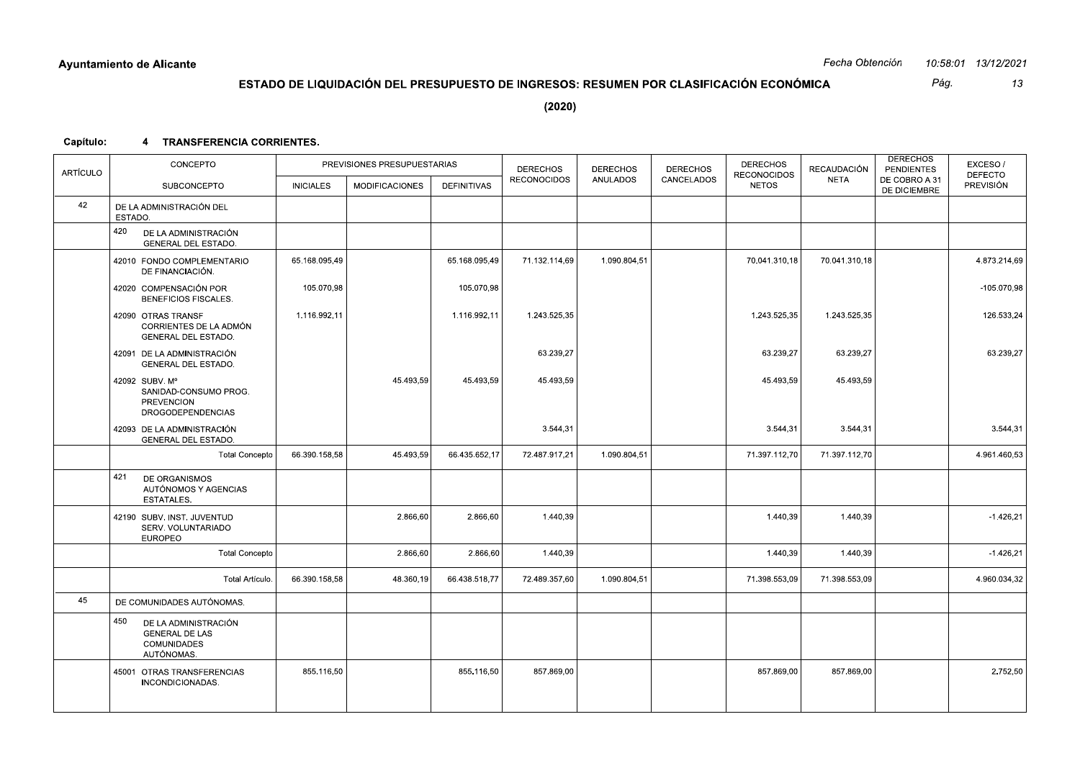|           | Ayuntamiento de Alicante                                                                 |                  |                                                                                        |               |                    |                 |                 |                                    | Fecha Obtención |                                      | 10:58:01 13/12/2021         |
|-----------|------------------------------------------------------------------------------------------|------------------|----------------------------------------------------------------------------------------|---------------|--------------------|-----------------|-----------------|------------------------------------|-----------------|--------------------------------------|-----------------------------|
|           |                                                                                          |                  | ESTADO DE LIQUIDACIÓN DEL PRESUPUESTO DE INGRESOS: RESUMEN POR CLASIFICACIÓN ECONÓMICA |               |                    |                 |                 |                                    |                 | Pág.                                 | 13                          |
|           |                                                                                          |                  |                                                                                        |               | (2020)             |                 |                 |                                    |                 |                                      |                             |
| Capítulo: | 4 TRANSFERENCIA CORRIENTES.                                                              |                  |                                                                                        |               |                    |                 |                 |                                    |                 |                                      |                             |
| ARTÍCULO  | CONCEPTO                                                                                 |                  | PREVISIONES PRESUPUESTARIAS                                                            |               | <b>DERECHOS</b>    | <b>DERECHOS</b> | <b>DERECHOS</b> | <b>DERECHOS</b>                    | RECAUDACIÓN     | <b>DERECHOS</b><br><b>PENDIENTES</b> | EXCESO/                     |
|           | SUBCONCEPTO                                                                              | <b>INICIALES</b> | <b>MODIFICACIONES</b>                                                                  | DEFINITIVAS   | <b>RECONOCIDOS</b> | ANULADOS        | CANCELADOS      | <b>RECONOCIDOS</b><br><b>NETOS</b> | NETA            | DE COBRO A 31<br>DE DICIEMBRE        | <b>DEFECTO</b><br>PREVISIÓN |
| 42        | DE LA ADMINISTRACIÓN DEL<br>ESTADO.                                                      |                  |                                                                                        |               |                    |                 |                 |                                    |                 |                                      |                             |
|           | 420<br>DE LA ADMINISTRACIÓN<br><b>GENERAL DEL ESTADO.</b>                                |                  |                                                                                        |               |                    |                 |                 |                                    |                 |                                      |                             |
|           | 42010 FONDO COMPLEMENTARIO<br>DE FINANCIACIÓN.                                           | 65.168.095,49    |                                                                                        | 65.168.095,49 | 71.132.114,69      | 1.090.804,51    |                 | 70.041.310.18                      | 70.041.310,18   |                                      | 4.873.214,69                |
|           | 42020 COMPENSACIÓN POR<br>BENEFICIOS FISCALES.                                           | 105.070,98       |                                                                                        | 105.070,98    |                    |                 |                 |                                    |                 |                                      | $-105.070,98$               |
|           | 42090 OTRAS TRANSF<br>CORRIENTES DE LA ADMÓN<br><b>GENERAL DEL ESTADO.</b>               | 1.116.992,11     |                                                                                        | 1.116.992,11  | 1.243.525,35       |                 |                 | 1.243.525,35                       | 1.243.525,35    |                                      | 126.533,24                  |
|           | 42091 DE LA ADMINISTRACIÓN<br><b>GENERAL DEL ESTADO.</b>                                 |                  |                                                                                        |               | 63.239,27          |                 |                 | 63.239,27                          | 63.239,27       |                                      | 63.239,27                   |
|           | 42092 SUBV. M°<br>SANIDAD-CONSUMO PROG.<br><b>PREVENCION</b><br><b>DROGODEPENDENCIAS</b> |                  | 45.493,59                                                                              | 45.493,59     | 45.493,59          |                 |                 | 45.493,59                          | 45.493,59       |                                      |                             |
|           | 42093 DE LA ADMINISTRACIÓN<br>GENERAL DEL ESTADO.                                        |                  |                                                                                        |               | 3.544,31           |                 |                 | 3.544,31                           | 3.544,31        |                                      | 3.544,31                    |
|           | Total Concepto                                                                           | 66.390.158,58    | 45.493,59                                                                              | 66.435.652,17 | 72.487.917,21      | 1.090.804,51    |                 | 71.397.112,70                      | 71.397.112,70   |                                      | 4.961.460,53                |
|           | 421<br>DE ORGANISMOS<br>AUTÓNOMOS Y AGENCIAS<br>ESTATALES.                               |                  |                                                                                        |               |                    |                 |                 |                                    |                 |                                      |                             |
|           | 42190 SUBV. INST. JUVENTUD<br>SERV. VOLUNTARIADO<br><b>EUROPEO</b>                       |                  | 2.866,60                                                                               | 2.866,60      | 1.440,39           |                 |                 | 1.440,39                           | 1.440,39        |                                      | $-1.426,21$                 |
|           | Total Concepto                                                                           |                  | 2.866,60                                                                               | 2.866,60      | 1.440,39           |                 |                 | 1.440,39                           | 1.440,39        |                                      | $-1.426,21$                 |
|           | Total Artículo.                                                                          | 66.390.158,58    | 48.360,19                                                                              | 66.438.518,77 | 72.489.357,60      | 1.090.804,51    |                 | 71.398.553,09                      | 71.398.553,09   |                                      | 4.960.034,32                |
| 45        | DE COMUNIDADES AUTÓNOMAS.                                                                |                  |                                                                                        |               |                    |                 |                 |                                    |                 |                                      |                             |
|           | 450<br>DE LA ADMINISTRACIÓN<br><b>GENERAL DE LAS</b><br>COMUNIDADES<br>AUTÓNOMAS.        |                  |                                                                                        |               |                    |                 |                 |                                    |                 |                                      |                             |
|           | 45001 OTRAS TRANSFERENCIAS<br>INCONDICIONADAS.                                           | 855.116,50       |                                                                                        | 855.116,50    | 857.869,00         |                 |                 | 857.869,00                         | 857.869,00      |                                      | 2.752,50                    |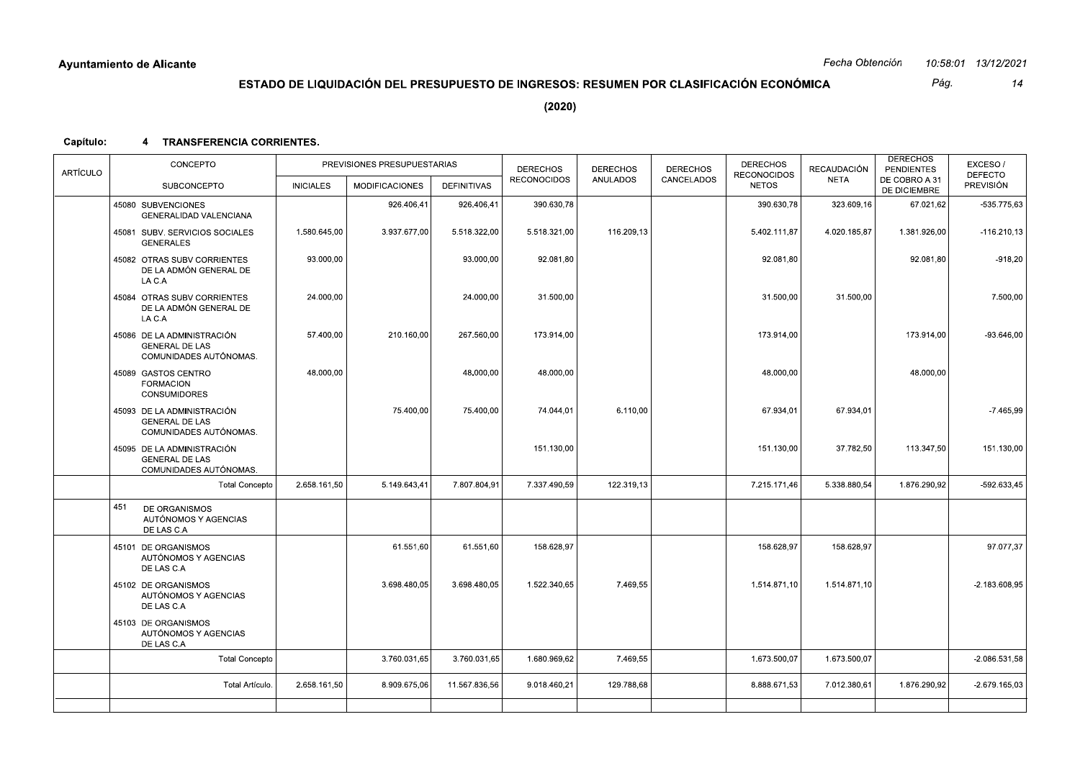|           | Ayuntamiento de Alicante                                                      |                  |                                                                                        |               |                    |                 |                 |                                    | Fecha Obtención |                                      | 10:58:01 13/12/2021                |
|-----------|-------------------------------------------------------------------------------|------------------|----------------------------------------------------------------------------------------|---------------|--------------------|-----------------|-----------------|------------------------------------|-----------------|--------------------------------------|------------------------------------|
|           |                                                                               |                  | ESTADO DE LIQUIDACIÓN DEL PRESUPUESTO DE INGRESOS: RESUMEN POR CLASIFICACIÓN ECONÓMICA |               |                    |                 |                 |                                    |                 | Pág.                                 | 14                                 |
|           |                                                                               |                  |                                                                                        |               | (2020)             |                 |                 |                                    |                 |                                      |                                    |
| Capítulo: | <b>TRANSFERENCIA CORRIENTES.</b><br>4                                         |                  |                                                                                        |               |                    |                 |                 |                                    |                 |                                      |                                    |
| ARTÍCULO  | CONCEPTO                                                                      |                  | PREVISIONES PRESUPUESTARIAS                                                            |               | <b>DERECHOS</b>    | <b>DERECHOS</b> | <b>DERECHOS</b> | <b>DERECHOS</b>                    | RECAUDACIÓN     | <b>DERECHOS</b><br><b>PENDIENTES</b> | EXCESO/                            |
|           | SUBCONCEPTO                                                                   | <b>INICIALES</b> | <b>MODIFICACIONES</b>                                                                  | DEFINITIVAS   | <b>RECONOCIDOS</b> | ANULADOS        | CANCELADOS      | <b>RECONOCIDOS</b><br><b>NETOS</b> | <b>NETA</b>     | DE COBRO A 31<br>DE DICIEMBRE        | <b>DEFECTO</b><br><b>PREVISIÓN</b> |
|           | 45080 SUBVENCIONES<br><b>GENERALIDAD VALENCIANA</b>                           |                  | 926.406,41                                                                             | 926.406,41    | 390.630,78         |                 |                 | 390.630,78                         | 323.609,16      | 67.021,62                            | -535.775,63                        |
|           | 45081 SUBV. SERVICIOS SOCIALES<br><b>GENERALES</b>                            | 1.580.645,00     | 3.937.677,00                                                                           | 5.518.322,00  | 5.518.321,00       | 116.209,13      |                 | 5.402.111,87                       | 4.020.185,87    | 1.381.926,00                         | $-116.210,13$                      |
|           | 45082 OTRAS SUBV CORRIENTES<br>DE LA ADMÓN GENERAL DE<br>LA C.A               | 93.000,00        |                                                                                        | 93.000,00     | 92.081,80          |                 |                 | 92.081,80                          |                 | 92.081,80                            | $-918,20$                          |
|           | 45084 OTRAS SUBV CORRIENTES<br>DE LA ADMÓN GENERAL DE<br>LA C.A               | 24.000,00        |                                                                                        | 24.000,00     | 31.500,00          |                 |                 | 31.500,00                          | 31.500,00       |                                      | 7.500,00                           |
|           | 45086 DE LA ADMINISTRACIÓN<br><b>GENERAL DE LAS</b><br>COMUNIDADES AUTÓNOMAS. | 57.400,00        | 210.160,00                                                                             | 267.560,00    | 173.914,00         |                 |                 | 173.914,00                         |                 | 173.914,00                           | $-93.646,00$                       |
|           | 45089 GASTOS CENTRO<br><b>FORMACION</b><br><b>CONSUMIDORES</b>                | 48.000,00        |                                                                                        | 48.000,00     | 48.000,00          |                 |                 | 48.000,00                          |                 | 48.000,00                            |                                    |
|           | 45093 DE LA ADMINISTRACIÓN<br><b>GENERAL DE LAS</b><br>COMUNIDADES AUTÓNOMAS. |                  | 75.400,00                                                                              | 75.400,00     | 74.044,01          | 6.110,00        |                 | 67.934,01                          | 67.934,01       |                                      | $-7.465,99$                        |
|           | 45095 DE LA ADMINISTRACIÓN<br><b>GENERAL DE LAS</b><br>COMUNIDADES AUTÓNOMAS. |                  |                                                                                        |               | 151.130,00         |                 |                 | 151.130,00                         | 37.782,50       | 113.347,50                           | 151.130,00                         |
|           | <b>Total Concepto</b>                                                         | 2.658.161,50     | 5.149.643,41                                                                           | 7.807.804,91  | 7.337.490,59       | 122.319,13      |                 | 7.215.171,46                       | 5.338.880,54    | 1.876.290,92                         | $-592.633,45$                      |
|           | 451<br>DE ORGANISMOS<br>AUTÓNOMOS Y AGENCIAS<br>DE LAS C.A                    |                  |                                                                                        |               |                    |                 |                 |                                    |                 |                                      |                                    |
|           | 45101 DE ORGANISMOS<br>AUTÓNOMOS Y AGENCIAS<br>DE LAS C.A                     |                  | 61.551,60                                                                              | 61.551,60     | 158.628,97         |                 |                 | 158.628,97                         | 158.628,97      |                                      | 97.077,37                          |
|           | 45102 DE ORGANISMOS<br>AUTÓNOMOS Y AGENCIAS<br>DE LAS C.A                     |                  | 3.698.480,05                                                                           | 3.698.480,05  | 1.522.340,65       | 7.469,55        |                 | 1.514.871,10                       | 1.514.871,10    |                                      | $-2.183.608,95$                    |
|           | 45103 DE ORGANISMOS<br>AUTÓNOMOS Y AGENCIAS<br>DE LAS C.A                     |                  |                                                                                        |               |                    |                 |                 |                                    |                 |                                      |                                    |
|           | <b>Total Concepto</b>                                                         |                  | 3.760.031,65                                                                           | 3.760.031,65  | 1.680.969,62       | 7.469,55        |                 | 1.673.500,07                       | 1.673.500,07    |                                      | $-2.086.531,58$                    |
|           | Total Artículo.                                                               | 2.658.161,50     | 8.909.675,06                                                                           | 11.567.836,56 | 9.018.460,21       | 129.788,68      |                 | 8.888.671,53                       | 7.012.380,61    | 1.876.290,92                         | -2.679.165,03                      |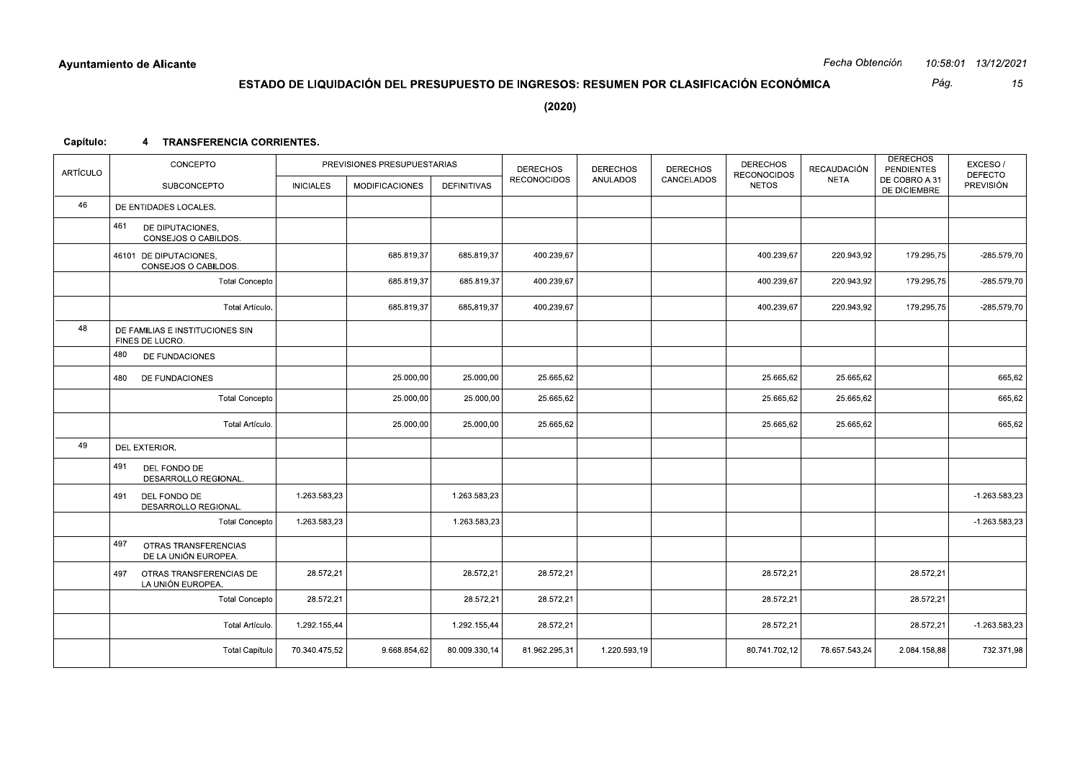Pág. 15

 $(2020)$ 

## Capítulo: 4 TRANSFERENCIA CORRIENTES.

| <b>ARTÍCULO</b> | CONCEPTO                                            |                  | PREVISIONES PRESUPUESTARIAS |                    | <b>DERECHOS</b>    | <b>DERECHOS</b> | <b>DERECHOS</b> | <b>DERECHOS</b><br><b>RECONOCIDOS</b> | RECAUDACIÓN   | <b>DERECHOS</b><br><b>PENDIENTES</b> | EXCESO/<br><b>DEFECTO</b> |
|-----------------|-----------------------------------------------------|------------------|-----------------------------|--------------------|--------------------|-----------------|-----------------|---------------------------------------|---------------|--------------------------------------|---------------------------|
|                 | SUBCONCEPTO                                         | <b>INICIALES</b> | <b>MODIFICACIONES</b>       | <b>DEFINITIVAS</b> | <b>RECONOCIDOS</b> | <b>ANULADOS</b> | CANCELADOS      | <b>NETOS</b>                          | <b>NETA</b>   | DE COBRO A 31<br>DE DICIEMBRE        | PREVISIÓN                 |
| 46              | DE ENTIDADES LOCALES.                               |                  |                             |                    |                    |                 |                 |                                       |               |                                      |                           |
|                 | 461<br>DE DIPUTACIONES,<br>CONSEJOS O CABILDOS.     |                  |                             |                    |                    |                 |                 |                                       |               |                                      |                           |
|                 | 46101 DE DIPUTACIONES,<br>CONSEJOS O CABILDOS.      |                  | 685.819,37                  | 685.819.37         | 400.239.67         |                 |                 | 400.239.67                            | 220.943,92    | 179.295,75                           | $-285.579.70$             |
|                 | <b>Total Concepto</b>                               |                  | 685.819,37                  | 685.819,37         | 400.239,67         |                 |                 | 400.239,67                            | 220.943,92    | 179.295,75                           | $-285.579,70$             |
|                 | Total Artículo.                                     |                  | 685.819,37                  | 685.819,37         | 400.239,67         |                 |                 | 400.239,67                            | 220.943,92    | 179.295,75                           | -285.579,70               |
| 48              | DE FAMILIAS E INSTITUCIONES SIN<br>FINES DE LUCRO.  |                  |                             |                    |                    |                 |                 |                                       |               |                                      |                           |
|                 | 480<br>DE FUNDACIONES                               |                  |                             |                    |                    |                 |                 |                                       |               |                                      |                           |
|                 | 480<br>DE FUNDACIONES                               |                  | 25.000,00                   | 25.000,00          | 25.665,62          |                 |                 | 25.665,62                             | 25.665,62     |                                      | 665,62                    |
|                 | <b>Total Concepto</b>                               |                  | 25.000,00                   | 25.000,00          | 25.665,62          |                 |                 | 25.665,62                             | 25.665,62     |                                      | 665,62                    |
|                 | Total Artículo.                                     |                  | 25.000,00                   | 25.000,00          | 25.665,62          |                 |                 | 25.665,62                             | 25.665,62     |                                      | 665,62                    |
| 49              | <b>DEL EXTERIOR.</b>                                |                  |                             |                    |                    |                 |                 |                                       |               |                                      |                           |
|                 | 491<br>DEL FONDO DE<br>DESARROLLO REGIONAL.         |                  |                             |                    |                    |                 |                 |                                       |               |                                      |                           |
|                 | 491<br>DEL FONDO DE<br>DESARROLLO REGIONAL.         | 1.263.583,23     |                             | 1.263.583,23       |                    |                 |                 |                                       |               |                                      | $-1.263.583.23$           |
|                 | <b>Total Concepto</b>                               | 1.263.583,23     |                             | 1.263.583,23       |                    |                 |                 |                                       |               |                                      | $-1.263.583,23$           |
|                 | 497<br>OTRAS TRANSFERENCIAS<br>DE LA UNIÓN EUROPEA. |                  |                             |                    |                    |                 |                 |                                       |               |                                      |                           |
|                 | OTRAS TRANSFERENCIAS DE<br>497<br>LA UNIÓN EUROPEA. | 28.572,21        |                             | 28.572,21          | 28.572,21          |                 |                 | 28.572,21                             |               | 28.572,21                            |                           |
|                 | <b>Total Concepto</b>                               | 28.572,21        |                             | 28.572,21          | 28.572,21          |                 |                 | 28.572,21                             |               | 28.572,21                            |                           |
|                 | Total Artículo.                                     | 1.292.155,44     |                             | 1.292.155,44       | 28.572,21          |                 |                 | 28.572,21                             |               | 28.572,21                            | $-1.263.583,23$           |
|                 | <b>Total Capítulo</b>                               | 70.340.475,52    | 9.668.854,62                | 80.009.330,14      | 81.962.295,31      | 1.220.593,19    |                 | 80.741.702,12                         | 78.657.543,24 | 2.084.158,88                         | 732.371,98                |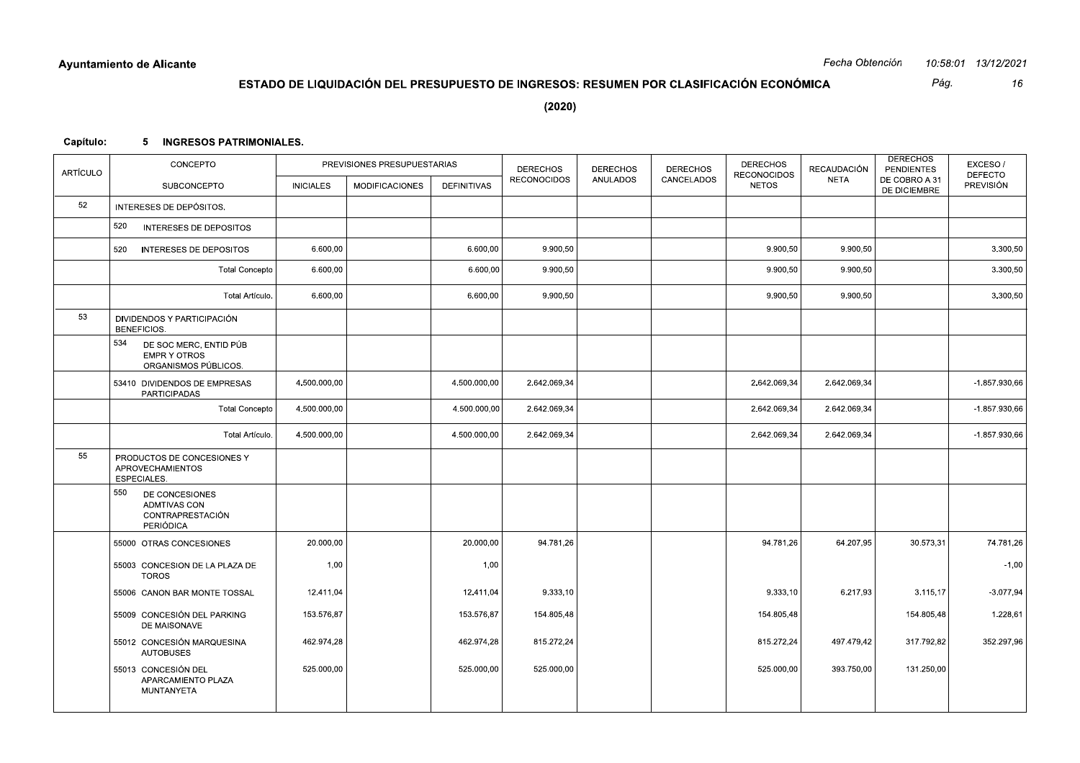|           | Ayuntamiento de Alicante                                                                          |                  |                                                                                        |              |                    |                 |                 |                                    | Fecha Obtención |                                                    | 10:58:01 13/12/2021         |
|-----------|---------------------------------------------------------------------------------------------------|------------------|----------------------------------------------------------------------------------------|--------------|--------------------|-----------------|-----------------|------------------------------------|-----------------|----------------------------------------------------|-----------------------------|
|           |                                                                                                   |                  | ESTADO DE LIQUIDACIÓN DEL PRESUPUESTO DE INGRESOS: RESUMEN POR CLASIFICACIÓN ECONÓMICA |              |                    |                 |                 |                                    |                 | Pág.                                               | 16                          |
|           |                                                                                                   |                  |                                                                                        |              | (2020)             |                 |                 |                                    |                 |                                                    |                             |
| Capítulo: | 5 INGRESOS PATRIMONIALES.                                                                         |                  |                                                                                        |              |                    |                 |                 |                                    |                 |                                                    |                             |
|           | CONCEPTO                                                                                          |                  | PREVISIONES PRESUPUESTARIAS                                                            |              | <b>DERECHOS</b>    | <b>DERECHOS</b> | <b>DERECHOS</b> | <b>DERECHOS</b>                    | RECAUDACIÓN     | <b>DERECHOS</b>                                    | EXCESO/                     |
| ARTÍCULO  | SUBCONCEPTO                                                                                       | <b>INICIALES</b> | <b>MODIFICACIONES</b>                                                                  | DEFINITIVAS  | <b>RECONOCIDOS</b> | ANULADOS        | CANCELADOS      | <b>RECONOCIDOS</b><br><b>NETOS</b> | NETA            | <b>PENDIENTES</b><br>DE COBRO A 31<br>DE DICIEMBRE | <b>DEFECTO</b><br>PREVISIÓN |
| 52        | INTERESES DE DEPÓSITOS.                                                                           |                  |                                                                                        |              |                    |                 |                 |                                    |                 |                                                    |                             |
|           | 520<br>INTERESES DE DEPOSITOS                                                                     |                  |                                                                                        |              |                    |                 |                 |                                    |                 |                                                    |                             |
|           | 520<br><b>INTERESES DE DEPOSITOS</b>                                                              | 6.600,00         |                                                                                        | 6.600,00     | 9.900,50           |                 |                 | 9.900,50                           | 9.900,50        |                                                    | 3.300,50                    |
|           | <b>Total Concepto</b>                                                                             | 6.600,00         |                                                                                        | 6.600,00     | 9.900,50           |                 |                 | 9.900,50                           | 9.900,50        |                                                    | 3.300,50                    |
|           | Total Artículo.                                                                                   | 6.600,00         |                                                                                        | 6.600,00     | 9.900,50           |                 |                 | 9.900,50                           | 9.900,50        |                                                    | 3.300,50                    |
| 53        | DIVIDENDOS Y PARTICIPACIÓN<br><b>BENEFICIOS.</b><br>534<br>DE SOC MERC, ENTID PÚB<br>EMPR Y OTROS |                  |                                                                                        |              |                    |                 |                 |                                    |                 |                                                    |                             |
|           | ORGANISMOS PÚBLICOS.<br>53410 DIVIDENDOS DE EMPRESAS                                              | 4.500.000,00     |                                                                                        | 4.500.000,00 | 2.642.069,34       |                 |                 | 2.642.069,34                       | 2.642.069,34    |                                                    | -1.857.930,66               |
|           | PARTICIPADAS<br><b>Total Concepto</b>                                                             | 4.500.000,00     |                                                                                        | 4.500.000,00 | 2.642.069,34       |                 |                 | 2.642.069,34                       | 2.642.069,34    |                                                    | -1.857.930,66               |
|           | Total Artículo.                                                                                   | 4.500.000,00     |                                                                                        | 4.500.000,00 | 2.642.069,34       |                 |                 | 2.642.069,34                       | 2.642.069,34    |                                                    | -1.857.930,66               |
| 55        | PRODUCTOS DE CONCESIONES Y<br>APROVECHAMIENTOS<br>ESPECIALES.                                     |                  |                                                                                        |              |                    |                 |                 |                                    |                 |                                                    |                             |
|           | 550<br>DE CONCESIONES<br>ADMTIVAS CON<br>CONTRAPRESTACIÓN<br>PERIÓDICA                            |                  |                                                                                        |              |                    |                 |                 |                                    |                 |                                                    |                             |
|           | 55000 OTRAS CONCESIONES                                                                           | 20.000,00        |                                                                                        | 20.000,00    | 94.781,26          |                 |                 | 94.781,26                          | 64.207,95       | 30.573,31                                          | 74.781,26                   |
|           | 55003 CONCESION DE LA PLAZA DE<br>TOROS                                                           | 1,00             |                                                                                        | 1,00         |                    |                 |                 |                                    |                 |                                                    | $-1,00$                     |
|           | 55006 CANON BAR MONTE TOSSAL                                                                      | 12.411,04        |                                                                                        | 12.411,04    | 9.333,10           |                 |                 | 9.333,10                           | 6.217,93        | 3.115,17                                           | $-3.077,94$                 |
|           | 55009 CONCESIÓN DEL PARKING<br>DE MAISONAVE                                                       | 153.576,87       |                                                                                        | 153.576,87   | 154.805,48         |                 |                 | 154.805,48                         |                 | 154.805,48                                         | 1.228,61                    |
|           | 55012 CONCESIÓN MARQUESINA<br><b>AUTOBUSES</b>                                                    | 462.974,28       |                                                                                        | 462.974,28   | 815.272,24         |                 |                 | 815.272,24                         | 497.479,42      | 317.792,82                                         | 352.297,96                  |
|           | 55013 CONCESIÓN DEL<br>APARCAMIENTO PLAZA<br>MUNTANYETA                                           | 525.000,00       |                                                                                        | 525.000,00   | 525.000,00         |                 |                 | 525.000,00                         | 393.750,00      | 131.250,00                                         |                             |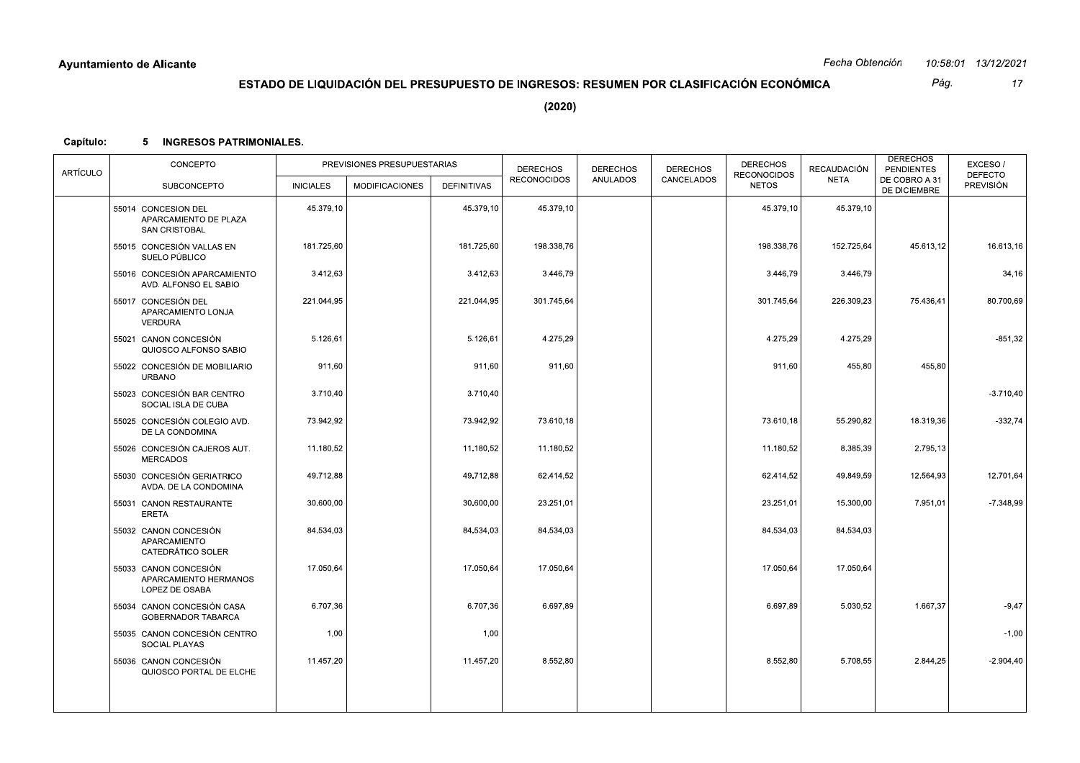Pág.  $17$ 

 $(2020)$ 

## Capítulo: 5 INGRESOS PATRIMONIALES.

| <b>ARTÍCULO</b> | CONCEPTO                                                             |                  | PREVISIONES PRESUPUESTARIAS |                    | <b>DERECHOS</b><br><b>RECONOCIDOS</b> | <b>DERECHOS</b><br><b>ANULADOS</b> | <b>DERECHOS</b><br>CANCELADOS | <b>DERECHOS</b><br><b>RECONOCIDOS</b> | RECAUDACIÓN<br><b>NETA</b> | <b>DERECHOS</b><br><b>PENDIENTES</b><br>DE COBRO A 31 | EXCESO/<br><b>DEFECTO</b> |
|-----------------|----------------------------------------------------------------------|------------------|-----------------------------|--------------------|---------------------------------------|------------------------------------|-------------------------------|---------------------------------------|----------------------------|-------------------------------------------------------|---------------------------|
|                 | <b>SUBCONCEPTO</b>                                                   | <b>INICIALES</b> | <b>MODIFICACIONES</b>       | <b>DEFINITIVAS</b> |                                       |                                    |                               | <b>NETOS</b>                          |                            | DE DICIEMBRE                                          | <b>PREVISIÓN</b>          |
|                 | 55014 CONCESION DEL<br>APARCAMIENTO DE PLAZA<br><b>SAN CRISTOBAL</b> | 45.379,10        |                             | 45.379,10          | 45.379,10                             |                                    |                               | 45.379,10                             | 45.379,10                  |                                                       |                           |
|                 | 55015 CONCESIÓN VALLAS EN<br>SUELO PÚBLICO                           | 181.725,60       |                             | 181.725,60         | 198.338,76                            |                                    |                               | 198.338,76                            | 152.725,64                 | 45.613,12                                             | 16.613,16                 |
|                 | 55016 CONCESIÓN APARCAMIENTO<br>AVD. ALFONSO EL SABIO                | 3.412,63         |                             | 3.412,63           | 3.446,79                              |                                    |                               | 3.446,79                              | 3.446,79                   |                                                       | 34,16                     |
|                 | 55017 CONCESIÓN DEL<br>APARCAMIENTO LONJA<br><b>VERDURA</b>          | 221.044.95       |                             | 221.044.95         | 301.745.64                            |                                    |                               | 301.745,64                            | 226.309,23                 | 75.436,41                                             | 80.700,69                 |
|                 | 55021 CANON CONCESIÓN<br>QUIOSCO ALFONSO SABIO                       | 5.126,61         |                             | 5.126,61           | 4.275,29                              |                                    |                               | 4.275,29                              | 4.275,29                   |                                                       | $-851,32$                 |
|                 | 55022 CONCESIÓN DE MOBILIARIO<br><b>URBANO</b>                       | 911,60           |                             | 911,60             | 911,60                                |                                    |                               | 911,60                                | 455,80                     | 455,80                                                |                           |
|                 | 55023 CONCESIÓN BAR CENTRO<br>SOCIAL ISLA DE CUBA                    | 3.710,40         |                             | 3.710,40           |                                       |                                    |                               |                                       |                            |                                                       | $-3.710,40$               |
|                 | 55025 CONCESIÓN COLEGIO AVD.<br>DE LA CONDOMINA                      | 73.942,92        |                             | 73.942,92          | 73.610,18                             |                                    |                               | 73.610,18                             | 55.290,82                  | 18.319,36                                             | $-332,74$                 |
|                 | 55026 CONCESIÓN CAJEROS AUT.<br><b>MERCADOS</b>                      | 11.180,52        |                             | 11.180,52          | 11.180,52                             |                                    |                               | 11.180,52                             | 8.385,39                   | 2.795,13                                              |                           |
|                 | 55030 CONCESIÓN GERIATRICO<br>AVDA. DE LA CONDOMINA                  | 49.712,88        |                             | 49.712,88          | 62.414,52                             |                                    |                               | 62.414,52                             | 49.849,59                  | 12.564,93                                             | 12.701,64                 |
|                 | 55031 CANON RESTAURANTE<br><b>ERETA</b>                              | 30.600.00        |                             | 30.600.00          | 23.251,01                             |                                    |                               | 23.251,01                             | 15.300,00                  | 7.951,01                                              | $-7.348,99$               |
|                 | 55032 CANON CONCESIÓN<br>APARCAMIENTO<br>CATEDRÁTICO SOLER           | 84.534,03        |                             | 84.534,03          | 84.534,03                             |                                    |                               | 84.534,03                             | 84.534,03                  |                                                       |                           |
|                 | 55033 CANON CONCESIÓN<br>APARCAMIENTO HERMANOS<br>LOPEZ DE OSABA     | 17.050,64        |                             | 17.050.64          | 17.050.64                             |                                    |                               | 17.050,64                             | 17.050.64                  |                                                       |                           |
|                 | 55034 CANON CONCESIÓN CASA<br>GOBERNADOR TABARCA                     | 6.707,36         |                             | 6.707,36           | 6.697,89                              |                                    |                               | 6.697,89                              | 5.030,52                   | 1.667,37                                              | $-9,47$                   |
|                 | 55035 CANON CONCESIÓN CENTRO<br>SOCIAL PLAYAS                        | 1,00             |                             | 1,00               |                                       |                                    |                               |                                       |                            |                                                       | $-1,00$                   |
|                 | 55036 CANON CONCESIÓN<br>QUIOSCO PORTAL DE ELCHE                     | 11.457,20        |                             | 11.457,20          | 8.552,80                              |                                    |                               | 8.552,80                              | 5.708,55                   | 2.844,25                                              | $-2.904,40$               |
|                 |                                                                      |                  |                             |                    |                                       |                                    |                               |                                       |                            |                                                       |                           |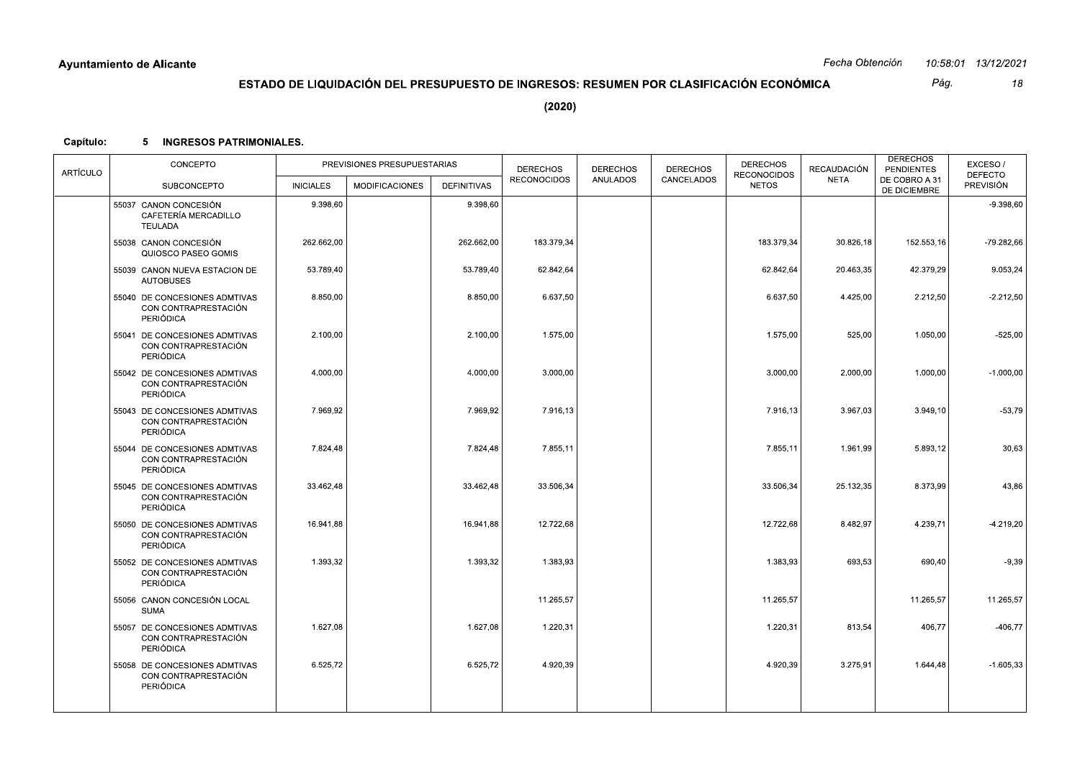|           | Ayuntamiento de Alicante                                           |                  |                                                                                        |             |                    |                 |                 |                                       | Fecha Obtención |                                      | 10:58:01 13/12/2021       |
|-----------|--------------------------------------------------------------------|------------------|----------------------------------------------------------------------------------------|-------------|--------------------|-----------------|-----------------|---------------------------------------|-----------------|--------------------------------------|---------------------------|
|           |                                                                    |                  | ESTADO DE LIQUIDACIÓN DEL PRESUPUESTO DE INGRESOS: RESUMEN POR CLASIFICACIÓN ECONÓMICA |             |                    |                 |                 |                                       |                 | Pág.                                 | 18                        |
|           |                                                                    |                  |                                                                                        |             | (2020)             |                 |                 |                                       |                 |                                      |                           |
| Capítulo: | <b>INGRESOS PATRIMONIALES.</b><br>5.                               |                  |                                                                                        |             |                    |                 |                 |                                       |                 |                                      |                           |
| ARTÍCULO  | CONCEPTO                                                           |                  | PREVISIONES PRESUPUESTARIAS                                                            |             | <b>DERECHOS</b>    | <b>DERECHOS</b> | <b>DERECHOS</b> | <b>DERECHOS</b><br><b>RECONOCIDOS</b> | RECAUDACIÓN     | <b>DERECHOS</b><br><b>PENDIENTES</b> | EXCESO/<br><b>DEFECTO</b> |
|           | SUBCONCEPTO                                                        | <b>INICIALES</b> | <b>MODIFICACIONES</b>                                                                  | DEFINITIVAS | <b>RECONOCIDOS</b> | ANULADOS        | CANCELADOS      | <b>NETOS</b>                          | NETA            | DE COBRO A 31<br>DE DICIEMBRE        | <b>PREVISIÓN</b>          |
|           | 55037 CANON CONCESIÓN<br>CAFETERÍA MERCADILLO<br>TEULADA           | 9.398,60         |                                                                                        | 9.398,60    |                    |                 |                 |                                       |                 |                                      | $-9.398,60$               |
|           | 55038 CANON CONCESIÓN<br>QUIOSCO PASEO GOMIS                       | 262.662,00       |                                                                                        | 262.662,00  | 183.379,34         |                 |                 | 183.379,34                            | 30.826,18       | 152.553,16                           | $-79.282,66$              |
|           | 55039 CANON NUEVA ESTACION DE<br><b>AUTOBUSES</b>                  | 53.789,40        |                                                                                        | 53.789,40   | 62.842,64          |                 |                 | 62.842,64                             | 20.463,35       | 42.379,29                            | 9.053,24                  |
|           | 55040 DE CONCESIONES ADMTIVAS<br>CON CONTRAPRESTACIÓN<br>PERIÓDICA | 8.850,00         |                                                                                        | 8.850,00    | 6.637,50           |                 |                 | 6.637,50                              | 4.425,00        | 2.212,50                             | $-2.212,50$               |
|           | 55041 DE CONCESIONES ADMTIVAS<br>CON CONTRAPRESTACIÓN<br>PERIÓDICA | 2.100,00         |                                                                                        | 2.100,00    | 1.575,00           |                 |                 | 1.575,00                              | 525,00          | 1.050,00                             | $-525,00$                 |
|           | 55042 DE CONCESIONES ADMTIVAS<br>CON CONTRAPRESTACIÓN<br>PERIÓDICA | 4.000,00         |                                                                                        | 4.000,00    | 3.000,00           |                 |                 | 3.000,00                              | 2.000,00        | 1.000,00                             | $-1.000,00$               |
|           | 55043 DE CONCESIONES ADMTIVAS<br>CON CONTRAPRESTACIÓN<br>PERIÓDICA | 7.969,92         |                                                                                        | 7.969,92    | 7.916,13           |                 |                 | 7.916,13                              | 3.967,03        | 3.949,10                             | $-53,79$                  |
|           | 55044 DE CONCESIONES ADMTIVAS<br>CON CONTRAPRESTACIÓN<br>PERIÓDICA | 7.824,48         |                                                                                        | 7.824,48    | 7.855,11           |                 |                 | 7.855,11                              | 1.961,99        | 5.893,12                             | 30,63                     |
|           | 55045 DE CONCESIONES ADMTIVAS<br>CON CONTRAPRESTACIÓN<br>PERIÓDICA | 33.462,48        |                                                                                        | 33.462,48   | 33.506,34          |                 |                 | 33.506,34                             | 25.132,35       | 8.373,99                             | 43,86                     |
|           | 55050 DE CONCESIONES ADMTIVAS<br>CON CONTRAPRESTACIÓN<br>PERIÓDICA | 16.941,88        |                                                                                        | 16.941,88   | 12.722,68          |                 |                 | 12.722,68                             | 8.482,97        | 4.239,71                             | $-4.219,20$               |
|           | 55052 DE CONCESIONES ADMTIVAS<br>CON CONTRAPRESTACIÓN<br>PERIÓDICA | 1.393,32         |                                                                                        | 1.393,32    | 1.383,93           |                 |                 | 1.383,93                              | 693,53          | 690,40                               | $-9,39$                   |
|           | 55056 CANON CONCESIÓN LOCAL<br>SUMA                                |                  |                                                                                        |             | 11.265,57          |                 |                 | 11.265,57                             |                 | 11.265,57                            | 11.265,57                 |
|           | 55057 DE CONCESIONES ADMTIVAS<br>CON CONTRAPRESTACIÓN<br>PERIÓDICA | 1.627,08         |                                                                                        | 1.627,08    | 1.220,31           |                 |                 | 1.220,31                              | 813,54          | 406,77                               | $-406,77$                 |
|           | 55058 DE CONCESIONES ADMTIVAS<br>CON CONTRAPRESTACIÓN<br>PERIÓDICA | 6.525,72         |                                                                                        | 6.525,72    | 4.920,39           |                 |                 | 4.920,39                              | 3.275,91        | 1.644,48                             | $-1.605,33$               |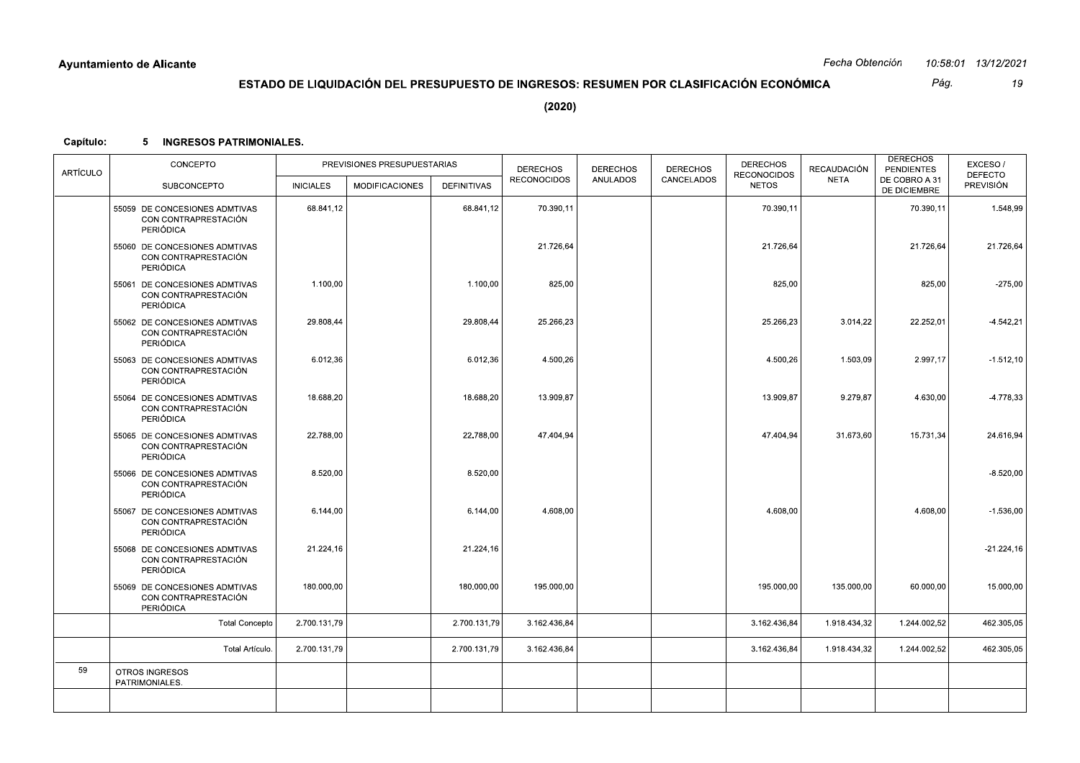Pág. 19

 $(2020)$ 

## Capítulo: 5 INGRESOS PATRIMONIALES.

| ARTÍCULO | CONCEPTO                                                                  |                  | PREVISIONES PRESUPUESTARIAS |                    | <b>DERECHOS</b>    | <b>DERECHOS</b> | <b>DERECHOS</b> | <b>DERECHOS</b><br><b>RECONOCIDOS</b> | <b>RECAUDACIÓN</b> | <b>DERECHOS</b><br><b>PENDIENTES</b> | EXCESO/<br><b>DEFECTO</b> |
|----------|---------------------------------------------------------------------------|------------------|-----------------------------|--------------------|--------------------|-----------------|-----------------|---------------------------------------|--------------------|--------------------------------------|---------------------------|
|          | <b>SUBCONCEPTO</b>                                                        | <b>INICIALES</b> | <b>MODIFICACIONES</b>       | <b>DEFINITIVAS</b> | <b>RECONOCIDOS</b> | <b>ANULADOS</b> | CANCELADOS      | <b>NETOS</b>                          | <b>NETA</b>        | DE COBRO A 31<br>DE DICIEMBRE        | PREVISIÓN                 |
|          | 55059 DE CONCESIONES ADMTIVAS<br>CON CONTRAPRESTACIÓN<br><b>PERIÓDICA</b> | 68.841,12        |                             | 68.841,12          | 70.390,11          |                 |                 | 70.390,11                             |                    | 70.390,11                            | 1.548,99                  |
|          | 55060 DE CONCESIONES ADMTIVAS<br>CON CONTRAPRESTACIÓN<br><b>PERIÓDICA</b> |                  |                             |                    | 21.726,64          |                 |                 | 21.726,64                             |                    | 21.726,64                            | 21.726,64                 |
|          | 55061 DE CONCESIONES ADMTIVAS<br>CON CONTRAPRESTACIÓN<br><b>PERIÓDICA</b> | 1.100,00         |                             | 1.100,00           | 825,00             |                 |                 | 825,00                                |                    | 825,00                               | $-275,00$                 |
|          | 55062 DE CONCESIONES ADMTIVAS<br>CON CONTRAPRESTACIÓN<br><b>PERIÓDICA</b> | 29.808,44        |                             | 29.808,44          | 25.266,23          |                 |                 | 25.266,23                             | 3.014,22           | 22.252,01                            | $-4.542,21$               |
|          | 55063 DE CONCESIONES ADMTIVAS<br>CON CONTRAPRESTACIÓN<br><b>PERIÓDICA</b> | 6.012,36         |                             | 6.012,36           | 4.500,26           |                 |                 | 4.500,26                              | 1.503,09           | 2.997,17                             | $-1.512,10$               |
|          | 55064 DE CONCESIONES ADMTIVAS<br>CON CONTRAPRESTACIÓN<br><b>PERIÓDICA</b> | 18.688,20        |                             | 18.688,20          | 13.909,87          |                 |                 | 13.909,87                             | 9.279,87           | 4.630,00                             | $-4.778,33$               |
|          | 55065 DE CONCESIONES ADMTIVAS<br>CON CONTRAPRESTACIÓN<br><b>PERIÓDICA</b> | 22.788,00        |                             | 22.788,00          | 47.404,94          |                 |                 | 47.404,94                             | 31.673,60          | 15.731,34                            | 24.616,94                 |
|          | 55066 DE CONCESIONES ADMTIVAS<br>CON CONTRAPRESTACIÓN<br><b>PERIÓDICA</b> | 8.520,00         |                             | 8.520,00           |                    |                 |                 |                                       |                    |                                      | $-8.520,00$               |
|          | 55067 DE CONCESIONES ADMTIVAS<br>CON CONTRAPRESTACIÓN<br><b>PERIÓDICA</b> | 6.144,00         |                             | 6.144,00           | 4.608,00           |                 |                 | 4.608.00                              |                    | 4.608.00                             | $-1.536.00$               |
|          | 55068 DE CONCESIONES ADMTIVAS<br>CON CONTRAPRESTACIÓN<br><b>PERIÓDICA</b> | 21.224,16        |                             | 21.224,16          |                    |                 |                 |                                       |                    |                                      | $-21.224,16$              |
|          | 55069 DE CONCESIONES ADMTIVAS<br>CON CONTRAPRESTACIÓN<br><b>PERIÓDICA</b> | 180.000,00       |                             | 180.000,00         | 195.000,00         |                 |                 | 195.000,00                            | 135.000,00         | 60.000,00                            | 15.000,00                 |
|          | <b>Total Concepto</b>                                                     | 2.700.131,79     |                             | 2.700.131,79       | 3.162.436,84       |                 |                 | 3.162.436,84                          | 1.918.434,32       | 1.244.002,52                         | 462.305,05                |
|          | Total Artículo.                                                           | 2.700.131,79     |                             | 2.700.131.79       | 3.162.436.84       |                 |                 | 3.162.436,84                          | 1.918.434,32       | 1.244.002,52                         | 462.305,05                |
| 59       | OTROS INGRESOS<br>PATRIMONIALES.                                          |                  |                             |                    |                    |                 |                 |                                       |                    |                                      |                           |
|          |                                                                           |                  |                             |                    |                    |                 |                 |                                       |                    |                                      |                           |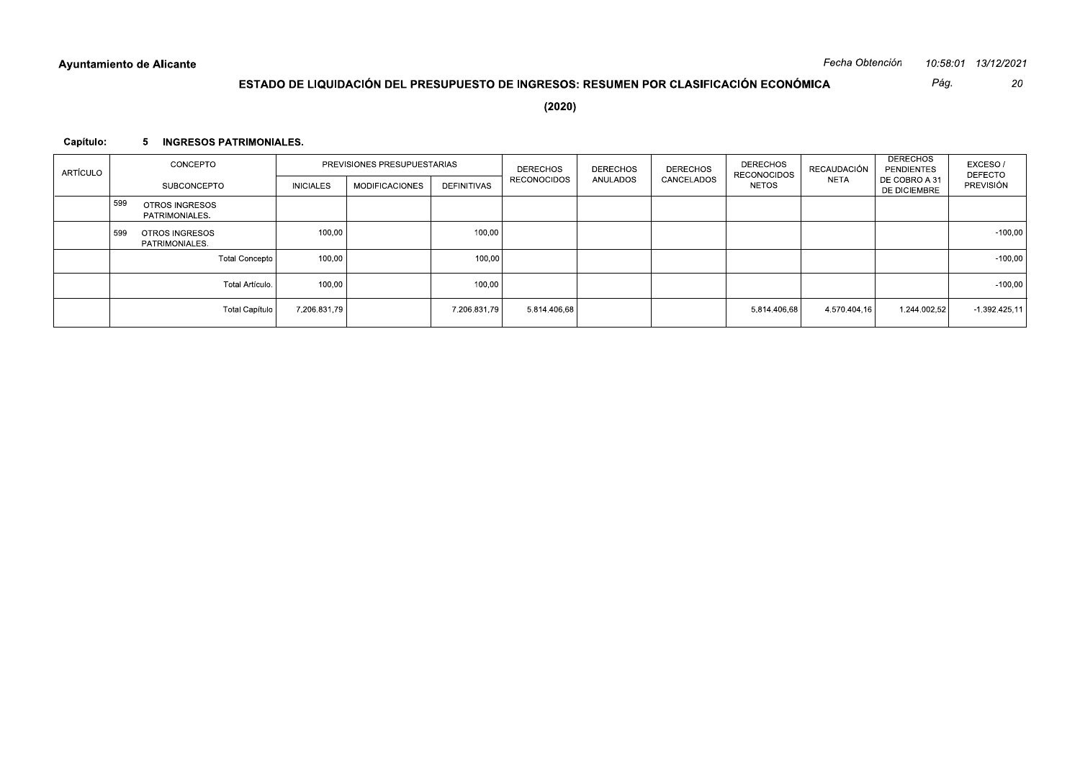|           | Ayuntamiento de Alicante                |                  |                                                                                        |                    |                    |                 |                 |                                    | Fecha Obtención |                                      | 10:58:01 13/12/2021                 |
|-----------|-----------------------------------------|------------------|----------------------------------------------------------------------------------------|--------------------|--------------------|-----------------|-----------------|------------------------------------|-----------------|--------------------------------------|-------------------------------------|
|           |                                         |                  | ESTADO DE LIQUIDACIÓN DEL PRESUPUESTO DE INGRESOS: RESUMEN POR CLASIFICACIÓN ECONÓMICA |                    |                    |                 |                 |                                    |                 | Pág.                                 | 20                                  |
|           |                                         |                  |                                                                                        |                    | (2020)             |                 |                 |                                    |                 |                                      |                                     |
|           |                                         |                  |                                                                                        |                    |                    |                 |                 |                                    |                 |                                      |                                     |
| Capítulo: | 5 INGRESOS PATRIMONIALES.               |                  |                                                                                        |                    |                    |                 |                 |                                    |                 |                                      |                                     |
|           | CONCEPTO                                |                  | PREVISIONES PRESUPUESTARIAS                                                            |                    | <b>DERECHOS</b>    | <b>DERECHOS</b> | <b>DERECHOS</b> | <b>DERECHOS</b>                    | RECAUDACIÓN     | <b>DERECHOS</b><br><b>PENDIENTES</b> | EXCESO/                             |
| ARTÍCULO  | SUBCONCEPTO                             | <b>INICIALES</b> | <b>MODIFICACIONES</b>                                                                  | <b>DEFINITIVAS</b> | <b>RECONOCIDOS</b> | ANULADOS        | CANCELADOS      | <b>RECONOCIDOS</b><br><b>NETOS</b> | <b>NETA</b>     | DE COBRO A 31<br>DE DICIEMBRE        | <b>DEFECTO</b><br>PREVISIÓN         |
|           | 599<br>OTROS INGRESOS                   |                  |                                                                                        |                    |                    |                 |                 |                                    |                 |                                      |                                     |
|           | PATRIMONIALES.                          |                  |                                                                                        |                    |                    |                 |                 |                                    |                 |                                      |                                     |
|           | OTROS INGRESOS<br>599<br>PATRIMONIALES. | 100,00           |                                                                                        | 100,00             |                    |                 |                 |                                    |                 |                                      |                                     |
|           | <b>Total Concepto</b>                   | 100,00           |                                                                                        | 100,00             |                    |                 |                 |                                    |                 |                                      |                                     |
|           | Total Artículo.                         | 100,00           |                                                                                        | 100,00             |                    |                 |                 |                                    |                 |                                      | $-100,00$<br>$-100,00$<br>$-100,00$ |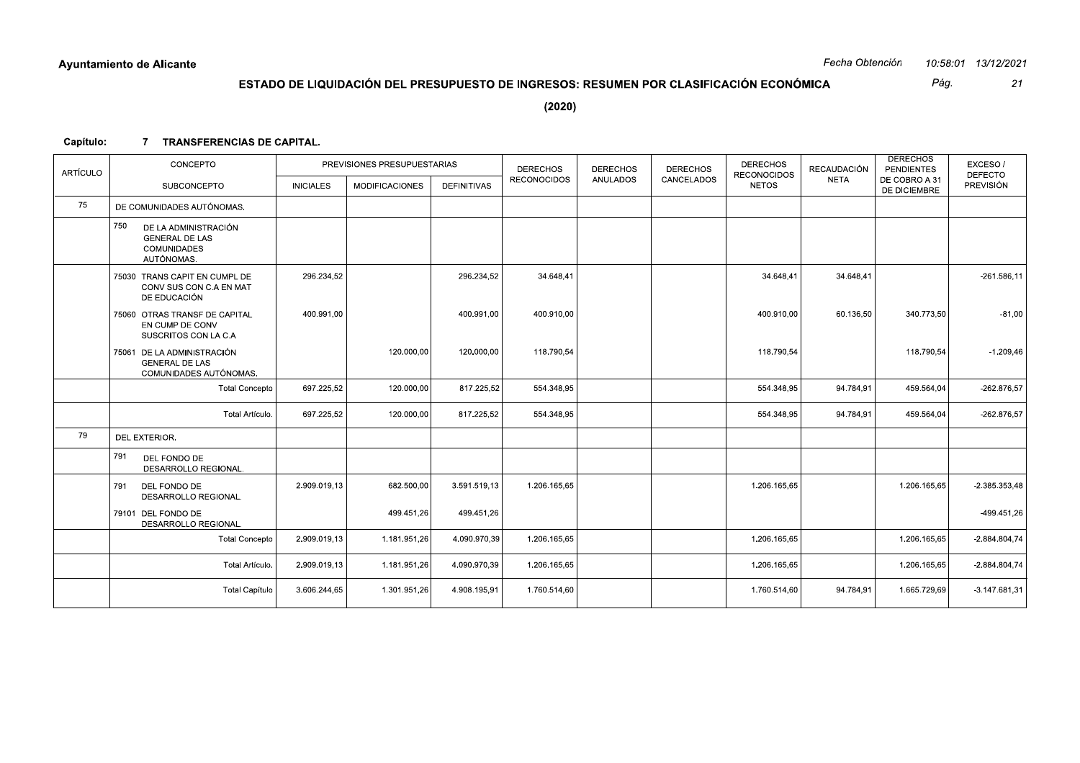Pág.

 $21$ 

# ESTADO DE LIQUIDACIÓN DEL PRESUPUESTO DE INGRESOS: RESUMEN POR CLASIFICACIÓN ECONÓMICA

 $(2020)$ 

## Capítulo: 7 TRANSFERENCIAS DE CAPITAL.

| <b>ARTÍCULO</b> | CONCEPTO                                                                                 |                  | PREVISIONES PRESUPUESTARIAS |                    | <b>DERECHOS</b>    | <b>DERECHOS</b> | <b>DERECHOS</b> | <b>DERECHOS</b><br><b>RECONOCIDOS</b> | RECAUDACIÓN | <b>DERECHOS</b><br><b>PENDIENTES</b> | EXCESO/<br><b>DEFECTO</b> |
|-----------------|------------------------------------------------------------------------------------------|------------------|-----------------------------|--------------------|--------------------|-----------------|-----------------|---------------------------------------|-------------|--------------------------------------|---------------------------|
|                 | <b>SUBCONCEPTO</b>                                                                       | <b>INICIALES</b> | <b>MODIFICACIONES</b>       | <b>DEFINITIVAS</b> | <b>RECONOCIDOS</b> | <b>ANULADOS</b> | CANCELADOS      | <b>NETOS</b>                          | <b>NETA</b> | DE COBRO A 31<br>DE DICIEMBRE        | <b>PREVISIÓN</b>          |
| 75              | DE COMUNIDADES AUTÓNOMAS.                                                                |                  |                             |                    |                    |                 |                 |                                       |             |                                      |                           |
|                 | 750<br>DE LA ADMINISTRACIÓN<br><b>GENERAL DE LAS</b><br><b>COMUNIDADES</b><br>AUTÓNOMAS. |                  |                             |                    |                    |                 |                 |                                       |             |                                      |                           |
|                 | 75030 TRANS CAPIT EN CUMPL DE<br>CONV SUS CON C.A EN MAT<br>DE EDUCACIÓN                 | 296.234,52       |                             | 296.234,52         | 34.648,41          |                 |                 | 34.648,41                             | 34.648,41   |                                      | $-261.586, 11$            |
|                 | 75060 OTRAS TRANSF DE CAPITAL<br>EN CUMP DE CONV<br>SUSCRITOS CON LA C.A                 | 400.991,00       |                             | 400.991,00         | 400.910,00         |                 |                 | 400.910,00                            | 60.136,50   | 340.773,50                           | $-81,00$                  |
|                 | DE LA ADMINISTRACIÓN<br>75061<br><b>GENERAL DE LAS</b><br>COMUNIDADES AUTÓNOMAS.         |                  | 120.000,00                  | 120.000,00         | 118.790,54         |                 |                 | 118.790,54                            |             | 118.790,54                           | $-1.209,46$               |
|                 | <b>Total Concepto</b>                                                                    | 697.225,52       | 120.000,00                  | 817.225,52         | 554.348,95         |                 |                 | 554.348,95                            | 94.784,91   | 459.564,04                           | $-262.876,57$             |
|                 | Total Artículo.                                                                          | 697.225,52       | 120.000,00                  | 817.225,52         | 554.348,95         |                 |                 | 554.348,95                            | 94.784,91   | 459.564,04                           | $-262.876,57$             |
| 79              | DEL EXTERIOR.                                                                            |                  |                             |                    |                    |                 |                 |                                       |             |                                      |                           |
|                 | 791<br>DEL FONDO DE<br>DESARROLLO REGIONAL.                                              |                  |                             |                    |                    |                 |                 |                                       |             |                                      |                           |
|                 | 791<br>DEL FONDO DE<br>DESARROLLO REGIONAL.                                              | 2.909.019.13     | 682.500,00                  | 3.591.519.13       | 1.206.165.65       |                 |                 | 1.206.165.65                          |             | 1.206.165.65                         | $-2.385.353,48$           |
|                 | 79101 DEL FONDO DE<br>DESARROLLO REGIONAL.                                               |                  | 499.451,26                  | 499.451,26         |                    |                 |                 |                                       |             |                                      | -499.451,26               |
|                 | <b>Total Concepto</b>                                                                    | 2.909.019,13     | 1.181.951,26                | 4.090.970,39       | 1.206.165,65       |                 |                 | 1.206.165,65                          |             | 1.206.165,65                         | $-2.884.804,74$           |
|                 | Total Artículo.                                                                          | 2.909.019,13     | 1.181.951,26                | 4.090.970,39       | 1.206.165,65       |                 |                 | 1.206.165,65                          |             | 1.206.165,65                         | $-2.884.804,74$           |
|                 | <b>Total Capítulo</b>                                                                    | 3.606.244,65     | 1.301.951,26                | 4.908.195,91       | 1.760.514,60       |                 |                 | 1.760.514,60                          | 94.784,91   | 1.665.729,69                         | $-3.147.681,31$           |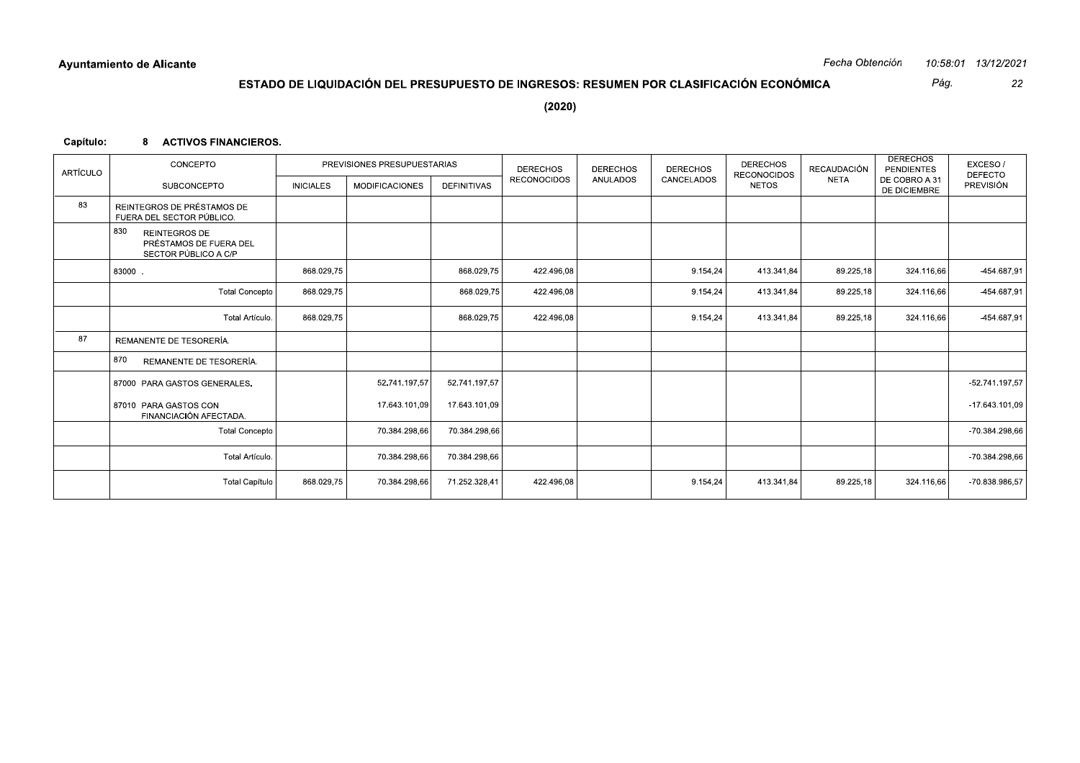Pág.

22

## ESTADO DE LIQUIDACIÓN DEL PRESUPUESTO DE INGRESOS: RESUMEN POR CLASIFICACIÓN ECONÓMICA

 $(2020)$ 

## Capítulo: 8 ACTIVOS FINANCIEROS.

| <b>ARTÍCULO</b> | CONCEPTO                                                                      |                  | PREVISIONES PRESUPUESTARIAS |                    | <b>DERECHOS</b>    | <b>DERECHOS</b> | <b>DERECHOS</b> | <b>DERECHOS</b><br><b>RECONOCIDOS</b> | <b>RECAUDACIÓN</b> | <b>DERECHOS</b><br><b>PENDIENTES</b> | EXCESO/<br><b>DEFECTO</b> |
|-----------------|-------------------------------------------------------------------------------|------------------|-----------------------------|--------------------|--------------------|-----------------|-----------------|---------------------------------------|--------------------|--------------------------------------|---------------------------|
|                 | <b>SUBCONCEPTO</b>                                                            | <b>INICIALES</b> | <b>MODIFICACIONES</b>       | <b>DEFINITIVAS</b> | <b>RECONOCIDOS</b> | <b>ANULADOS</b> | CANCELADOS      | <b>NETOS</b>                          | <b>NETA</b>        | DE COBRO A 31<br>DE DICIEMBRE        | PREVISIÓN                 |
| 83              | REINTEGROS DE PRÉSTAMOS DE<br>FUERA DEL SECTOR PÚBLICO.                       |                  |                             |                    |                    |                 |                 |                                       |                    |                                      |                           |
|                 | 830<br><b>REINTEGROS DE</b><br>PRÉSTAMOS DE FUERA DEL<br>SECTOR PÚBLICO A C/P |                  |                             |                    |                    |                 |                 |                                       |                    |                                      |                           |
|                 | 83000.                                                                        | 868.029,75       |                             | 868.029,75         | 422.496,08         |                 | 9.154,24        | 413.341,84                            | 89.225,18          | 324.116,66                           | -454.687,91               |
|                 | <b>Total Concepto</b>                                                         | 868.029,75       |                             | 868.029,75         | 422.496,08         |                 | 9.154,24        | 413.341.84                            | 89.225,18          | 324.116,66                           | -454.687,91               |
|                 | Total Artículo.                                                               | 868.029.75       |                             | 868.029,75         | 422.496.08         |                 | 9.154,24        | 413.341.84                            | 89.225,18          | 324.116.66                           | -454.687,91               |
| 87              | REMANENTE DE TESORERÍA.                                                       |                  |                             |                    |                    |                 |                 |                                       |                    |                                      |                           |
|                 | 870<br>REMANENTE DE TESORERÍA.                                                |                  |                             |                    |                    |                 |                 |                                       |                    |                                      |                           |
|                 | 87000 PARA GASTOS GENERALES.                                                  |                  | 52.741.197,57               | 52.741.197,57      |                    |                 |                 |                                       |                    |                                      | -52.741.197,57            |
|                 | 87010 PARA GASTOS CON<br>FINANCIACIÓN AFECTADA.                               |                  | 17.643.101,09               | 17.643.101,09      |                    |                 |                 |                                       |                    |                                      | -17.643.101,09            |
|                 | <b>Total Concepto</b>                                                         |                  | 70.384.298,66               | 70.384.298,66      |                    |                 |                 |                                       |                    |                                      | -70.384.298,66            |
|                 | Total Artículo.                                                               |                  | 70.384.298,66               | 70.384.298,66      |                    |                 |                 |                                       |                    |                                      | -70.384.298,66            |
|                 | <b>Total Capítulo</b>                                                         | 868.029,75       | 70.384.298,66               | 71.252.328,41      | 422.496.08         |                 | 9.154.24        | 413.341.84                            | 89.225,18          | 324.116,66                           | -70.838.986,57            |